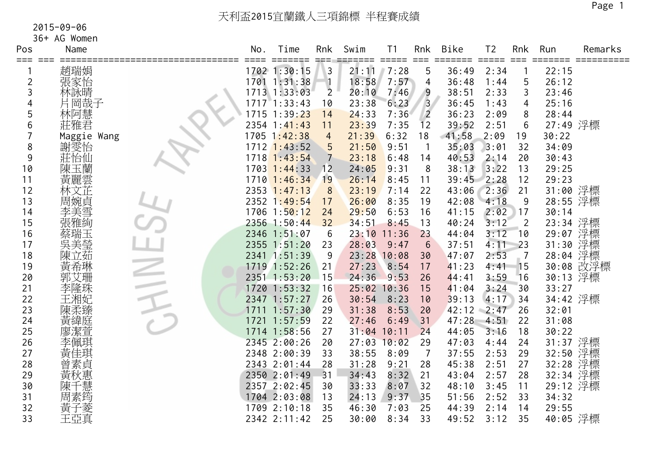| Pos            | Name        | No.  | Time<br>=====      | Rnk            | Swim          | Τ1<br>$=$ $=$ $=$ $=$ $=$ | Rnk<br>$==$     | Bike  | T <sub>2</sub><br>$=$ $=$ $=$ $=$ $=$ | Rnk            | Run      | Remarks   |
|----------------|-------------|------|--------------------|----------------|---------------|---------------------------|-----------------|-------|---------------------------------------|----------------|----------|-----------|
| === ===        | 趙瑞娟         |      | 1702 1:30:15       | 3              | 21:11         | 7:28                      | 5               | 36:49 | 2:34                                  |                | 22:15    |           |
| $\overline{2}$ | 張家怡         |      | 1701 1:31:38       |                | 18:58         | 7:57                      | 4               | 36:48 | 1:44                                  | 5              | 26:12    |           |
| 3              | 林詠晴         |      | 1713 1:33:03       | $\overline{2}$ | 20:10         | 7:46                      | 9               | 38:51 | 2:33                                  | 3              | 23:46    |           |
|                | 片岡哉子        |      | 171771:33:43       | 10             | 23:38         | 6:23                      | $\overline{3}$  | 36:45 | 1:43                                  | 4              | 25:16    |           |
| 5              | 林阿慧         |      | 1715 1:39:23       | 14             | 24:33         | 7:36                      | $\overline{2}$  | 36:23 | 2:09                                  | 8              | 28:44    |           |
| 6              | 莊雅君         |      | $2354$ 1:41:43     | 11             | 23:39         | 7:35                      | 12              | 39:52 | 2:51                                  | 6              | 27:49 浮標 |           |
|                | Maggie Wang |      | 1705 1:42:38       | $\overline{4}$ | 21:39         | 6:32                      | 18              | 41:58 | 2:09                                  | 19             | 30:22    |           |
| 8              | 謝雯怡<br>莊怡仙  |      | 1712 1:43:52       | 5              | 21:50         | 9:51                      | $\mathbf{1}$    | 35:03 | 3:01                                  | 32             | 34:09    |           |
| 9              |             | 1718 | 1:43:54            |                | 23:18         | 6:48                      | 14              | 40:53 | 2:14                                  | 20             | 30:43    |           |
| 10             | 陳玉蘭         |      | $1703$ 1:44:33     | 12             | 24:05         | 9:31                      | 8               | 38:13 | 3:22                                  | 13             | 29:25    |           |
| 11             | 黃麗雲         |      | 1710 1:46:34       | 19             | 26:14         | 8:45                      | 11              | 39:45 | 2:28                                  | 12             | 29:23    |           |
| 12             | 林文芷         |      | $2353$ $1:47:13$   | 8              | 23:19         | 7:14                      | 22              | 43:06 | 2:36                                  | 21             | 31:00 浮標 |           |
| 13             | 周婉貞         |      | $2352 \ \ 1:49:54$ | 17             | 26:00         | 8:35                      | 19              | 42:08 | 4:18                                  | 9              | 28:55 浮標 |           |
| 14             | 李美雪         |      | 1706 1:50:12       | 24             | 29:50         | 6:53                      | 16              | 41:15 | 2:02                                  | 17             | 30:14    |           |
| 15             | 張雅絢         |      | 2356 1:50:44       | 32             | 34:51         | 8:45                      | 13              | 40:24 | 3:12                                  | $\overline{2}$ | 23:34 浮標 |           |
| 16             | 蔡瑞玉         |      | 2346 1:51:07       | 6              | 23:10         | 11:36                     | 23              | 44:04 | 3:12                                  | 10             | 29:07 浮標 |           |
| 17             | 吳美瑩         |      | 2355 1:51:20       | 23             | 28:03         | 9:47                      | $6\phantom{1}6$ | 37:51 | 4:11                                  | 23             | 31:30    | 浮標        |
| 18             | 陳立茹         |      | 2341 1:51:39       | 9              | 23:28 10:08   |                           | 30              | 47:07 | 2:53                                  | 7              | 28:04    | 浮標        |
| 19             | 黃希琳         |      | 1719 1:52:26       | 21             | 27:23         | 8:54                      | 17              | 41:23 | 4:41                                  | 15             |          | 30:08 改浮標 |
| 20             | 郭艾珊         |      | 2351 1:53:20       | 15             | 24:36         | 9:53                      | 26              | 44:41 | 3:59                                  | 16             | 30:13 浮標 |           |
| 21             | 李隆珠         |      | 1720 1:53:32       | 16             | 25:02 10:36   |                           | 15              | 41:04 | 3:24                                  | 30             | 33:27    |           |
| 22             | 王湘妃         |      | 2347 1:57:27       | 26             | 30:54         | 8:23                      | 10              | 39:13 | 4:17                                  | 34             | 34:42 浮標 |           |
| 23             | 陳柔臻         |      | 1711 1:57:30       | 29             | 31:38         | 8:53                      | 20              | 42:12 | 2:47                                  | 26             | 32:01    |           |
| 24             | 黃緯庭         |      | 1721 1:57:59       | 22             | 27:46         | 6:49                      | 31              | 47:28 | 4:51                                  | 22             | 31:08    |           |
| 25             | 廖潔萱         |      | 1714 1:58:56       | 27             | $31:04$ 10:11 |                           | 24              | 44:05 | 3:16                                  | 18             | 30:22    |           |
| 26             | 李佩琪         |      | 2345 2:00:26       | 20             | 27:03         | 10:02                     | 29              | 47:03 | 4:44                                  | 24             | 31:37 浮標 |           |
| 27             | 黃佳琪         |      | 2348 2:00:39       | 33             | 38:55         | 8:09                      | $\overline{7}$  | 37:55 | 2:53                                  | 29             | 32:50 浮標 |           |
| 28             | 曾素貞         |      | 2343 2:01:44       | 28             | 31:28         | 9:21                      | 28              | 45:38 | 2:51                                  | 27             | 32:28    | 浮標        |
| 29             | 黃秋惠慧        |      | 2350 2:01:49       | 31             | 34:43         | 8:32                      | 21              | 43:04 | 2:57                                  | 28             | 32:34 浮標 |           |
| 30             |             |      | 2357 2:02:45       | 30             | 33:33         | 8:07                      | 32              | 48:10 | 3:45                                  | 11             | 29:12 浮標 |           |
| 31             | 周素筠         |      | 1704 2:03:08       | 13             | 24:13         | 9:37                      | 35              | 51:56 | 2:52                                  | 33             | 34:32    |           |
| 32             | 『黃子菱<br>王亞真 |      | 1709 2:10:18       | 35             | 46:30         | 7:03                      | 25              | 44:39 | 2:14                                  | 14             | 29:55    |           |
| 33             |             |      | 2342 2:11:42       | 25             | 30:00         | 8:34                      | 33              | 49:52 | 3:12                                  | 35             | 40:05 浮標 |           |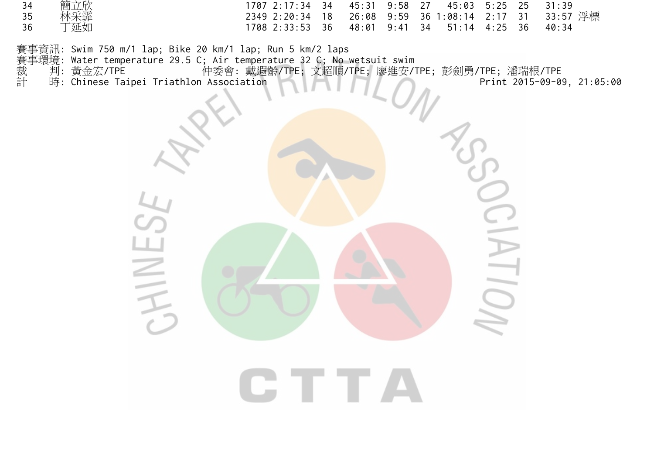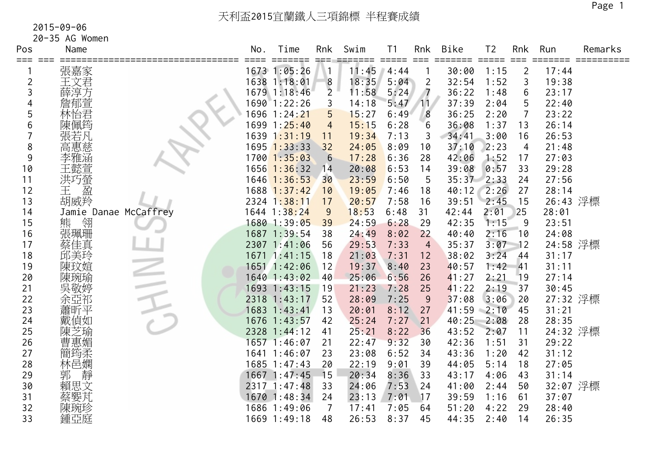| Pos            | Name                  | No. | Time             | Rnk              | Swim  | T <sub>1</sub> | Rnk            | <b>Bike</b> | T <sub>2</sub> | Rnk            | Run      | Remarks |
|----------------|-----------------------|-----|------------------|------------------|-------|----------------|----------------|-------------|----------------|----------------|----------|---------|
|                | 張嘉家                   |     | 1673 1:05:26     |                  | 11:45 | 4:44           |                | 30:00       | 1:15           | $\overline{2}$ | 17:44    |         |
| $\overline{2}$ | 王文君                   |     | 1638 1:18:01     | $\boldsymbol{8}$ | 18:35 | 5:04           | $\overline{2}$ | 32:54       | 1:52           | 3              | 19:38    |         |
| 3              | 薛淳方                   |     | 1679 1:18:46     | $\overline{2}$   | 11:58 | 5:24           | $\overline{7}$ | 36:22       | 1:48           | 6              | 23:17    |         |
|                | 詹郁萱                   |     | 1690 1:22:26     | 3                | 14:18 | 5:47           | 11             | 37:39       | 2:04           | 5              | 22:40    |         |
| 5              |                       |     | 1696 1:24:21     | 5                | 15:27 | 6:49           | 8              | 36:25       | 2:20           | $\overline{7}$ | 23:22    |         |
| 6              | 林怡君<br>陳佩筠            |     | 1699 1:25:40     | $\overline{4}$   | 15:15 | 6:28           | 6              | 36:08       | 1:37           | 13             | 26:14    |         |
|                | 張若凡                   |     | 1639 1:31:19     | 11               | 19:34 | 7:13           | 3              | 34:41       | 3:00           | 16             | 26:53    |         |
| 8              | 高惠慈                   |     | $1695$ $1:33:33$ | 32               | 24:05 | 8:09           | 10             | 37:10       | 2:23           | $\overline{4}$ | 21:48    |         |
| 9              | 李雅涵                   |     | $1700$ $1:35:03$ | 6                | 17:28 | 6:36           | 28             | 42:06       | 1:52           | 17             | 27:03    |         |
| 10             | 王懿萱                   |     | $1656$ $1:36:32$ | 14               | 20:08 | 6:53           | 14             | 39:08       | 0:57           | 33             | 29:28    |         |
| 11             | 洪巧螢                   |     | $1646$ 1:36:53   | 30               | 23:59 | 6:50           | 5              | 35:37       | 2:33           | 24             | 27:56    |         |
| 12             | 盈<br>王                |     | 1688 1:37:42     | 10               | 19:05 | 7:46           | 18             | 40:12       | 2:26           | 27             | 28:14    |         |
| 13             | 胡威羚                   |     | 2324 1:38:11     | 17               | 20:57 | 7:58           | 16             | 39:51       | 2:45           | 15             | 26:43 浮標 |         |
| 14             | Jamie Danae McCaffrey |     | 1644 1:38:24     | $\overline{9}$   | 18:53 | 6:48           | 31             | 42:44       | 2:01           | 25             | 28:01    |         |
| 15             | 熊<br>翎                |     | 1680 1:39:05     | 39               | 24:59 | 6:28           | 29             | 42:35       | 1:15           | 9              | 23:51    |         |
| 16             | 張珮珊                   |     | 1687 1:39:54     | 38               | 24:49 | 8:02           | 22             | 40:40       | 2:16           | 10             | 24:08    |         |
| 17             | 蔡佳真                   |     | 2307 1:41:06     | 56               | 29:53 | 7:33           | $\overline{4}$ | 35:37       | 3:07           | 12             | 24:58 浮標 |         |
| 18             | 邱美玲                   |     | 1671 1:41:15     | 18               | 21:03 | 7:31           | 12             | 38:02       | 3:24           | 44             | 31:17    |         |
| 19             | 陳玟媗                   |     | 1651 1:42:06     | 12               | 19:37 | 8:40           | 23             | 40:57       | 1:42           | 41             | 31:11    |         |
| 20             | 陳琬瑜                   |     | 1640 1:43:02     | 40               | 25:06 | 6:56           | 26             | 41:27       | 2:21           | 19             | 27:14    |         |
| 21             | 吳敬婷                   |     | 1693 1:43:15     | 19               | 21:23 | 7:28           | 25             | 41:22       | 2:19           | 37             | 30:45    |         |
| 22             | 余亞祁                   |     | 2318 1:43:17     | 52               | 28:09 | 7:25           | 9              | 37:08       | 3:06           | 20             | 27:32 浮標 |         |
| 23             | 蕭昕平                   |     | 1683 1:43:41     | 13               | 20:01 | 8:12           | 27             | 41:59       | 2:10           | 45             | 31:21    |         |
| 24             | 戴偵如                   |     | 1676 1:43:57     | 42               | 25:24 | 7:27           | 21             | 40:25       | 2:08           | 28             | 28:35    |         |
| 25             | 陳芝瑜                   |     | 2328 1:44:12     | 41               | 25:21 | 8:22           | 36             | 43:52       | 2:07           | 11             | 24:32 浮標 |         |
| 26             | 曹惠媚                   |     | 1657 1:46:07     | 21               | 22:47 | 9:32           | 30             | 42:36       | 1:51           | 31             | 29:22    |         |
| 27             | 簡筠柔                   |     | 1641 1:46:07     | 23               | 23:08 | 6:52           | 34             | 43:36       | 1:20           | 42             | 31:12    |         |
| 28             | 林邑嫻                   |     | 1685 1:47:43     | 20               | 22:19 | 9:01           | 39             | 44:05       | 5:14           | 18             | 27:05    |         |
| 29             | 靜<br>郭                |     | 1667 1:47:45     | 15               | 20:34 | 8:36           | 33             | 43:17       | 4:06           | 43             | 31:14    |         |
| 30             | 賴思文<br>蔡婴芃            |     | 2317 1:47:48     | 33               | 24:06 | 7:53           | 24             | 41:00       | 2:44           | 50             | 32:07 浮標 |         |
| 31             |                       |     | 1670 1:48:34     | 24               | 23:13 | 7:01           | 17             | 39:59       | 1:16           | 61             | 37:07    |         |
| 32             | 陳琬珍                   |     | 1686 1:49:06     | $\overline{7}$   | 17:41 | 7:05           | 64             | 51:20       | 4:22           | 29             | 28:40    |         |
| 33             | 鍾亞庭                   |     | 1669 1:49:18     | 48               | 26:53 | 8:37           | 45             | 44:35       | 2:40           | 14             | 26:35    |         |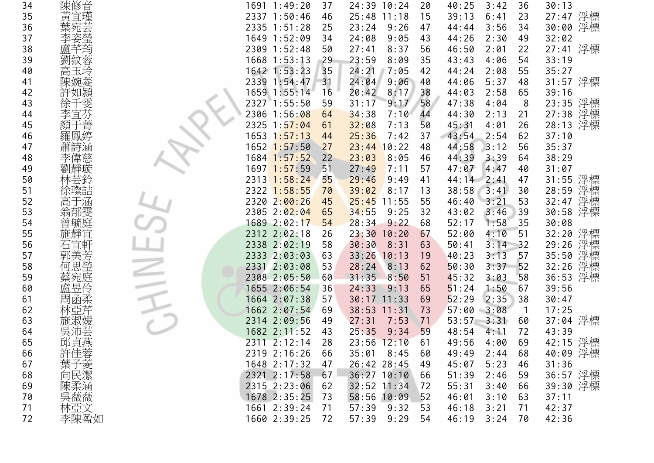| 34 |                                                                                                                  | 1691 1:49:20               | 37  | 24:39 10:24     | 20 | 40:25        | 3:42          | 36          | 30:13       |
|----|------------------------------------------------------------------------------------------------------------------|----------------------------|-----|-----------------|----|--------------|---------------|-------------|-------------|
| 35 |                                                                                                                  | 2337 1:50:46               | 46  | $25:48$ 11:18   | 15 | 39:13        | 6:41          | 23          | 27:47 浮標    |
| 36 | 陳廣音<br>黃旗<br>葉<br>葉<br>葉<br>葉                                                                                    | 2335 1:51:28               | 25  | 23:24<br>9:26   | 47 | 44:44        | 3:56          | 34          | 30:00 浮標    |
| 37 |                                                                                                                  | 1649 1:52:09               | 34  | 24:08<br>9:05   | 43 | 44:26        | 2:30          | 49          | 32:02       |
| 38 |                                                                                                                  | 2309 1:52:48               | 50  | 27:41<br>8:37   | 56 | 46:50        | 2:01          | 22          | 27:41 浮標    |
| 39 | 劉紋蓉                                                                                                              | $1668$ $1:53:13$           | -29 | 23:59<br>8:09   | 35 | 43:43        | 4:06          | 54          | 33:19       |
| 40 | 高玉玲                                                                                                              | 1642 1:53:23               | 35  | 24:21<br>7:05   | 42 | 44:24        | 2:08          | 55          | 35:27       |
| 41 | 陳婉菱                                                                                                              | 2339 1:54:47               | 31  | 24:04<br>9:06   | 40 | 44:06        | 5:37          | 48          | 31:57 浮標    |
| 42 | 許如潁                                                                                                              | 1659 1:55:14               | 16  | 20:42<br>8:17   | 38 | 44:03        | 2:58          | 65          | 39:16       |
| 43 | 徐]                                                                                                               | 2327 1:55:50               | 59  | 31:17<br>9:17   | 58 | 47:38        | 4:04          | 8           | 23:35 浮標    |
| 44 | 李宜                                                                                                               | 2306 1:56:08               | 64  | 34:38<br>7:10   | 44 | 44:30        | 2:13          | 21          | 27:38 浮標    |
| 45 | -菁<br>顏                                                                                                          | 2325 1:57:04               | 61  | 32:08<br>7:13   | 50 | 45:31        | 4:01          | 26          | 浮標<br>28:13 |
| 46 | 羅鳳婷                                                                                                              | 1653 1:57:13               | 44  | 25:36<br>7:42   | 37 | 43:54        | 2:54          | 62          | 37:10       |
| 47 | 蕭詩涵                                                                                                              | 1652 <mark>1:57</mark> :50 | 27  | $23:44$ 10:22   | 48 | 44:58        | 3:12          | 56          | 35:37       |
| 48 | 李偉慈                                                                                                              | 1684 1:57:52               | 22  | 23:03<br>8:05   | 46 | 44:39        | 3:39          | 64          | 38:29       |
| 49 |                                                                                                                  | 1697 1:57:59               | 51  | 27:49<br>7:11   | 57 | 47:07        | 4:47          | 40          | 31:07       |
| 50 |                                                                                                                  | 2313 1:58:24               | 55  | 29:46<br>9:49   | 41 | $44:14$ 2:41 |               | 47          | 31:55 浮標    |
| 51 | 徐璨詰                                                                                                              | $2322$ 1:58:55             | 70  | 39:02<br>8:17   | 13 | 38:58        | 3:41          | 30          | 浮標<br>28:59 |
| 52 | 高于涵                                                                                                              | 2320 2:00:26               | 45  | $25:45$ 11:55   | 55 | 46:40        | 3:21          | 53          | 浮標<br>32:47 |
| 53 | 翁郁雯                                                                                                              | 2305 2:02:04               | 65  | 34:55<br>9:25   | 32 | 43:02        | 3:46          | 39          | 30:58 浮標    |
| 54 | 曾毓庭                                                                                                              | 1689 2:02:17               | 54  | 28:34<br>9:22   | 68 | 52:17        | 1:58          | 35          | 30:08       |
| 55 | 施靜宜                                                                                                              | 2312 2:02:18               | 26  | $23:30$ 10:20   | 67 | 52:00        | 4:10          | 51          | 32:20 浮標    |
| 56 | 石宜軒                                                                                                              | 2338 2:02:19               | 58  | 30:30<br>8:31   | 63 | 50:41        | 3:14<br>$-32$ |             | 浮標<br>29:26 |
| 57 | 郭美芳                                                                                                              | 2333 2:03:03               | 63  | $33:26$ 10:13   | 19 | 40:23        | 3:13          | 57          | 浮標<br>35:50 |
| 58 | 何思瑩                                                                                                              | 2331 2:03:08               | 53  | 28:24<br>8:13   | 62 | 50:30        | 3:37          | 52          | 浮標<br>32:26 |
| 59 | 蔡宛庭                                                                                                              | 2308 2:05:50               | 60  | 31:35<br>8:50   | 51 | 45:32        | 3:03          | 58          | 36:53 浮標    |
| 60 | 盧昱伶                                                                                                              | 1655 2:06:54               | 36  | 24:33<br>9:13   | 65 | 51:24        | 1:50          | 67          | 39:56       |
| 61 | 周函柔                                                                                                              | 1664 2:07:38               | 57  | 30:17 11:33     | 69 | 52:29        | 2:35          | 38          | 30:47       |
| 62 |                                                                                                                  | 1662 2:07:54               | 69  | $38:53$ 11:31   | 73 | 57:00        | 3:08          | $\mathbf 1$ | 17:25       |
| 63 |                                                                                                                  | 2314 2:09:56               | 49  | 27:31<br>7:53   | 71 | 53:57        | 3:31          | 60          | 37:04 浮標    |
| 64 | 吳沛芸                                                                                                              | 1682 2:11:52               | 43  | 25:35<br>9:34   | 59 | 48:54        | 4:11          | 72          | 43:39       |
| 65 | 邱貞燕                                                                                                              | 2311 2:12:14               | 28  | $23:56$ $12:10$ | 61 | 49:56        | 4:00          | 69          | 42:15 浮標    |
| 66 |                                                                                                                  | 2319 2:16:26               | 66  | 35:01<br>8:45   | 60 | 49:49        | 2:44          | 68          | 40:09 浮標    |
| 67 |                                                                                                                  | 1648 2:17:32               | 47  | 26:42 28:45     | 49 | 45:07        | 5:23          | 46          | 31:36       |
| 68 | 許佳<br>葉<br>向<br><br><br><br><br><br><br><br><br><br><br><br><br><br><br><br><br><br><br><br><br><br><br><br><br> | 2321 2:17:58               | 67  | $36:27$ 10:10   | 66 | 51:39        | 2:46          | 59          | 36:57 浮標    |
| 69 | 陳柔涵                                                                                                              | 2315 2:23:06               | 62  | $32:52$ 11:34   | 72 | 55:31        | 3:40          | 66          | 39:30 浮標    |
| 70 |                                                                                                                  | $1678$ 2:35:25             | 73  | 58:56 10:09     | 52 | 46:01        | 3:10          | 63          | 37:11       |
| 71 | 林亞文                                                                                                              | 1661 2:39:24               | 71  | 57:39<br>9:32   | 53 | 46:18        | 3:21          | 71          | 42:37       |
| 72 | 李陳盈如                                                                                                             | 1660 2:39:25               | 72  | 57:39<br>9:29   | 54 | 46:19        | 3:24          | 70          | 42:36       |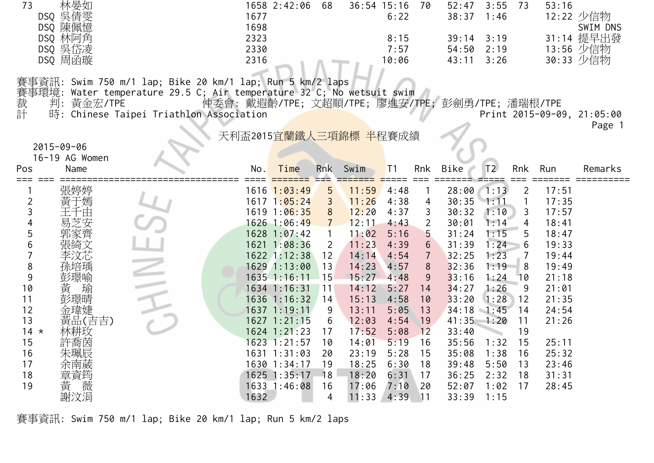| 73       | 林晏如<br>DSQ 吳倩雯   |                                                                       | 1677                                             | 1658 2:42:06                 | 68               | 36:54 15:16 70 | 6:22           |                  | 52:47<br>38:37               | 3:55<br>1:46   | 73                             | 53:16          | 12:22 少信物                  |
|----------|------------------|-----------------------------------------------------------------------|--------------------------------------------------|------------------------------|------------------|----------------|----------------|------------------|------------------------------|----------------|--------------------------------|----------------|----------------------------|
|          | DSQ 陳佩憶          |                                                                       | 1698                                             |                              |                  |                |                |                  |                              |                |                                |                | SWIM DNS                   |
|          | DSQ 林阿角          |                                                                       | 2323                                             |                              |                  |                | 8:15           |                  | 39:14                        | 3:19           |                                |                | 31:14 提早出發                 |
|          | DSQ 吳岱凌          |                                                                       | 2330                                             |                              |                  |                | 7:57           |                  | 54:50                        | 2:19           |                                |                | 13:56 少信物                  |
|          | DSQ 周函璇          |                                                                       | 2316                                             |                              |                  |                | 10:06          |                  | 43:11                        | 3:26           |                                |                | 30:33 少信物                  |
|          |                  | 賽事資訊: Swim 750 m/1 lap; Bike 20 km/1 lap; Run 5 km/2 laps             |                                                  |                              |                  |                |                |                  |                              |                |                                |                |                            |
|          |                  | 賽事環境: Water temperature 29.5 C; Air temperature 32 C; No wetsuit swim |                                                  |                              |                  |                |                |                  |                              |                |                                |                |                            |
|          | 判: 黃金宏/TPE       |                                                                       | 仲委會: 戴遐齡/TPE; 文超順/TPE; 廖進安/TPE; 彭劍勇/TPE; 潘瑞根/TPE |                              |                  |                |                |                  |                              |                |                                |                |                            |
| 裁計       |                  | 時: Chinese Taipei Triathlon Association                               |                                                  |                              |                  |                |                |                  |                              |                |                                |                | Print 2015-09-09, 21:05:00 |
|          |                  |                                                                       |                                                  |                              |                  |                |                |                  |                              |                |                                |                | Page 1                     |
|          |                  |                                                                       | 天利盃2015宜蘭鐵人三項錦標 半程賽成績                            |                              |                  |                |                |                  |                              |                |                                |                |                            |
|          | $2015 - 09 - 06$ |                                                                       |                                                  |                              |                  |                |                |                  |                              |                |                                |                |                            |
|          | 16-19 AG Women   |                                                                       |                                                  |                              |                  |                |                |                  |                              |                |                                |                |                            |
| Pos      | Name             |                                                                       | No.                                              | Time                         | <b>Rnk</b>       | Swim           | T <sub>1</sub> | Rnk              | Bike                         | T <sub>2</sub> | Rnk                            | Run            | Remarks                    |
| ===      |                  |                                                                       |                                                  | $1616$ $1:03:49$             | $=$ $=$ $=$<br>5 |                | 4:48           |                  | $28:00$ 1:13                 |                |                                | 17:51          |                            |
| 2        | 張婷婷<br>于嫣        |                                                                       |                                                  | $1617 \; 1:05:24$            | 3                | 11:59<br>11:26 | 4:38           | 4                | 30:35                        | 1:11           | $\overline{2}$<br>$\mathbf{1}$ | 17:35          |                            |
| 3        |                  |                                                                       |                                                  | 1619 1:06:35                 | 8                | 12:20          | 4:37           | 3                | 30:32                        | 1:10           | 3                              | 17:57          |                            |
| 4        |                  |                                                                       |                                                  | 1626 1:06:49                 | $7^{\circ}$      | 12:11          | 4:43           | $\overline{2}$   | 30:01                        | 1:14           | 4                              | 18:41          |                            |
| 5        |                  |                                                                       |                                                  | 1628 1:07:42                 |                  | 11:02          | 5:16           | 5                | 31:24                        | 1:15           | 5                              | 18:47          |                            |
| 6        |                  |                                                                       |                                                  | 1621 1:08:36                 | $\overline{2}$   | 11:23          | 4:39           | $6 \overline{6}$ | 31:39                        | 1:24           | 6                              | 19:33          |                            |
|          |                  |                                                                       |                                                  | 1622 1:12:38                 | 12               | 14:14          | 4:54           | $\overline{7}$   | 32:25                        | 1:23           | $\overline{7}$                 | 19:44          |                            |
| 8        |                  |                                                                       |                                                  | 1629 1:13:00                 | 13               | 14:23          | 4:57           | 8                | 32:36                        | 1:19           | 8                              | 19:49          |                            |
| 9        | 景喻               |                                                                       |                                                  | 1635 1:16:11                 | 115              | 15:27          | 4:48           | 9                | 33:16                        | 1:24           | 10                             | 21:18          |                            |
| 10       | 瑜                |                                                                       |                                                  | 1634 1:16:31                 | 11               | 14:12          | 5:27           | 14               | 34:27                        | 1:26           | 9                              | 21:01          |                            |
| 11<br>12 |                  |                                                                       |                                                  | 1636 1:16:32<br>1637 1:19:11 | 14               | 15:13          | 4:58           | 10<br>13         | 33:20                        | 1:28           | 12                             | 21:35          |                            |
| 13       | 黃品(吉吉)           |                                                                       |                                                  | $1627$ 1:21:15               | 9<br>6           | 13:11<br>12:03 | 5:05<br>4:54   | 19               | $34:18$ 1:45<br>$41:35$ 1:20 |                | 14<br>11                       | 24:54<br>21:26 |                            |
| $14 *$   | 林耕玫              |                                                                       |                                                  | $1624$ 1:21:23               | 17               | 17:52          | 5:08           | 12               | 33:40                        |                | 19                             |                |                            |
| 15       | 許喬茵              |                                                                       |                                                  | 1623 1:21:57                 | 10               | 14:01          | 5:19           | 16               | 35:56                        | 1:32           | 15                             | 25:11          |                            |
| 16       | 朱珮辰              |                                                                       |                                                  | 1631 1:31:03                 | 20               | 23:19          | 5:28           | 15               | 35:08                        | 1:38           | 16                             | 25:32          |                            |
| 17       |                  |                                                                       |                                                  | 1630 1:34:17                 | 19               | 18:25          | 6:30           | 18               | 39:48                        | 5:50           | 13                             | 23:46          |                            |
| 18       | 章資筠              |                                                                       |                                                  | $1625$ 1:35:17               | 18               | 18:20          | 6:31           | 17               | 36:25                        | 2:32           | 18                             | 31:31          |                            |
| 19       | 薇                |                                                                       |                                                  | 1633 1:46:08                 | 16               | 17:06          | 7:10           | 20               | 52:07                        | 1:02           | 17                             | 28:45          |                            |
|          | 謝汶涓              |                                                                       | 1632                                             |                              | 4                | 11:33          | $4:39$ 11      |                  | 33:39                        | 1:15           |                                |                |                            |

賽事資訊: Swim 750 m/1 lap; Bike 20 km/1 lap; Run 5 km/2 laps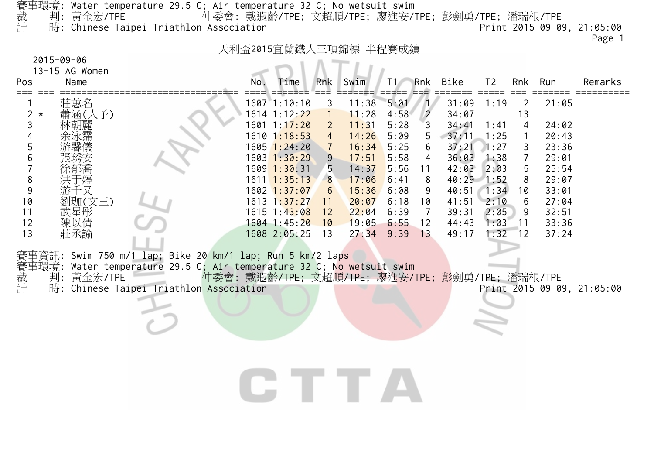| $2015 - 09 - 06$<br>13-15 AG Women |                             |                                                                                                                                                                                                                                     | 天利盃2015宜蘭鐵人三項錦標 半程賽成績                            |                                                                                                |                                                                    |                                           |                                      |                                       |                                           |                                      |                                     |                                           | Page 1                     |
|------------------------------------|-----------------------------|-------------------------------------------------------------------------------------------------------------------------------------------------------------------------------------------------------------------------------------|--------------------------------------------------|------------------------------------------------------------------------------------------------|--------------------------------------------------------------------|-------------------------------------------|--------------------------------------|---------------------------------------|-------------------------------------------|--------------------------------------|-------------------------------------|-------------------------------------------|----------------------------|
| Name<br>Pos                        |                             |                                                                                                                                                                                                                                     | No.                                              | Time                                                                                           | Rnk                                                                | Swim                                      | T1/                                  | Rnk                                   | Bike                                      | T <sub>2</sub>                       |                                     | Rnk Run                                   | Remarks                    |
| $2 *$<br>3                         | 莊蕙名<br>蕭涵(人予)<br>林朝麗        |                                                                                                                                                                                                                                     |                                                  | $1607$ $1:10:10$<br>1614 1:12:22<br>$1601$ $1:17:20$<br>$1610$ $1:18:53$                       | $\mathbf{3}$<br>$\overline{1}$<br>$\overline{2}$<br>$\overline{4}$ | 11:38<br>11:28<br>11:31<br>14:26          | 5:01<br>4:58<br>5:28<br>5:09         | $\overline{2}$<br>$\overline{3}$<br>5 | 31:09<br>34:07<br>34:41<br>37:11          | 1:19<br>1:41<br>1:25                 | 2<br>13<br>4<br>$\mathbf{1}$        | 21:05<br>24:02<br>20:43                   |                            |
| 5<br>6<br>8<br>9                   | 游千又                         |                                                                                                                                                                                                                                     |                                                  | $1605$ $1:24:20$<br>$1603$ $1:30:29$<br>$1609$ 1:30:31<br>$1611$ $1:35:13$<br>$1602$ $1:37:07$ | $\sqrt{7}$<br>9<br>5 <sup>5</sup><br>8<br>6 <sup>1</sup>           | 16:34<br>17:51<br>14:37<br>17:06<br>15:36 | 5:25<br>5:58<br>5:56<br>6:41<br>6:08 | 6<br>4<br>11<br>8<br>9                | 37:21<br>36:03<br>42:03<br>40:29<br>40:51 | 1:27<br>1:38<br>2:03<br>1:52<br>1:34 | 3<br>$\overline{7}$<br>5<br>8<br>10 | 23:36<br>29:01<br>25:54<br>29:07<br>33:01 |                            |
| 10<br>11<br>12<br>13               | 劉珈(文三)<br>武星彤<br>陳以倩<br>莊丞諭 |                                                                                                                                                                                                                                     |                                                  | $1613 \t1:37:27$<br>1615 1:43:08<br>1604 1:45:20<br>1608 2:05:25                               | 11<br>12<br>10<br>13                                               | 20:07<br>22:04<br>$19:05$ 6:55<br>27:34   | 6:18<br>6:39<br>9:39                 | 10<br>7<br>12<br>13                   | 41:51<br>39:31<br>44:43<br>49:17          | 2:10<br>2:05<br>1:03<br>1:32         | 6<br>9<br>$\sqrt{11}$<br>12         | 27:04<br>32:51<br>33:36<br>37:24          |                            |
|                                    |                             | 賽事資訊: Swim 750 m/1 lap; Bike 20 km/1 lap; Run 5 km/2 laps<br>賽事環境: Water temperature 29.5 C; Air temperature 32 C; No wetsuit swim<br>裁  判: 黃金宏/TPE      仲委會: 戴遐齡/TPE; 文超順/TPE; 廖進安/T<br>計  時: Chinese Taipei Triathlon Association | 仲委會: 戴遐齡/TPE; 文超順/TPE; 廖進安/TPE; 彭劍勇/TPE; 潘瑞根/TPE |                                                                                                |                                                                    |                                           |                                      |                                       |                                           |                                      |                                     |                                           | Print 2015-09-09, 21:05:00 |
|                                    |                             |                                                                                                                                                                                                                                     |                                                  |                                                                                                |                                                                    | <b>CTTTA</b>                              |                                      |                                       |                                           |                                      |                                     |                                           |                            |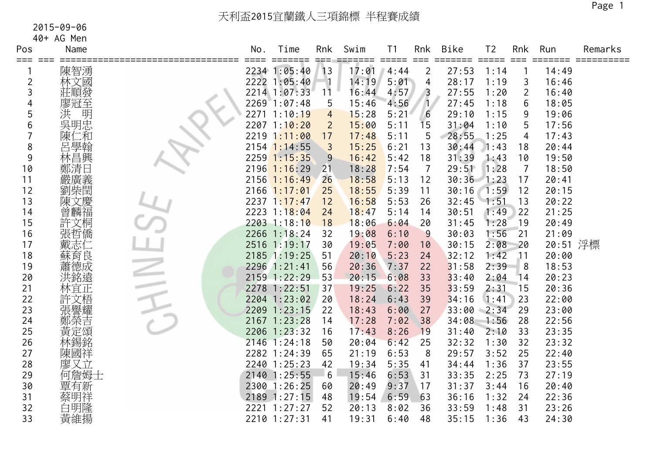40+ AG Men

| Pos            | Name   | No. | Time           | Rnk            | Swim  | T <sub>1</sub>              | Rnk            | <b>Bike</b>  | T <sub>2</sub> | Rnk             | Run      | Remarks |
|----------------|--------|-----|----------------|----------------|-------|-----------------------------|----------------|--------------|----------------|-----------------|----------|---------|
| ===            | 陳智湧    |     | 2234 1:05:40   | 13             | 17:01 | $=$ $=$ $=$ $=$ $=$<br>4:44 | $===$<br>2     | 27:53        | 1:14           |                 | 14:49    |         |
| $\overline{2}$ | 林文國    |     | 2222 1:05:40   |                | 14:19 | 5:01                        | 4              | 28:17        | 1:19           | 3               | 16:46    |         |
| 3              | 莊順發    |     | 2214 1:07:33   | 11             | 16:44 | 4:57                        | $\overline{3}$ | 27:55        | 1:20           | 2               | 16:40    |         |
| 4              | 廖冠至    |     | 2269 1:07:48   | 5              | 15:46 | 4:56                        | $\overline{1}$ | 27:45        | 1:18           | 6               | 18:05    |         |
| 5              | 洪<br>明 |     | 2271 1:10:19   | $\overline{4}$ | 15:28 | 5:21                        | 6              | 29:10        | 1:15           | 9               | 19:06    |         |
| 6              | 吳明忠    |     | $2207$ 1:10:20 | $\overline{2}$ | 15:00 | 5:11                        | 15             | 31:04        | 1:10           | 5               | 17:56    |         |
|                | 陳仁和    |     | 2219 1:11:00   | 17             | 17:48 | 5:11                        | 5              | 28:55        | 1:25           | 4               | 17:43    |         |
| 8              | 呂學翰    |     | $2154$ 1:14:55 | $\overline{3}$ | 15:25 | 6:21                        | 13             | 30:44        | 1:43           | 18              | 20:44    |         |
| 9              | 林昌興    |     | $2259$ 1:15:35 | 9              | 16:42 | 5:42                        | 18             | 31:39        | 1:43           | 10              | 19:50    |         |
| 10             | 鄭清日    |     | $2196$ 1:16:29 | 21             | 18:28 | 7:54                        | 7              | 29:51        | 1:28           | $\overline{7}$  | 18:50    |         |
| 11             | 嚴廣義    |     | $2156$ 1:16:49 | 26             | 18:58 | 5:13                        | 12             | $30:36$ 1:23 |                | 17              | 20:41    |         |
| 12             | 劉柴閏    |     | $2166$ 1:17:01 | 25             | 18:55 | 5:39                        | 11             | 30:16        | 1:59           | 12              | 20:15    |         |
| 13             | 陳文慶    |     | $2237$ 1:17:47 | 12             | 16:58 | 5:53                        | 26             | 32:45        | 1:51           | 13              | 20:22    |         |
| 14             | 曾麟福    |     | 2223 1:18:04   | 24             | 18:47 | 5:14                        | 14             | 30:51        | 1:49           | 22              | 21:25    |         |
| 15             | 許文桐    |     | 2203 1:18:10   | 18             | 18:06 | 6:04                        | 20             | 31:45        | 1:28           | 19              | 20:49    |         |
| 16             | 張哲僑    |     | 2266 1:18:24   | 32             | 19:08 | 6:10                        | 9              | 30:03        | 1:56           | 21              | 21:09    |         |
| 17             | 戴志仁    |     | 2516 1:19:17   | 30             | 19:05 | 7:00                        | 10             | 30:15        | 2:08           | 20              | 20:51 浮標 |         |
| 18             | 蘇育良    |     | 2185 1:19:25   | 51             | 20:10 | 5:23                        | 24             | 32:12        | 1:42           | $\overline{11}$ | 20:00    |         |
| 19             | 蕭德成    |     | 2296 1:21:41   | 56             | 20:36 | 7:37                        | 22             | 31:58        | 2:39           | 8               | 18:53    |         |
| 20             | 洪銘遠    |     | 2159 1:22:29   | 53             | 20:15 | 6:08                        | 33             | 33:40        | 2:04           | 14              | 20:23    |         |
| 21             | 林宜正    |     | 2278 1:22:51   | 37             | 19:25 | 6:22                        | 35             | 33:59        | 2:31           | 15              | 20:36    |         |
| 22             | 許文梧    |     | 2204 1:23:02   | 20             | 18:24 | 6:43                        | 39             | 34:16        | 1:41           | 23              | 22:00    |         |
| 23             | 張譽耀    |     | 2209 1:23:15   | 22             | 18:43 | 6:00                        | 27             | 33:00        | 2:34           | 29              | 23:00    |         |
| 24             | 鄭榮吉    |     | 2167 1:23:28   | 14             | 17:28 | 7:02                        | 38             | 34:08        | 1:56           | 28              | 22:56    |         |
| 25             | 黃定頌    |     | 2206 1:23:32   | 16             | 17:43 | 8:26                        | 19             | 31:40        | 2:10           | 33              | 23:35    |         |
| 26             | 林錫銘    |     | 2146 1:24:18   | 50             | 20:04 | 6:42                        | 25             | 32:32        | 1:30           | 32              | 23:32    |         |
| 27             | 陳國祥    |     | 2282 1:24:39   | 65             | 21:19 | 6:53                        | 8              | 29:57        | 3:52           | 25              | 22:40    |         |
| 28             | 廖又立    |     | 2240 1:25:23   | 42             | 19:34 | 5:35                        | 41             | 34:44        | 1:36           | 37              | 23:55    |         |
| 29             | 何詹姆士   |     | 2140 1:25:55   | $-6$           | 15:46 | 6:53                        | 31             | 33:35        | 2:25           | 73              | 27:19    |         |
| 30             | 覃有新    |     | 2300 1:26:25   | 60             | 20:49 | 9:37                        | 17             | 31:37        | 3:44           | 16              | 20:40    |         |
| 31             | 蔡明祥    |     | 2189 1:27:15   | 48             | 19:54 | 6:59                        | 63             | 36:16        | 1:32           | 24              | 22:36    |         |
| 32             | 白明隆    |     | 2221 1:27:27   | 52             | 20:13 | 8:02                        | 36             | 33:59        | 1:48           | 31              | 23:26    |         |
| 33             | 黃維揚    |     | 2210 1:27:31   | 41             | 19:31 | 6:40                        | 48             | 35:15        | 1:36           | 43              | 24:30    |         |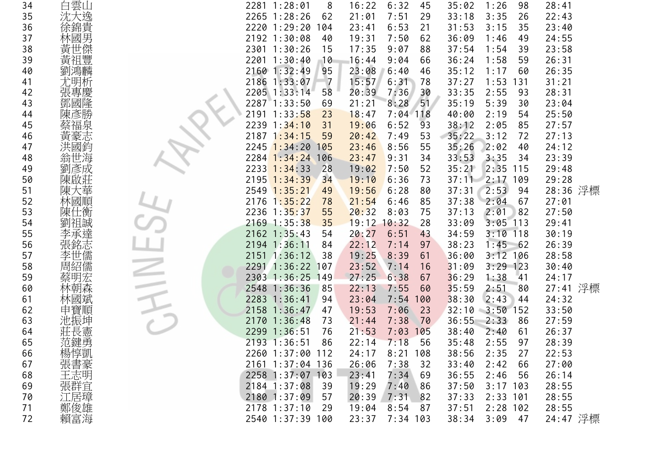| 34 |            | 2281 1:28:01     | 8              | 16:22           | 6:32<br>45  | 35:02 | 1:26<br>98  | 28:41    |
|----|------------|------------------|----------------|-----------------|-------------|-------|-------------|----------|
| 35 | 白雲山<br>沈大逸 | 2265 1:28:26     | 62             | 21:01           | 7:51<br>29  | 33:18 | 3:35<br>26  | 22:43    |
| 36 | 徐錦貴        | 2220 1:29:20     | 104            | 23:41           | 6:53<br>21  | 31:53 | 35<br>3:15  | 23:40    |
| 37 | 林國男        | 2192 1:30:08     | 40             | 19:31           | 7:50<br>62  | 36:09 | 1:46<br>49  | 24:55    |
| 38 | 黃世傑        | 2301 1:30:26     | 15             | 17:35           | 88<br>9:07  | 37:54 | 39<br>1:54  | 23:58    |
| 39 | 黃祖豐        | 2201 1:30:40     | 10             | 16:44           | 9:04<br>66  | 36:24 | 1:58<br>59  | 26:31    |
| 40 | 劉鴻麟        | 2160 1:32:49     | 95             | 23:08           | 6:40<br>46  | 35:12 | 1:17<br>60  | 26:35    |
| 41 | 尤明析        | 2186 1:33:07     | $\overline{7}$ | 15:57           | 6:31<br>78  | 37:27 | 1:53<br>131 | 31:21    |
| 42 | 張專慶        | 2205 1:33:14     | 58             | 20:39           | 7:36<br>30  | 33:35 | 2:55<br>93  | 28:31    |
| 43 | 鄧國隆        | 2287 1:33:50     | 69             | 21:21           | 51<br>8:28  | 35:19 | 5:39<br>30  | 23:04    |
| 44 |            | 2191 1:33:58     | 23             | 18:47           | $7:04$ 118  | 40:00 | 2:19<br>54  | 25:50    |
| 45 | 蔡福泉        | 2239 1:34:10     | 31             | 19:06           | 6:52<br>93  | 38:12 | 2:05<br>85  | 27:57    |
| 46 | 黃豪志        | 2187 1:34:15     | 59             | 20:42           | 7:49<br>53  | 35:22 | 3:12<br>72  | 27:13    |
| 47 | 洪國鈼        | 2245 1:34:20     | 105            | 23:46           | 8:56<br>55  | 35:26 | 2:02<br>40  | 24:12    |
| 48 | 世海<br>翁    | 2284 1:34:24     | 106            | 23:47           | 9:31<br>34  | 33:53 | 3:35<br>34  | 23:39    |
| 49 | 彥成         | 2233 1:34:33     | 28             | 19:02           | 7:50<br>52  | 35:21 | 2:35<br>115 | 29:48    |
| 50 |            | 2195 1:34:39     | 34             | 19:10           | 6:36<br>73  | 37:11 | $2:17$ 109  | 29:28    |
| 51 |            | 2549 1:35:21     | 49             | 19:56           | 6:28<br>80  | 37:31 | 2:53<br>-94 | 28:36 浮標 |
| 52 | 林國順        | 2176 1:35:22     | 78             | 21:54           | 6:46<br>85  | 37:38 | 2:04<br>67  | 27:01    |
| 53 | 陳仕衡        | 2236 1:35:37     | 55             | 20:32           | 8:03<br>75  | 37:13 | 2:01<br>82  | 27:50    |
| 54 | 劉祖誠        | 2169 1:35:38     | 35             | $19:12$ $10:32$ | 28          | 33:09 | 3:05<br>113 | 29:41    |
| 55 | 李承達        | $2162$ 1:35:43   | 54             | 20:27           | 6:51<br>43  | 34:59 | $3:10$ 118  | 30:19    |
| 56 | 張銘志        | 2194 1:36:11     | 84             | 22:12           | 7:14<br>97  | 38:23 | $1:45$ 62   | 26:39    |
| 57 | 李世儒        | $2151$ 1:36:12   | 38             | 19:25           | 8:39<br>61  | 36:00 | $3:12$ 106  | 28:58    |
| 58 | 周紹儒        | 2291 1:36:22 107 |                | 23:52           | 16<br>7:14  | 31:09 | $3:29$ 123  | 30:40    |
| 59 | 蔡明宏        | 2303 1:36:25     | 149            | 27:25           | 6:38<br>67  | 36:29 | 1:38<br>41  | 24:17    |
| 60 | 林朝森        | 2548 1:36:36     | 85             | 22:13           | 7:55<br>60  | 35:59 | 2:51<br>80  | 27:41 浮標 |
| 61 | 林國斌        | 2283 1:36:41     | 94             | 23:04           | 7:54<br>100 | 38:30 | 2:43<br>44  | 24:32    |
| 62 | 申寶順        | 2158 1:36:47     | 47             | 19:53           | 7:06<br>23  | 32:10 | 3:50<br>152 | 33:50    |
| 63 | 池振坤        | 2170 1:36:48     | 73             | 21:44           | 7:38<br>70  | 36:55 | 2:33<br>86  | 27:59    |
| 64 | 莊長憲        | 2299 1:36:51     | 76             | 21:53           | 7:03<br>105 | 38:40 | 2:40<br>61  | 26:37    |
| 65 | 范鍵勇        | 2193 1:36:51     | 86             | 22:14           | 7:18<br>56  | 35:48 | 2:55<br>97  | 28:39    |
| 66 | 楊惇凱<br>張書豪 | 2260 1:37:00 112 |                | 24:17           | 8:21<br>108 | 38:56 | 2:35<br>27  | 22:53    |
| 67 |            | 2161 1:37:04 136 |                | 26:06           | 7:38<br>32  | 33:40 | 2:42<br>66  | 27:00    |
| 68 | 王志明        | 2258 1:37:07 103 |                | 23:41           | 7:34<br>69  | 36:55 | 2:46<br>56  | 26:14    |
| 69 | 張群宜        | 2184 1:37:08     | -39            | 19:29           | 7:40<br>86  | 37:50 | $3:17$ 103  | 28:55    |
| 70 | 江居璋        | 2180 1:37:09     | 57             | 20:39           | 7:31<br>82  | 37:33 | $2:33$ 101  | 28:55    |
| 71 | 鄭俊雄        | $2178$ 1:37:10   | 29             | 19:04           | 8:54<br>87  | 37:51 | $2:28$ 102  | 28:55    |
| 72 | 賴富海        | 2540 1:37:39 100 |                | 23:37           | $7:34$ 103  | 38:34 | 47<br>3:09  | 24:47 浮標 |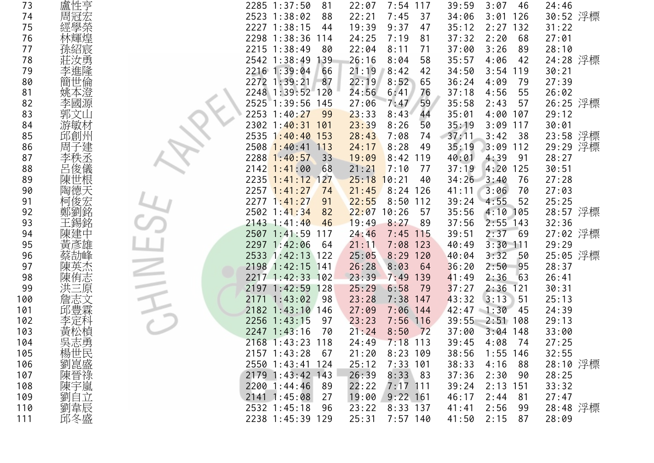| 73  | 盧性亨                    | 2285 1:37:50<br>81     | 7:54<br>22:07<br>117 | 39:59<br>3:07<br>46  | 24:46    |
|-----|------------------------|------------------------|----------------------|----------------------|----------|
| 74  | 周冠宏                    | 2523 1:38:02<br>88     | 22:21<br>7:45<br>37  | 126<br>34:06<br>3:01 | 30:52 浮標 |
| 75  | 經學榮                    | 2227 1:38:15<br>44     | 19:39<br>9:37<br>47  | 35:12<br>132<br>2:27 | 31:22    |
| 76  |                        | 2298 1:38:36<br>114    | 7:19<br>24:25<br>81  | 37:32<br>2:20<br>68  | 27:01    |
| 77  | 孫紹宸                    | 2215 1:38:49<br>80     | 22:04<br>8:11<br>71  | 37:00<br>3:26<br>89  | 28:10    |
| 78  | 莊汝勇                    | 2542 1:38:49<br>139    | 26:16<br>8:04<br>58  | 35:57<br>4:06<br>42  | 24:28 浮標 |
| 79  | 李進隆                    | 2216 1:39:04<br>66     | 21:19<br>8:42<br>42  | 34:50<br>$3:54$ 119  | 30:21    |
| 80  | 簡世倫                    | 2272 1:39:21<br>87     | 22:19<br>8:52<br>65  | 36:24<br>4:09<br>79  | 27:39    |
| 81  | 姚本澄                    | 2248 1:39:52 120       | 24:56<br>6:41<br>76  | 55<br>37:18<br>4:56  | 26:02    |
| 82  | 李國源                    | 1:39:56<br>2525<br>145 | 59<br>27:06<br>7:47  | 35:58<br>2:43<br>57  | 26:25 浮標 |
| 83  | 郭文山                    | 2253 1:40:27<br>99     | 23:33<br>8:43<br>44  | 4:00<br>35:01<br>107 | 29:12    |
| 84  | 游敏材                    | 2302 1:40:31<br>101    | 23:39<br>8:26<br>50  | 35:19<br>3:09<br>117 | 30:01    |
| 85  | 邱創州                    | 2535 1:40:40<br>153    | 28:43<br>7:08<br>74  | 37:11<br>3:42<br>38  | 23:58 浮標 |
| 86  | 周子建                    | 2508 1:40:41<br>113    | 8:28<br>49<br>24:17  | 112<br>35:19<br>3:09 | 29:29 浮標 |
| 87  | 李秩丞                    | 2288 1:40:57<br>33     | 19:09<br>8:42<br>119 | 40:01<br>4:39<br>91  | 28:27    |
| 88  |                        | $2142$ 1:41:00<br>68   | 21:21<br>7:10<br>77  | 37:19<br>4:20<br>125 | 30:51    |
| 89  |                        | $2235$ 1:41:12<br>127  | 25:18<br>10:21<br>40 | $34:26$ $3:40$<br>76 | 27:28    |
| 90  | 陶德天                    | $2257$ 1:41:27<br>74   | 21:45<br>$8:24$ 126  | 41:11<br>3:06<br>70  | 27:03    |
| 91  | 柯俊宏                    | 2277 1:41:27<br>91     | 22:55<br>8:50<br>112 | 52<br>39:24<br>4:55  | 25:25    |
| 92  | 鄭劉銘                    | 2502 1:41:34<br>82     | 22:07<br>10:26<br>57 | 35:56<br>4:10<br>105 | 28:57 浮標 |
| 93  | 王錫銘                    | $2143$ 1:41:40<br>46   | 19:49<br>8:27<br>89  | 2:55<br>37:56<br>143 | 32:36    |
| 94  | 陳建中                    | 2507 1:41:59<br>117    | 24:46<br>7:45<br>115 | 2:37<br>39:51<br>-69 | 27:02 浮標 |
| 95  | 更                      | 2297 1:42:06<br>64     | 7:08<br>123<br>21:11 | $3:30$ 111<br>40:49  | 29:29    |
| 96  |                        | 2533 1:42:13 122       | 25:05<br>8:29<br>120 | 3:32<br>40:04<br>50  | 25:05 浮標 |
| 97  | 陳英杰                    | 2198 1:42:15<br>141    | 26:28<br>8:03<br>64  | 2:50<br>95<br>36:20  | 28:37    |
| 98  | 陳侑志                    | 2217 1:42:33 102       | 23:39<br>7:49<br>139 | 63<br>2:36<br>41:49  | 26:41    |
| 99  | 洪三原                    | 2197 1:42:59<br>128    | 25:29<br>6:58<br>79  | 2:36<br>37:27<br>121 | 30:31    |
| 100 | 詹志文                    | 1:43:02<br>-98<br>2171 | 7:38<br>23:28<br>147 | 43:32<br>3:13<br>51  | 25:13    |
| 101 |                        | 2182 1:43:10<br>146    | 27:09<br>$7:06$ 144  | 42:47<br>1:30<br>45  | 24:39    |
| 102 |                        | 2256 1:43:15<br>97     | 7:56<br>23:23<br>116 | 39:55<br>2:51<br>108 | 29:13    |
| 103 | 黃松楨                    | 2247 1:43:16<br>70     | 21:24<br>8:50<br>72  | 37:00<br>3:04<br>148 | 33:00    |
| 104 | 吳志勇                    | 2168 1:43:23 118       | 24:49<br>7:18<br>113 | 39:45<br>4:08<br>74  | 27:25    |
| 105 |                        | 2157 1:43:28<br>67     | 21:20<br>8:23<br>109 | 38:56<br>1:55<br>146 | 32:55    |
| 106 |                        | 2550 1:43:41<br>124    | 7:33<br>25:12<br>101 | 4:16<br>38:33<br>88  | 28:10 浮標 |
| 107 | 、楊劉陳陳<br>陳子<br>陳朝<br>陳 | 2179 1:43:42 143       | 26:39<br>8:33<br>83  | 37:36<br>2:30<br>90  | 28:25    |
| 108 |                        | $2200$ 1:44:46<br>-89  | 22:22<br>$7:17$ 111  | 2:13<br>151<br>39:24 | 33:32    |
| 109 | 劉自立                    | 2141 1:45:08<br>27     | 19:00<br>$9:22$ 161  | 46:17<br>2:44<br>81  | 27:47    |
| 110 | 劉韋辰                    | 2532 1:45:18<br>96     | 8:33 137<br>23:22    | 2:56<br>99<br>41:41  | 28:48 浮標 |
| 111 | 邱冬盛                    | 2238 1:45:39 129       | 25:31<br>$7:57$ 140  | 41:50<br>2:15<br>87  | 28:09    |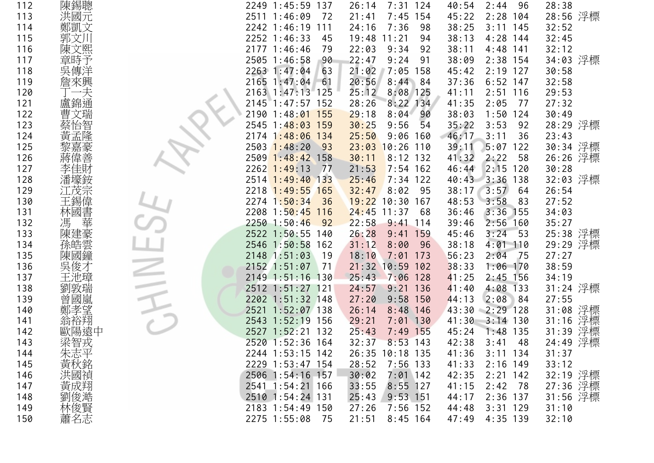| 112 | 陳錫聰         | 2249 1:45:59<br>137   | 26:14<br>7:31<br>124  | 40:54<br>2:44<br>96         | 28:38       |
|-----|-------------|-----------------------|-----------------------|-----------------------------|-------------|
| 113 | 洪國元         | 2511 1:46:09<br>72    | 7:45<br>154<br>21:41  | 2:28<br>104<br>45:22        | 28:56 浮標    |
| 114 | 鄭凱文         | 2242 1:46:19<br>111   | 7:36<br>98<br>24:16   | 38:25<br>3:11<br>145        | 32:52       |
| 115 | 郭文川         | 2252 1:46:33<br>45    | 19:48<br>11:21<br>94  | 38:13<br>4:28<br>144        | 32:45       |
| 116 | 陳文熙         | 2177 1:46:46<br>79    | 92<br>22:03<br>9:34   | $4:48$ 141<br>38:11         | 32:12       |
| 117 | 章時予         | 2505 1:46:58<br>90    | 9:24<br>22:47<br>91   | 38:09<br>2:38 154           | 34:03 浮標    |
| 118 | 吳傳洋         | 2263 1:47:04<br>63    | 21:02<br>7:05<br>158  | $2:19$ 127<br>45:42         | 30:58       |
| 119 | 詹來興         | 2165 1:47:04<br>61    | 20:56<br>8:44<br>84   | 37:36<br>$6:52$ 147         | 32:58       |
| 120 |             | 2163 1:47:13 125      | 25:12<br>8:08 125     | 41:11<br>2:51<br>116        | 29:53       |
| 121 | 盧錦通         | $2145$ 1:47:57<br>152 | 28:26<br>8:22<br>134  | 41:35<br>2:05<br>77         | 27:32       |
| 122 |             | 155<br>2190 1:48:01   | 29:18<br>8:04<br>90   | 1:50<br>124<br>38:03        | 30:49       |
| 123 | 冶           | 2545 1:48:03<br>159   | 54<br>30:25<br>9:56   | 35:22<br>3:53<br>92         | 28:29 浮標    |
| 124 | 黃孟隆         | 2174 1:48:06 134      | 25:50<br>9:06<br>160  | 46:17<br>3:11<br>36         | 23:43       |
| 125 |             | $2503$ 1:48:20<br>93  | 23:03<br>10:26<br>110 | 122<br>39:11<br>5:07        | 30:34 浮標    |
| 126 | 蔣偉善         | 2509 1:48:42 158      | 30:11<br>$8:12$ 132   | 41:32<br>2:22<br>58         | 26:26 浮標    |
| 127 | 李           | $2262$ 1:49:13<br>77  | 21:53<br>$7:54$ 162   | 46:44<br>2:15<br>120        | 30:28       |
| 128 |             | 2514 1:49:40 133      | 25:46<br>$7:34$ 122   | $40:43$ $3:36$<br>138       | 32:03 浮標    |
| 129 | 发宗          | 2218 1:49:55 165      | 32:47<br>8:02<br>-95  | 38:17<br>3:57<br>-64        | 26:54       |
| 130 | 王錫偉         | 2274 1:50:34<br>36    | 19:22<br>10:30<br>167 | 3:58<br>48:53<br>83         | 27:52       |
| 131 | 林國書         | 2208 1:50:45<br>116   | $24:45$ 11:37<br>68   | 3:36<br>155<br>36:46        | 34:03       |
| 132 | 華<br>馮      | $2250$ 1:50:46<br>92  | 22:58<br>9:41<br>114  | 39:46<br>2:56<br>160        | 35:27       |
| 133 | 陳建豪         | 2522 1:50:55<br>140   | 26:28<br>159<br>9:41  | 3:24<br>$-53$<br>45:46      | 25:38 浮標    |
| 134 | 孫皓雲         | 2546 1:50:58<br>162   | 8:00<br>96<br>31:12   | $4:01$ 110<br>38:18         | 29:29 浮標    |
| 135 | 陳國鐘         | 2148 1:51:03<br>19    | 18:10<br>7:01<br>173  | 56:23<br>2:04<br>-75        | 27:27       |
| 136 | 吳俊才         | 2152 1:51:07<br> 71   | $21:32$ 10:59<br>102  | 38:33<br>$1:06$ 170         | 38:59       |
| 137 | 王池璋         | 2149 1:51:16 130      | 25:43<br>7:06<br>128  | 41:25<br>$2:45$ 156         | 34:19       |
| 138 | 劉敦瑞         | 2512 1:51:27 121      | 24:57<br>9:21<br>136  | 41:40<br>4:08<br><b>133</b> | 31:24 浮標    |
| 139 | 曾國嵐         | 2202 1:51:32 148      | 27:20<br>$9:58$ 150   | 2:08<br>84<br>44:13         | 27:55       |
| 140 | 孝望          | 2521<br>$1:52:07$ 138 | 26:14<br>$8:48$ 146   | 43:30<br>$2:29$ 128         | 31:08 浮標    |
| 141 | 翁裕翔         | 2543 1:52:19<br>156   | 29:21<br>$7:01$ 130   | 41:30<br>$3:14$ 130         | 浮標<br>31:16 |
| 142 | 歐陽遠中        | 2527 1:52:21<br>132   | 25:43<br>155<br>7:49  | 45:24<br>1:48<br>135        | 浮標<br>31:39 |
| 143 | 梁智戎         | 2520 1:52:36 164      | 32:37<br>$8:53$ 143   | 42:38<br>48<br>3:41         | 24:49 浮標    |
| 144 |             | 2244 1:53:15 142      | 26:35 10:18 135       | 41:36<br>3:11<br>134        | 31:37       |
| 145 | 朱志平<br>黃秋銘  | 2229 1:53:47 154      | 28:52<br>$7:56$ 133   | 41:33<br>$2:16$ 149         | 33:12       |
| 146 |             | 2506 1:54:16 157      | 30:02<br>$7:01$ 142   | 42:35<br>2:21<br>142        | 32:19 浮標    |
| 147 | 《洪黃勁俊》      | 2541 1:54:21 166      | $8:55$ 127<br>33:55   | 41:15<br>2:42<br>78         | 浮標<br>27:36 |
| 148 |             | 2510 1:54:24 131      | 25:43<br>$9:53$ 151   | 44:17<br>$2:36$ 137         | 31:56 浮標    |
| 149 |             | 2183 1:54:49 150      | 27:26<br>$7:56$ 152   | 44:48<br>$3:31$ 129         | 31:10       |
| 150 | 林俊賢<br> 蕭名志 | 2275 1:55:08<br>75    | 21:51<br>$8:45$ 164   | 47:49<br>4:35 139           | 32:10       |
|     |             |                       |                       |                             |             |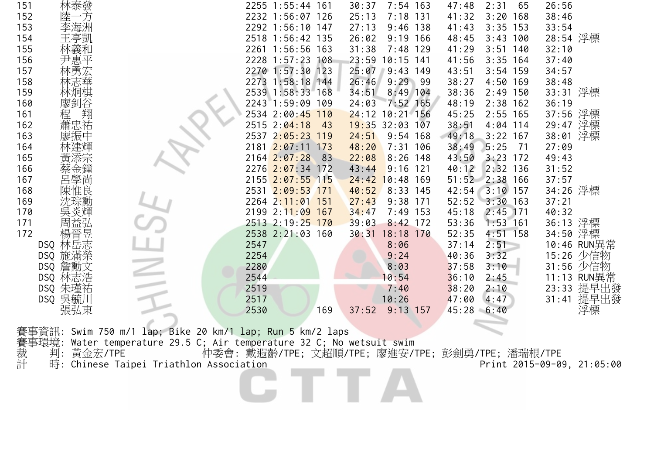| 林泰發<br>151     |                                                                                                                                                                         | 2255 1:55:44 161                                 | $7:54$ 163<br>30:37          | 2:31<br>47:48<br>65   | 26:56                      |
|----------------|-------------------------------------------------------------------------------------------------------------------------------------------------------------------------|--------------------------------------------------|------------------------------|-----------------------|----------------------------|
| 152<br>一方<br>陸 |                                                                                                                                                                         | 2232 1:56:07 126                                 | $7:18$ 131<br>25:13          | 41:32<br>$3:20$ 168   | 38:46                      |
| 李海洲<br>153     |                                                                                                                                                                         | 2292 1:56:10 147                                 | 27:13<br>$9:46$ 138          | $3:35$ 153<br>41:43   | 33:54                      |
| 王亭凱<br>154     |                                                                                                                                                                         | 2518 1:56:42 135                                 | 26:02<br>$9:19$ 166          | $3:43$ 100<br>48:45   | 28:54 浮標                   |
| 林義和<br>155     |                                                                                                                                                                         | 2261 1:56:56 163                                 | 31:38<br>$7:48$ 129          | 41:29<br>$3:51$ 140   | 32:10                      |
| 156<br>尹惠平     |                                                                                                                                                                         | 2228 1:57:23 108                                 | 23:59<br>$10:15$ 141         | $3:35$ 164<br>41:56   | 37:40                      |
| 林勇宏<br>157     |                                                                                                                                                                         | 2270 1:57:30 123                                 | 25:07<br>$9:43$ 149          | $3:54$ 159<br>43:51   | 34:57                      |
| 158            |                                                                                                                                                                         | 2273 1:58:18 144                                 | 26:46<br>$9:29$ 99           | 38:27<br>4:50 169     | 38:48                      |
| 159<br>林炯棋     |                                                                                                                                                                         | 2539 1:58:33 168                                 | $8:49$ 104<br>34:51          | 38:36<br>$2:49$ 150   | 33:31 浮標                   |
| 廖釗谷<br>160     |                                                                                                                                                                         | 2243 1:59:09 109                                 | $7:52$ 165<br>24:03          | $2:38$ 162<br>48:19   | 36:19                      |
| 翔<br>程<br>161  |                                                                                                                                                                         | 2534 2:00:45 110                                 | 24:12 10:21 156              | $2:55$ 165<br>45:25   | 37:56 浮標                   |
| 蕭忠祐<br>162     |                                                                                                                                                                         | 2515 2:04:18<br>43                               | $19:35$ 32:03 107            | 38:51<br>$4:04$ 114   | 29:47 浮標                   |
| 163            |                                                                                                                                                                         | 2537 2:05:23 119                                 | 24:51<br>$9:54$ 168          | 49:18<br>$3:22$ 167   | 浮標<br>38:01                |
| 164            |                                                                                                                                                                         | 2181 2:07:11 173                                 | $7:31$ 106<br>48:20          | 5:25<br>38:49<br>71   | 27:09                      |
| 黃添宗<br>165     |                                                                                                                                                                         | $2164$ $2:07:28$<br>83                           | 22:08<br>$8:26$ 148          | $3:23$ 172<br>43:50   | 49:43                      |
| 166            |                                                                                                                                                                         | 2276 2:07:34 172                                 | 43:44<br>$9:16$ 121          | 40:12<br>$2:32$ 136   | 31:52                      |
| 呂學尚<br>167     |                                                                                                                                                                         | 2155 2:07:55 115                                 | 24:42<br>$10:48$ 169         | 51:52 2:38 166        | 37:57                      |
| 陳惟良<br>168     |                                                                                                                                                                         | 2531 2:09:53 171                                 | 40:52<br>$8:33$ 145          | $3:10$ 157<br>42:54   | 34:26 浮標                   |
| 沈琮勳<br>169     |                                                                                                                                                                         | 2264 2:11:01 151                                 | 27:43<br>$9:38$ 171          | 52:52<br>$3:30$ 163   | 37:21                      |
| 吳炎輝<br>170     |                                                                                                                                                                         | 2199 2:11:09 167                                 | $7:49$ 153<br>34:47          | 45:18<br>$2:45$ 171   | 40:32                      |
| 周益弘<br>171     |                                                                                                                                                                         | 2513 2:19:25 170                                 | 39:03<br>$8:42$ 172          | $1:53$ 161<br>53:36   | 36:13 浮標                   |
| 楊晉昱<br>172     |                                                                                                                                                                         | 2538 2:21:03 160                                 | 30:31<br>18:18 170           | $4:51$ 158<br>52:35   | 34:50 浮標                   |
| DSQ 林岳志        |                                                                                                                                                                         | 2547                                             | 8:06                         | 2:51<br>37:14         | 10:46 RUN異常                |
| DSQ 施滿榮        |                                                                                                                                                                         | 2254                                             | 9:24                         | 3:32<br>40:36         | 15:26 少信物                  |
| DSQ 詹勳文        |                                                                                                                                                                         | 2280                                             | 8:03                         | 3:10<br>37:58         | 31:56 少信物                  |
| DSQ 林志浩        |                                                                                                                                                                         | 2544                                             | 10:54                        | 36:10<br>2:45         | 11:13 RUN異常                |
| DSQ 朱瑾祐        |                                                                                                                                                                         | 2519                                             | 7:40                         | 38:20<br>2:10<br>4:47 | 23:33 提早出發                 |
| DSQ 吳毓川        |                                                                                                                                                                         | 2517<br>2530<br>169                              | 10:26<br>$9:13$ 157<br>37:52 | 47:00                 | 提早出發<br>31:41              |
| 張弘東            |                                                                                                                                                                         |                                                  |                              | 45:28 6:40            | 浮標                         |
|                | 事資訊: Swim 750 m/1 lap; Bike 20 km/1 lap; Run 5 km/2 laps                                                                                                                |                                                  |                              |                       |                            |
|                |                                                                                                                                                                         |                                                  |                              |                       |                            |
|                | 賽事環境: Water temperature 29.5 C; Air temperature 32 C; No wetsuit swim<br>裁  判: 黃金宏/TPE       仲委會: 戴遐齡/TPE; 文超順/TPE; 廖進安/T<br>計  時: Chinese Taipei Triathlon Association | 仲委會: 戴遐齡/TPE; 文超順/TPE; 廖進安/TPE; 彭劍勇/TPE; 潘瑞根/TPE |                              |                       |                            |
|                |                                                                                                                                                                         |                                                  |                              |                       | Print 2015-09-09, 21:05:00 |
|                |                                                                                                                                                                         |                                                  |                              |                       |                            |
|                |                                                                                                                                                                         |                                                  |                              |                       |                            |
|                |                                                                                                                                                                         |                                                  |                              |                       |                            |
|                |                                                                                                                                                                         |                                                  |                              |                       |                            |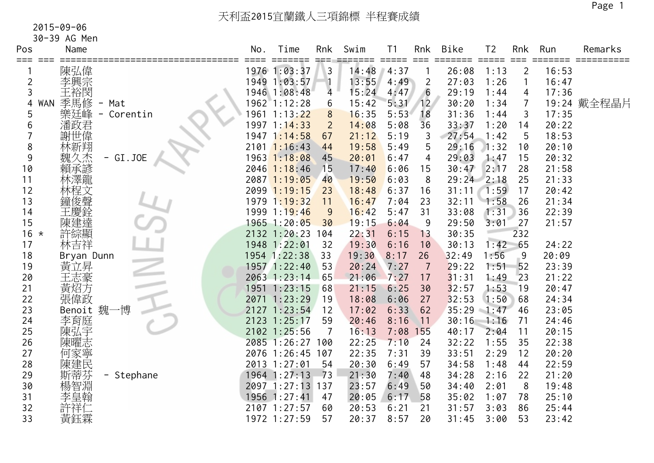30-39 AG Men

| Pos            |            | Name                                                                                                        | No. | Time                  | Rnk            | Swim  | T <sub>1</sub>              | Rnk            | Bike         | T <sub>2</sub>              | Rnk            | Run   | Remarks     |
|----------------|------------|-------------------------------------------------------------------------------------------------------------|-----|-----------------------|----------------|-------|-----------------------------|----------------|--------------|-----------------------------|----------------|-------|-------------|
| === ===        |            | 陳弘偉                                                                                                         |     | =====<br>1976 1:03:37 | 3              | 14:48 | $=$ $=$ $=$ $=$ $=$<br>4:37 | $==$           | 26:08        | $=$ $=$ $=$ $=$ $=$<br>1:13 | $\overline{2}$ | 16:53 |             |
| $\overline{2}$ |            | 李興宗                                                                                                         |     | 1949 1:03:57          |                | 13:55 | 4:49                        | $\overline{2}$ | 27:03        | 1:26                        | $\mathbf{1}$   | 16:47 |             |
| 3              |            | 王裕閔                                                                                                         |     | 1946 1:08:48          | $\overline{4}$ | 15:24 | 4:47                        | 6              | 29:19        | 1:44                        | 4              | 17:36 |             |
| 4              | <b>WAN</b> | 季馬修<br>- Mat                                                                                                |     | 1962 1:12:28          | 6              | 15:42 | 5:31                        | 12             | 30:20        | 1:34                        | $\overline{7}$ |       | 19:24 戴全程晶片 |
| 5              |            | 樂廷峰<br>Corentin<br>$\qquad \qquad -$                                                                        |     | 1961 1:13:22          | 8              | 16:35 | 5:53                        | 18             | 31:36        | 1:44                        | 3              | 17:35 |             |
| 6              |            |                                                                                                             |     | 1997 1:14:33          | $\overline{2}$ | 14:08 | 5:08                        | 36             | 33:37        | 1:20                        | 14             | 20:22 |             |
|                |            | 深面,<br><br><br><br><br><br><br><br><br><br><br><br><br><br><br><br><br><br><br><br><br><br><br><br><br><br> |     | 1947 1:14:58          | 67             | 21:12 | 5:19                        | 3              | 27:54        | 1:42                        | 5              | 18:53 |             |
| 8              |            |                                                                                                             |     | $2101$ 1:16:43        | 44             | 19:58 | 5:49                        | 5              | 29:16        | 1:32                        | 10             | 20:10 |             |
| 9              |            | 久杰<br>GI.JOE                                                                                                |     | 1963 1:18:08          | 45             | 20:01 | 6:47                        | 4              | 29:03        | 1:47                        | 15             | 20:32 |             |
| 10             |            | 賴承諺                                                                                                         |     | $2046$ 1:18:46        | 15             | 17:40 | 6:06                        | 15             | 30:47        | 2:17                        | 28             | 21:58 |             |
| 11             |            | 林澤龍                                                                                                         |     | 2087 1:19:05          | 40             | 19:50 | 6:03                        | 8              | $29:24$ 2:18 |                             | 25             | 21:33 |             |
| 12             |            | 林程文                                                                                                         |     | 2099 1:19:15          | 23             | 18:48 | 6:37                        | 16             | 31:11        | 1:59                        | 17             | 20:42 |             |
| 13             |            | 鐘俊聲                                                                                                         |     | 1979 1:19:32          | 11             | 16:47 | 7:04                        | 23             | 32:11        | 1:58                        | 26             | 21:34 |             |
| 14             |            | 王慶銓                                                                                                         |     | 1999 1:19:46          | 9              | 16:42 | 5:47                        | 31             | 33:08        | 1:31                        | 36             | 22:39 |             |
| 15             |            | 陳建達                                                                                                         |     | 1965 1:20:05          | 30             | 19:15 | 6:04                        | 9              | 29:50        | 3:01                        | 27             | 21:57 |             |
| $16 *$         |            | 許綜顯                                                                                                         |     | 2132 1:20:23          | 104            | 22:31 | 6:15                        | 13             | 30:35        |                             | 232            |       |             |
| 17             |            | 林吉祥                                                                                                         |     | 1948 1:22:01          | 32             | 19:30 | 6:16                        | 10             | 30:13        | 1:42                        | 65             | 24:22 |             |
| 18             |            | Bryan Dunn                                                                                                  |     | 1954 1:22:38          | 33             | 19:30 | 8:17                        | 26             | 32:49        | 1:56                        | $\overline{9}$ | 20:09 |             |
| 19             |            | 黃立昇                                                                                                         |     | 1957 1:22:40          | 53             | 20:24 | 7:27                        | 7              | 29:22        | 1:51                        | 52             | 23:39 |             |
| 20             |            | 王志豪                                                                                                         |     | 2063 1:23:14          | 65             | 21:06 | 7:27                        | 17             | 31:31        | 1:49                        | 23             | 21:22 |             |
| 21             |            | 黃炤方                                                                                                         |     | 1951 1:23:15          | 68             | 21:15 | 6:25                        | 30             | 32:57        | 1:53                        | 19             | 20:47 |             |
| 22             |            | 張偉政                                                                                                         |     | 2071 1:23:29          | 19             | 18:08 | 6:06                        | 27             | 32:53        | 1:50                        | 68             | 24:34 |             |
| 23             |            | 博<br>魏<br>Benoit                                                                                            |     | 2127 1:23:54          | 12             | 17:02 | 6:33                        | 62             | 35:29        | 1:47                        | 46             | 23:05 |             |
| 24             |            | 李育庭                                                                                                         |     | 2123 1:25:17          | 59             | 20:46 | 8:16                        | 11             | 30:16        | 1:16                        | 71             | 24:46 |             |
| 25             |            | 陳弘宇                                                                                                         |     | 2102 1:25:56          |                | 16:13 | 7:08                        | 155            | 40:17        | 2:04                        | 11             | 20:15 |             |
| 26             |            | 陳曜志                                                                                                         |     | 2085 1:26:27 100      |                | 22:25 | 7:10                        | 24             | 32:22        | 1:55                        | 35             | 22:38 |             |
| 27             |            | 何家寧                                                                                                         |     | 2076 1:26:45          | 107            | 22:35 | 7:31                        | 39             | 33:51        | 2:29                        | 12             | 20:20 |             |
| 28             |            | 陳建民                                                                                                         |     | 2013 1:27:01          | 54             | 20:30 | 6:49                        | 57             | 34:58        | 1:48                        | 44             | 22:59 |             |
| 29             |            | 斯蒂芬<br>- Stephane                                                                                           |     | 1964 1:27:13          | 73             | 21:30 | 7:40                        | 48             | 34:28        | 2:16                        | 22             | 21:20 |             |
| 30             |            | 楊智淵                                                                                                         |     | 2097 1:27:13 137      |                | 23:57 | 6:49                        | 50             | 34:40        | 2:01                        | 8              | 19:48 |             |
| 31             |            | 李皇翰仁                                                                                                        |     | 1956 1:27:41          | 47             | 20:05 | 6:17                        | 58             | 35:02        | 1:07                        | 78             | 25:10 |             |
| 32             |            |                                                                                                             |     | 2107 1:27:57          | 60             | 20:53 | 6:21                        | 21             | 31:57        | 3:03                        | 86             | 25:44 |             |
| 33             |            | 黃鈺霖                                                                                                         |     | 1972 1:27:59          | 57             | 20:37 | 8:57                        | 20             | 31:45        | 3:00                        | 53             | 23:42 |             |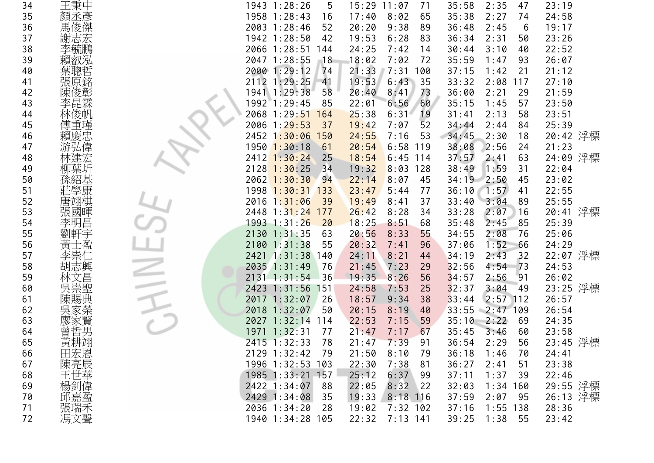| 34 | 王秉中            | 5<br>1943 1:28:26                | $15:29$ $11:07$<br>71 | 35:58<br>2:35<br>47    | 23:19    |
|----|----------------|----------------------------------|-----------------------|------------------------|----------|
| 35 | 顏丞彥            | 1958 1:28:43<br>16               | 17:40<br>8:02<br>65   | 35:38<br>2:27<br>74    | 24:58    |
| 36 | 馬俊傑            | 2003 1:28:46<br>52               | 20:20<br>9:38<br>89   | 6<br>36:48<br>2:45     | 19:17    |
| 37 | 謝志宏            | 1942 1:28:50<br>42               | 19:53<br>6:28<br>83   | 36:34<br>2:31<br>50    | 23:26    |
| 38 | 李毓鵬            | 2066 1:28:51<br>144              | 24:25<br>7:42<br>14   | 40<br>30:44<br>3:10    | 22:52    |
| 39 | 賴叡泓            | 2047 1:28:55<br>18               | 18:02<br>7:02<br>72   | 35:59<br>1:47<br>93    | 26:07    |
| 40 | 葉聰哲            | 2000 1:29:12<br>74               | 21:33<br>7:31<br>100  | 37:15<br>1:42<br>21    | 21:12    |
| 41 | 張原銘            | 2112 1:29:25<br>41               | 19:53<br>35<br>6:43   | 33:32<br>2:08<br>117   | 27:10    |
| 42 | 陳俊彰            | 1941 1:29:38<br>58               | 20:40<br>8:41<br>73   | 36:00<br>29<br>2:21    | 21:59    |
| 43 | 李昆霖            | 1992 1:29:45<br>85               | 60<br>22:01<br>6:56   | 35:15<br>1:45<br>57    | 23:50    |
| 44 |                | 2068 1:29:51<br>164              | 25:38<br>6:31<br>19   | 2:13<br>58<br>31:41    | 23:51    |
| 45 |                | 2006 1:29:53<br>37               | 52<br>7:07<br>19:42   | 34:44<br>2:44<br>84    | 25:39    |
| 46 | 賴慶忠            | $2452$ 1:30:06<br>150            | 24:55<br>7:16<br>53   | 34:45<br>2:30<br>18    | 20:42 浮標 |
| 47 |                | 1950 <mark>1:30</mark> :18<br>61 | $6:58$ 119<br>20:54   | 38:08<br>2:56<br>24    | 21:23    |
| 48 | 林建宏            | $2412$ 1:30:24<br>25             | 18:54<br>$6:45$ 114   | 37:57<br>2:41<br>63    | 24:09 浮標 |
| 49 |                | 34<br>$2128$ 1:30:25             | 19:32<br>$8:03$ 128   | 38:49<br>1:59<br>31    | 22:04    |
| 50 |                | $2062$ 1:30:30<br>94             | 22:14<br>8:07<br>45   | $34:19$ $2:50$<br>45   | 23:02    |
| 51 | 莊學康            | 1998 1:30:31<br>133              | 23:47<br>5:44<br>77   | 36:10<br>1:57<br>41    | 22:55    |
| 52 | 唐翊棋            | $2016$ 1:31:06<br>39             | 19:49<br>37<br>8:41   | 33:40<br>89<br>3:04    | 25:55    |
| 53 | 張國暉            | $2448$ 1:31:24<br>177            | 26:42<br>8:28<br>34   | 33:28<br>2:07<br>16    | 20:41 浮標 |
| 54 | 李明昌            | 1993 1:31:26<br>20               | 18:25<br>8:51<br>68   | 2:45<br>85<br>35:48    | 25:39    |
| 55 | 劉軒宇            | $2130$ $1:31:35$<br>63           | 20:56<br>8:33<br>55   | 34:55<br>2:08<br>76    | 25:06    |
| 56 | 黃              | 2100 1:31:38<br>55               | 20:32<br>7:41<br>96   | 1:52<br>66<br>37:06    | 24:29    |
| 57 |                | 2421 1:31:38 140                 | 24:11<br>8:21<br>44   | 2:43<br>34:19<br>32    | 22:07 浮標 |
| 58 | 胡志興            | 2035 1:31:49<br>76               | 7:23<br>21:45<br>29   | 32:56<br>$-73$<br>4:54 | 24:53    |
| 59 |                | 2131 1:31:54<br>36               | 19:35<br>8:26<br>56   | 34:57<br>2:56<br>91    | 26:02    |
| 60 |                | 2423 1:31:56<br>151              | 24:58<br>7:53<br>25   | 3:04<br>32:37<br>'49   | 23:25 浮標 |
| 61 | 吳崇聖<br>陳賜典     | 2017 1:32:07<br>26               | 38<br>18:57<br>9:34   | $2:57$ 112<br>33:44    | 26:57    |
| 62 |                | 2018 1:32:07<br>50               | 40<br>20:15<br>8:19   | 33:55<br>$-2:47$ 109   | 26:54    |
| 63 |                | 2027 1:32:14 114                 | 22:53<br>7:15<br>59   | 35:10<br>2:22<br>69    | 24:35    |
| 64 | 曾哲男            | 1971 1:32:31<br>77               | 21:47<br>7:17<br>67   | 35:45<br>3:46<br>60    | 23:58    |
| 65 | 黃耕跡            | 2415 1:32:33<br>78               | 21:47<br>7:39<br>91   | 56<br>36:54<br>2:29    | 23:45 浮標 |
| 66 |                | 2129 1:32:42<br>79               | 21:50<br>8:10<br>79   | 36:18<br>1:46<br>70    | 24:41    |
| 67 |                | 1996 1:32:53 103                 | 22:30<br>7:38<br>81   | 36:27<br>2:41<br>51    | 23:38    |
| 68 | 田陳王楊。<br>宏亮世釗書 | 1985 1:33:21 157                 | 25:12<br>6:37<br>99   | 1:37<br>37:11<br>39    | 22:46    |
| 69 |                | 2422 1:34:07<br>88               | 22:05<br>8:32<br> 22  | 32:03<br>1:34<br>160   | 29:55 浮標 |
| 70 | 邱嘉盈            | 2429 1:34:08<br>35               | 19:33<br>$8:18$ 116   | 37:59<br>2:07<br>95    | 26:13 浮標 |
| 71 | 張瑞禾            | 2036 1:34:20<br>28               | $7:32$ 102<br>19:02   | 37:16<br>$1:55$ 138    | 28:36    |
| 72 | 馮文聲            | 1940 1:34:28 105                 | $7:13$ 141<br>22:32   | 1:38<br>55<br>39:25    | 23:42    |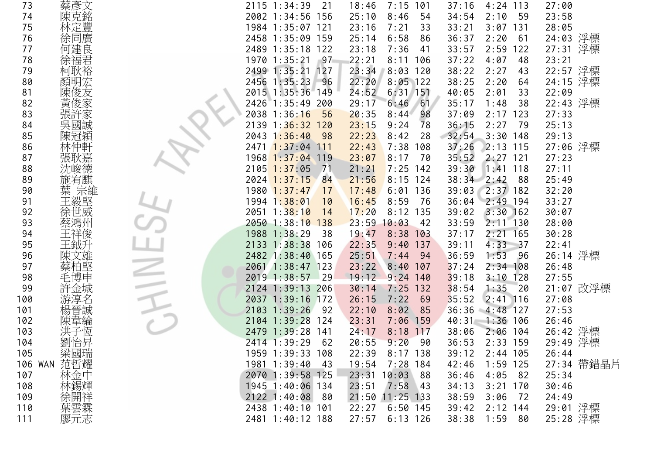| 73      | 蔡彥文        | 2115 1:34:39<br>21                          | 7:15<br>101<br>18:46 | 37:16<br>$4:24$ 113    | 27:00      |
|---------|------------|---------------------------------------------|----------------------|------------------------|------------|
| 74      | 陳克銘        | 2002 1:34:56 156                            | 25:10<br>8:46<br>54  | 34:54<br>2:10<br>59    | 23:58      |
| 75      | 林定豐        | 1984 1:35:07 121                            | 23:16<br>7:21<br>33  | 33:21<br>$3:07$ 131    | 28:05      |
| 76      | 徐同廣        | 2458 1:35:09 159                            | 25:14<br>6:58<br>86  | 2:20<br>36:37<br>61    | 24:03 浮標   |
| 77      | 何建良        | 2489 1:35:18 122                            | 7:36<br>23:18<br>41  | 33:57<br>2:59<br>122   | 27:31 浮標   |
| 78      | 徐福君        | 1970 1:35:21<br>$-97$                       | 22:21<br>8:11<br>106 | 37:22<br>4:07<br>48    | 23:21      |
| 79      | 柯耿裕        | 2499 1:35:21<br>127                         | 23:34<br>$8:03$ 120  | 38:22<br>2:27<br>43    | 22:57 浮標   |
| 80      | 顏明宏        | 2456 1:35:23<br>96                          | 22:20<br>$8:05$ 122  | 38:25<br>2:20<br>64    | 24:15 浮標   |
| 81      | 陳俊友        | 2015 1:35:36 149                            | 24:52<br>$6:31$ 151  | 40:05<br>2:01<br>33    | 22:09      |
| 82      | 黃俊家        | 1:35:49<br>2426<br>200                      | 29:17<br>6:46<br>61  | 35:17<br>1:48<br>38    | 22:43 浮標   |
| 83      |            | 2038 1:36:16<br>56                          | 20:35<br>98<br>8:44  | 2:17<br>37:09<br>123   | 27:33      |
| 84      | 張許家<br>吳國誠 | 2139 1: <mark>36:32 120</mark>              | 9:24<br>23:15<br>78  | 2:27<br>36:15<br>79    | 25:13      |
| 85      | 陳冠穎        | 1:36:40<br>2043<br>98                       | 22:23<br>8:42<br>28  | 32:54<br>$3:30$ 148    | 29:13      |
| 86      | 林仲軒        | $2471$ 1:37:04<br>111                       | 22:43<br>7:38<br>108 | 37:26<br>$2:13$ 115    | 27:06 浮標   |
| 87      | 張耿嘉        | $1968$ $1:37:04$<br>119                     | 23:07<br>70<br>8:17  | 35:52<br>$2:27$ 121    | 27:23      |
| 88      | 沈峻德        | $2105$ 1:37:05<br>71                        | $7:25$ 142<br>21:21  | 39:30<br>$1:41$ 118    | 27:11      |
| 89      | 施宥麒        | 2024 1:37:15<br>84                          | 21:56<br>$8:15$ 124  | 38:34<br>2:42<br>88    | 25:49      |
| 90      | 葉 宗維       | 1980 1:37:47<br>17                          | 17:48<br>136<br>6:01 | $2:37$ 182<br>39:03    | 32:20      |
| 91      | 王毅堅        | 1994 1:38:01<br>10                          | 8:59<br>16:45<br>76  | $2:49$ 194<br>36:04    | 33:27      |
| 92      | 徐世威        | $2051$ 1:38:10<br>14                        | 17:20<br>8:12<br>135 | $3:30$ 162<br>39:02    | 30:07      |
| 93      | 蔡鴻州        | 2050 1:38:10 138                            | 23:59<br>10:03<br>42 | 33:59<br>$2:11$ 130    | 28:00      |
| 94      | 王祥俊        | 1988 1:38:29<br>38                          | 19:47<br>8:38<br>103 | $2:21$ 165<br>37:17    | 30:28      |
| 95      | 王鉞升        | 2133 1:38:38<br>106                         | 22:35<br>9:40<br>137 | 4:33<br>39:11<br>$-37$ | 22:41      |
| 96      | 陳文雄        | 2482 1:38:40 165                            | 25:51<br>7:44<br>94  | 1:53<br>36:59<br>-96   | 26:14 浮標   |
| 97      | 蔡柏堅        | 2061 1:38:47 123                            | 23:22<br>$8:40$ 107  | 37:24<br>$2:34$ 108    | 26:48      |
| 98      | 毛博申        | 2019 1:38:57<br>$\overline{\phantom{0}}$ 29 | 19:12<br>$9:24$ 140  | 39:18<br>$3:10$ 128    | 27:55      |
| 99      | 許金城        | 2124 1:39:13 206                            | $7:25$ 132<br>30:14  | 1:35<br>38:54<br>20    | 21:07 改浮標  |
| 100     | 游淳名        | 2037 1:39:16 172                            | 26:15<br>7:22<br>69  | 35:52<br>$2:41$ 116    | 27:08      |
| 101     | 楊晉誠        | 2103 1:39:26<br>92                          | 22:10<br>8:02<br>85  | 36:36<br>$-4:48$ 127   | 27:53      |
| 102     | 陳韋綸        | 2104 1:39:28 124                            | 23:31<br>$7:06$ 159  | 40:31 1:36 106         | 26:46      |
| 103     | 洪子恆        | 2479 1:39:28<br>141                         | 24:17<br>8:18<br>117 | 38:06<br>$2:06$ 104    | 26:42 浮標   |
| 104     | 劉怡昇        | 2414 1:39:29<br>62                          | 20:55<br>9:20<br>90  | 36:53<br>$2:33$ 159    | 29:49 浮標   |
| 105     | 梁國瑞        | 1959 1:39:33 108                            | 22:39<br>$8:17$ 138  | 39:12<br>$2:44$ 105    | 26:44      |
| 106 WAN | 范哲耀        | 1981 1:39:40<br>- 43                        | $7:28$ 184<br>19:54  | 42:46<br>$1:59$ 125    | 27:34 帶錯晶片 |
| 107     | 林金中        | 2070 1:39:58 125                            | 23:31<br>10:03<br>88 | 36:46<br>4:05<br>82    | 25:34      |
| 108     | 林錫輝<br>徐開祥 | 1945 1:40:06 134                            | 23:51<br>7:58<br> 43 | $3:21$ 170<br>34:13    | 30:46      |
| 109     |            | 2122 1:40:08<br>- 80                        | $11:25$ 133<br>21:50 | 38:59<br>3:06<br>72    | 24:49      |
| 110     | 葉雲森<br>廖元志 | 2438 1:40:10 101                            | $6:50$ 145<br>22:27  | 39:42<br>$2:12$ 144    | 29:01 浮標   |
| 111     |            | 2481 1:40:12 188                            | 27:57<br>$6:13$ 126  | 38:38<br>1:59<br>80    | 25:28 浮標   |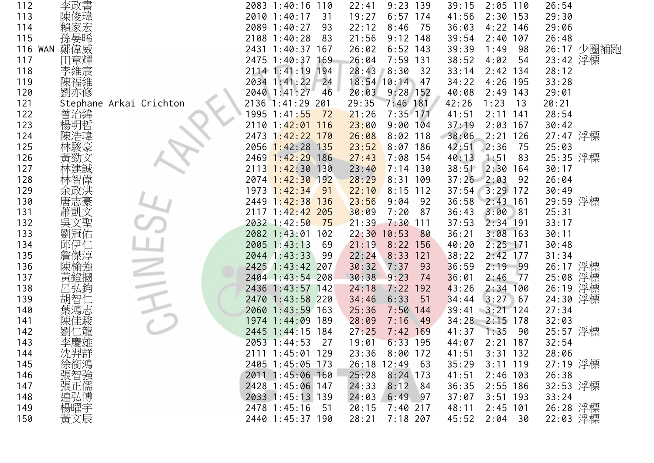| 112 | 李政書                   |                         | 2083 1:40:16     | 110<br>22:41 | $9:23$ 139          | 39:15 | $2:05$ 110  | 26:54       |  |
|-----|-----------------------|-------------------------|------------------|--------------|---------------------|-------|-------------|-------------|--|
| 113 | 陳俊瑋                   |                         | 2010 1:40:17     | 19:27<br>31  | $6:57$ 174          | 41:56 | $2:30$ 153  | 29:30       |  |
| 114 | 賴家宏                   |                         | 2089 1:40:27     | 22:12<br>93  | 75<br>8:46          | 36:03 | $4:22$ 146  | 29:06       |  |
| 115 | 孫晏晞                   |                         | 2108 1:40:28     | 21:56<br>83  | $9:12$ 148          | 39:54 | $2:40$ 107  | 26:48       |  |
|     | 鄭偉威<br><b>116 WAN</b> |                         | 2431 1:40:37 167 | 26:02        | $6:52$ 143          | 39:39 | 1:49<br>98  | 26:17 少圈補跑  |  |
| 117 | 田章輝                   |                         | 2475 1:40:37 169 | 26:04        | $7:59$ 131          | 38:52 | 4:02<br>54  | 23:42 浮標    |  |
| 118 | 李維宸                   |                         | 2114 1:41:19 194 | 28:43        | 8:30<br>32          | 33:14 | $2:42$ 134  | 28:12       |  |
| 119 | 陳福維                   |                         | 2034 1:41:22     | 24           | $18:54$ 10:14<br>47 | 34:22 | 4:26 195    | 33:28       |  |
| 120 | 劉亦修                   |                         | 2040 1:41:27     | 20:03<br>46  | $9:28$ 152          | 40:08 | $2:49$ 143  | 29:01       |  |
| 121 |                       | Stephane Arkai Crichton | 2136<br>1:41:29  | 29:35<br>201 | $7:46$ 181          | 42:26 | 1:23<br>13  | 20:21       |  |
| 122 | 曾治緯                   |                         | 1995 1:41:55     | 72<br>21:26  | $7:35$ 171          | 41:51 | $2:11$ 141  | 28:54       |  |
| 123 | 楊明哲                   |                         | 2110 1:42:01 116 | 23:00        | $9:00$ 104          | 37:19 | $2:03$ 167  | 30:42       |  |
| 124 | 陳浩瑋                   |                         | 2473 1:42:22 170 | 26:08        | $8:02$ 118          | 38:06 | $2:21$ 126  | 27:47 浮標    |  |
| 125 |                       |                         | 2056 1:42:28 135 | 23:52        | $8:07$ 186          | 42:51 | 2:36<br>75  | 25:03       |  |
| 126 | 黃勁文                   |                         | 2469 1:42:29 186 | 27:43        | $7:08$ 154          | 40:13 | 1:51<br>83  | 25:35 浮標    |  |
| 127 |                       |                         | 2113 1:42:30 130 | 23:40        | $7:14$ 130          | 38:51 | $2:30$ 164  | 30:17       |  |
| 128 |                       |                         | 2074 1:42:30 192 | 28:29        | $8:31$ 109          | 37:26 | 2:03<br>92  | 26:04       |  |
| 129 | 余政洪                   |                         | 1973 1:42:34     | 22:10<br>91  | $8:15$ 112          | 37:54 | $3:29$ 172  | 30:49       |  |
| 130 | 唐志豪                   |                         | 2449 1:42:38 136 | 23:56        | 9:04<br>92          | 36:58 | $2:43$ 161  | 29:59 浮標    |  |
| 131 | 蕭凱文                   |                         | 2117 1:42:42 205 | 30:09        | 7:20<br>87          | 36:43 | 3:00<br>81  | 25:31       |  |
| 132 | 吳文聖                   |                         | 2032 1:42:50     | 75<br>21:39  | $7:30$ 111          | 37:53 | $2:34$ 191  | 33:17       |  |
| 133 | 劉冠佑                   |                         | 2082 1:43:01     | 22:30<br>102 | 10:53<br>80         | 36:21 | $3:08$ 163  | 30:11       |  |
| 134 | 邱伊仁                   |                         | 2005 1:43:13     | 69<br>21:19  | $8:22$ 156          | 40:20 | $2:25$ 171  | 30:48       |  |
| 135 | 詹傑淳                   |                         | 2044 1:43:33     | 22:24<br>-99 | $8:33$ 121          | 38:22 | $2:42$ 177  | 31:34       |  |
| 136 | 陳榆強                   |                         | 2425 1:43:42 207 | 30:32        | 7:37<br>93          | 36:59 | $2:19$ 99   | 26:17 浮標    |  |
| 137 | 黃鐙摑                   |                         | 2404 1:43:54 208 | 30:38        | 9:23<br>74          | 36:01 | 2:46<br>77  | 浮標<br>25:08 |  |
| 138 | 呂弘鈞                   |                         | 2436 1:43:57 142 | 24:18        | 7:22<br>192         | 43:26 | 2:34<br>100 | 26:19 浮標    |  |
| 139 | 胡智仁                   |                         | 2470 1:43:58 220 | 34:46        | 6:33<br>51          | 34:44 | $3:27$ 67   | 24:30 浮標    |  |
| 140 | 葉鴻志                   |                         | 2060 1:43:59 163 | 25:36        | $7:50$ 144          | 39:41 | $3:21$ 124  | 27:34       |  |
| 141 | 陳佳駿                   |                         | 1974 1:44:09 189 | 28:09        | 7:16<br>49          | 34:28 | $2:15$ 178  | 32:03       |  |
| 142 | 劉                     |                         | 2445 1:44:15 184 | 27:25        | $7:42$ 169          | 41:37 | 1:35<br>-90 | 25:57 浮標    |  |
| 143 | 李慶雄                   |                         | 2053 1:44:53     | 27<br>19:01  | $6:33$ 195          | 44:07 | $2:21$ 187  | 32:54       |  |
| 144 |                       |                         | 2111 1:45:01 129 | 23:36        | 8:00<br>172         | 41:51 | $3:31$ 132  | 28:06       |  |
| 145 |                       |                         | 2405 1:45:05 173 | 26:18        | 12:49<br>- 63       | 35:29 | $3:11$ 119  | 27:19 浮標    |  |
| 146 | 沈徐張張張                 |                         | 2011 1:45:06 160 | 25:28        | $8:24$ 173          | 41:51 | $2:46$ 103  | 26:38       |  |
| 147 |                       |                         | 2428 1:45:06 147 | 24:33        | 8:12<br>84          | 36:35 | $2:55$ 186  | 32:53 浮標    |  |
| 148 | 連弘博                   |                         | 2033 1:45:13 139 | 24:03        | 6:49<br>97          | 37:07 | $3:51$ 193  | 33:24       |  |
| 149 | 楊曜宇                   |                         | 2478 1:45:16     | 20:15<br>-51 | $7:40$ 217          | 48:11 | $2:45$ 101  | 26:28 浮標    |  |
| 150 | 黃文辰                   |                         | 2440 1:45:37 190 | 28:21        | $7:18$ 207          | 45:52 | 2:04<br>30  | 22:03 浮標    |  |
|     |                       |                         |                  |              |                     |       |             |             |  |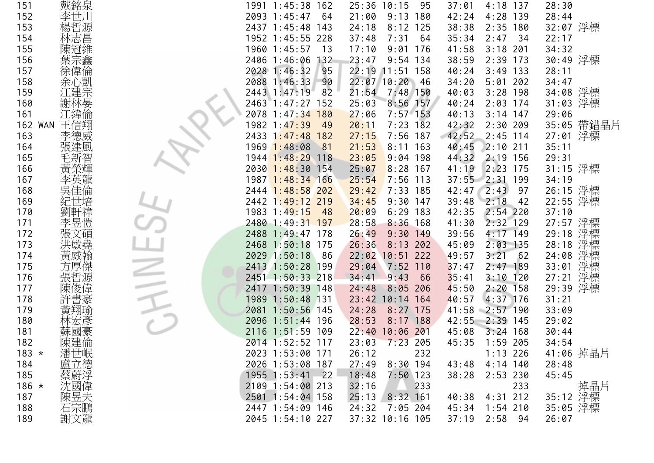| 戴銘泉<br>151            | 1991 1:45:38 162      | $25:36$ 10:15<br>95 | 4:18 137<br>37:01     | 28:30       |
|-----------------------|-----------------------|---------------------|-----------------------|-------------|
| 李世川<br>152            | 2093 1:45:47<br>64    | $9:13$ 180<br>21:00 | 4:28 139<br>42:24     | 28:44       |
| 楊哲源<br>153            | 2437 1:45:48 143      | 24:18<br>$8:12$ 125 | 38:38<br>$2:35$ 180   | 32:07 浮標    |
| 林志昌<br>154            | 1952 1:45:55 228      | 7:31<br>37:48<br>64 | 35:34<br>2:47<br>- 34 | 22:17       |
| 陳冠維<br>155            | 1960 1:45:57<br>13    | $9:01$ 176<br>17:10 | 41:58<br>$3:18$ 201   | 34:32       |
| 葉宗鑫<br>156            | 2406 1:46:06<br>132   | 23:47<br>$9:54$ 134 | 38:59<br>$2:39$ 173   | 30:49 浮標    |
| 徐偉倫<br>157            | 2028 1:46:32<br>95    | 22:19 11:51 158     | 40:24<br>$3:49$ 133   | 28:11       |
| 余心凱<br>158            | 2088 1:46:33<br>90    | $22:07$ 10:20<br>46 | 34:20<br>$5:01$ 202   | 34:47       |
| 江建宗<br>159            | 2443 1:47:19<br>82    | $7:48$ 150<br>21:54 | 40:03<br>$3:28$ 198   | 34:08 浮標    |
| 謝林晏<br>160            | 2463 1:47:27 152      | $8:56$ 157<br>25:03 | $2:03$ 174<br>40:24   | 31:03 浮標    |
| 江緯倫<br>161            | 2078 1:47:34 180      | 27:06<br>$7:57$ 153 | 40:13<br>$3:14$ 147   | 29:06       |
| 王信翔<br><b>162 WAN</b> | 1982 1:47:39<br>49    | $7:23$ 182<br>20:11 | 42:32<br>$2:30$ 209   | 35:05 帶錯晶片  |
| 李德威<br>163            | 2433 1:47:48 182      | 27:15<br>$7:56$ 187 | 42:52<br>$2:45$ 114   | 27:01 浮標    |
| 張建風<br>164            | 1969 1:48:08<br>81    | 21:53<br>$8:11$ 163 | 40:45<br>$2:10$ 211   | 35:11       |
| 毛新智<br>165            | 1944 1:48:29 118      | 23:05<br>$9:04$ 198 | 44:32<br>$2:19$ 156   | 29:31       |
| 黃榮輝<br>166            | 2030 1:48:30 154      | 25:07<br>$8:28$ 167 | 2:23 175<br>41:19     | 31:15 浮標    |
| 167                   | 1987 1:48:34 166      | 25:54<br>$7:56$ 113 | 37:55 2:31 199        | 34:19       |
| 吳佳倫<br>168            | 2444 1:48:58 202      | 29:42<br>$7:33$ 185 | 42:47<br>2:43<br>97   | 26:15 浮標    |
| 紀世培<br>169            | 2442 1:49:12 219      | 34:45<br>$9:30$ 147 | 2:18<br>39:48<br>42   | 22:55 浮標    |
| 劉軒禕<br>170            | 1983 1:49:15<br>48    | 20:09<br>$6:29$ 183 | $2:54$ 220<br>42:35   | 37:10       |
| 李昱愷<br>171            | 2480 1:49:31 197      | 28:58<br>$8:36$ 168 | 41:30<br>$2:32$ 129   | 27:57 浮標    |
| 張文碩<br>172            | 2488 1:49:47 178      | 26:49<br>$9:30$ 149 | 4:17 149<br>39:56     | 29:18 浮標    |
| 洪敏堯<br>173            | 2468 1:50:18 175      | 26:36<br>$8:13$ 202 | $2:03$ 135<br>45:09   | 28:18 浮標    |
| 黃威翰<br>174            | 2029 1:50:18<br>- 86  | 22:02 10:51 222     | 3:21<br>62<br>49:57   | 浮標<br>24:08 |
| 方厚傑<br>175            | 2413 1:50:28 199      | 29:04<br>$7:52$ 110 | 37:47<br>$2:47$ 189   | 浮標<br>33:01 |
| 176<br>張哲源            | 2451 1:50:33 218      | 9:43<br>66<br>34:41 | $3:10$ 120<br>35:41   | 浮標<br>27:21 |
| 陳俊偉<br>177            | 2417 1:50:39 148      | $8:05$ 206<br>24:48 | $2:20$ 158<br>45:50   | 29:39 浮標    |
| 許書豪<br>178            | 1989 1:50:48 131      | 23:42 10:14 164     | 40:57<br>4:37 176     | 31:21       |
| 黃翔瑜<br>179            | 2081<br>$1:50:56$ 145 | 24:28<br>$8:27$ 175 | 41:58<br>$2:57$ 190   | 33:09       |
| 林宏彦<br>180            | 2096 1:51:44 196      | 28:53<br>$8:17$ 188 | 42:55<br>$2:39$ 145   | 29:02       |
| 蘇國豪<br>181            | 2116 1:51:59 109      | 22:40<br>10:06 201  | 45:08<br>$3:24$ 168   | 30:44       |
| 陳建倫<br>182            | 2014 1:52:52 117      | 23:03<br>$7:23$ 205 | 45:35<br>$1:59$ 205   | 34:54       |
| $183 *$               | 2023 1:53:00 171      | 26:12<br>232        | $1:13$ 226            | 41:06 掉晶片   |
| 184                   | 2026 1:53:08 187      | 27:49<br>$8:30$ 194 | $4:14$ 140<br>43:48   | 28:48       |
| 潘盧蔡沈堂<br>185          | 1955 1:53:41<br>$-22$ | 18:48<br>$7:50$ 123 | 38:28<br>$2:53$ 230   | 45:45       |
| $186 *$               | 2109 1:54:00 213      | 32:16<br>233        | 233                   | 掉晶片         |
| 陳昱夫<br>187            | 2501 1:54:04 158      | $8:32$ 161<br>25:13 | $4:31$ 212<br>40:38   | 35:12 浮標    |
| 石宗鵬<br>188            | 2447 1:54:09 146      | 24:32<br>7:05 204   | 45:34<br>$1:54$ 210   | 35:05 浮標    |
| 謝文龍<br>189            | 2045 1:54:10 227      | 37:32 10:16 105     | 37:19 2:58 94         | 26:07       |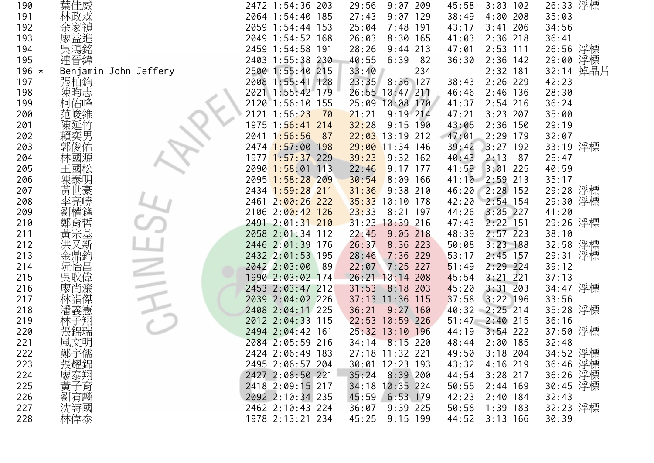| 190     | 葉佳威                   | 2472 1:54:36 203      | 29:56<br>209<br>9:07  | 45:58<br>3:03<br>102 | 26:33 浮標  |
|---------|-----------------------|-----------------------|-----------------------|----------------------|-----------|
| 191     | 林政霖                   | 2064 1:54:40 185      | 9:07<br>129<br>27:43  | 4:00<br>208<br>38:49 | 35:03     |
| 192     | 余家禎                   | 2059 1:54:44 153      | 25:04<br>$7:48$ 191   | 206<br>43:17<br>3:41 | 34:56     |
| 193     | 廖益進                   | 2049 1:54:52 168      | 26:03<br>$8:30$ 165   | $2:36$ 218<br>41:03  | 36:41     |
| 194     |                       | 2459 1:54:58<br>191   | 28:26<br>9:44<br>213  | $2:53$ 111<br>47:01  | 26:56 浮標  |
| 195     | 連晉緯                   | 2403 1:55:38 230      | 40:55<br>6:39<br>82   | $2:36$ 142<br>36:30  | 29:00 浮標  |
| $196 *$ | Benjamin John Jeffery | 2500 1:55:40 215      | 234<br>33:40          | $2:32$ 181           | 32:14 掉晶片 |
| 197     | 張柏鈞                   | 2008 1:55:41 128      | $8:36$ 127<br>23:35   | $2:26$ 229<br>38:43  | 42:23     |
| 198     | 陳昀志                   | 2021 1:55:42 179      | 26:55 10:47 211       | 46:46<br>$2:46$ 136  | 28:30     |
| 199     | 柯佑峰                   | 2120 1:56:10 155      | 10:08 170<br>25:09    | 41:37<br>$2:54$ 216  | 36:24     |
| 200     | 范峻維                   | 2121<br>1:56:23<br>70 | 21:21<br>$9:19$ 214   | $3:23$ 207<br>47:21  | 35:00     |
| 201     | 陳延竹                   | 1975 1:56:41 214      | 32:28<br>$9:15$ 190   | $2:36$ 150<br>43:05  | 29:19     |
| 202     | 賴奕男                   | 2041 1:56:56<br>87    | $22:03$ 13:19 212     | 47:01<br>$2:29$ 179  | 32:07     |
| 203     | 郭俊佑                   | 2474 1:57:00 198      | $29:00$ 11:34 146     | 192<br>39:42<br>3:27 | 33:19 浮標  |
| 204     | 林國源                   | 1977 1:57:37 229      | 39:23<br>$9:32$ 162   | 40:43<br>2:13<br>87  | 25:47     |
| 205     | 王國松                   | 2090 1:58:01 113      | 22:46<br>$9:17$ 177   | 225<br>41:59<br>3:01 | 40:59     |
| 206     |                       | 2095 1:58:28 209      | 30:54<br>$8:09$ 166   | 41:10<br>2:59 213    | 35:17     |
| 207     |                       | 2434 1:59:28 211      | 31:36<br>$9:38$ 210   | $2:28$ 152<br>46:20  | 29:28 浮標  |
| 208     | 李亮嶢                   | 2461 2:00:26 222      | 35:33<br>$10:10$ 178  | 42:20<br>2:54 154    | 29:30 浮標  |
| 209     |                       | 2106 2:00:42 126      | 23:33<br>8:21<br>197  | $3:05$ 227<br>44:26  | 41:20     |
| 210     | 鄭育                    | 2491 2:01:31 210      | 31:23 10:39 216       | $2:22$ 151<br>47:43  | 29:26 浮標  |
| 211     | 黃宗基                   | 2058 2:01:34 112      | 22:45<br>$9:05$ 218   | 48:39<br>$2:57$ 223  | 38:10     |
| 212     | 又新                    | 2446 2:01:39 176      | 26:37<br>$8:36$ 223   | $3:23$ 188<br>50:08  | 32:58 浮標  |
| 213     | 金鼎鈞                   | 2432 2:01:53 195      | $7:36$ 229<br>28:46   | $2:45$ 157<br>53:17  | 29:31 浮標  |
| 214     | 阮怡昌                   | 2042 2:03:00<br>89    | 22:07<br>$7:25$ 227   | 51:49<br>$2:29$ 224  | 39:12     |
| 215     | 吳耿偉                   | 1990 2:03:02 174      | 26:21<br>10:14<br>208 | 3:21<br>221<br>45:54 | 37:13     |
| 216     | 尚濂                    | 2453 2:03:47 212      | 31:53<br>$8:18$ 203   | 3:31<br>203<br>45:20 | 34:47 浮標  |
| 217     | 林詣傑                   | 2039 2:04:02 226      | 37:13 11:36 115       | 37:58<br>$3:22$ 196  | 33:56     |
| 218     | 潘義憲                   | 2408 2:04:11 225      | $9:27$ 160<br>36:21   | $2:25$ 214<br>40:32  | 35:28 浮標  |
| 219     | 林子翔                   | 2012 2:04:33 115      | 22:53 10:59 226       | 51:47<br>$2:40$ 215  | 36:16     |
| 220     | 張錦瑞                   | 2494 2:04:42 161      | 25:32 13:10 196       | $3:54$ 222<br>44:19  | 37:50 浮標  |
| 221     | 風文明                   | 2084 2:05:59 216      | 34:14<br>$8:15$ 220   | $2:00$ 185<br>48:44  | 32:48     |
| 222     |                       | 2424 2:06:49 183      | 27:18 11:32 221       | 49:50<br>$3:18$ 204  | 34:52 浮標  |
| 223     | 鄭宇儒<br>張耀錦            | 2495 2:06:57 204      | 30:01 12:23 193       | 43:32<br>4:16 219    | 36:46 浮標  |
| 224     | 廖泰翔<br>黄子             | 2427 2:08:50 221      | $8:39$ 200<br>35:24   | 44:54<br>$3:28$ 217  | 36:26 浮標  |
| 225     |                       | 2418 2:09:15 217      | $10:35$ 224<br>34:18  | 50:55<br>$2:44$ 169  | 30:45 浮標  |
| 226     | 劉宥麟                   | 2092 2:10:34 235      | 45:59<br>$6:53$ 179   | 42:23<br>$2:40$ 184  | 32:43     |
| 227     | 沈詩國                   | 2462 2:10:43 224      | $9:39$ 225<br>36:07   | 50:58<br>$1:39$ 183  | 32:23 浮標  |
| 228     | 林偉泰                   | 1978 2:13:21 234      | 45:25<br>$9:15$ 199   | 44:52<br>$3:13$ 166  | 30:39     |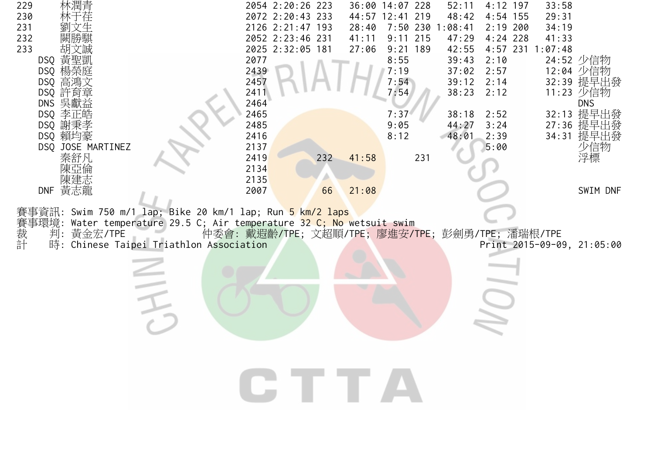| 林潤青<br>229<br>230<br>231<br>232                                                                                                                                                                                       | 2054 2:20:26 223<br>2072 2:20:43 233<br>2126 2:21:47 193<br>2052 2:23:46 231 | 52:11<br>36:00 14:07 228<br>48:42<br>44:57 12:41 219<br>1:08:41<br>28:40<br>$7:50$ 230<br>41:11<br>$9:11$ 215<br>47:29 | $4:12$ 197<br>33:58<br>29:31<br>$4:54$ 155<br>$2:19$ 200<br>34:19<br>$4:24$ 228<br>41:33                   |
|-----------------------------------------------------------------------------------------------------------------------------------------------------------------------------------------------------------------------|------------------------------------------------------------------------------|------------------------------------------------------------------------------------------------------------------------|------------------------------------------------------------------------------------------------------------|
| 233<br>DSQ 黃聖凱<br>DSQ 楊榮庭<br>DSQ 高鴻文<br>DSQ 許育章                                                                                                                                                                       | 2025 2:32:05 181<br>2077<br>2439<br>2457<br>2411                             | 27:06<br>$9:21$ 189<br>42:55<br>8:55<br>39:43<br>7:19<br>37:02<br>7:54<br>39:12<br>7:54<br>38:23                       | $4:57$ 231<br>1:07:48<br>2:10<br>24:52 少信物<br>2:57<br>12:04 少信物<br>32:39 提早出發<br>2:14<br>2:12<br>11:23 少信物 |
| DNS 吳獻益<br>DSQ 李正皓<br>DSQ 謝秉孝<br>DSQ 賴均豪<br>DSQ JOSE MARTINEZ                                                                                                                                                         | 2464<br>2465<br>2485<br>2416<br>2137                                         | 7:37<br>38:18<br>9:05<br>44:27<br>8:12<br>48:01                                                                        | <b>DNS</b><br>提早出發<br>32:13<br>2:52<br>27:36 提早出發<br>3:24<br>提早出發<br>2:39<br>34:31<br>少信物<br>5:00          |
| 秦舒凡<br>DNF 黃志龍                                                                                                                                                                                                        | 2419<br>232<br>2134<br>2135<br>2007<br>66                                    | 231<br>41:58<br>21:08                                                                                                  | 浮標<br>SWIM DNF                                                                                             |
| 資訊: Swim 750 m/1 lap; Bike 20 km/1 lap; Run <mark>5 km/2 laps</mark><br>Water temperature 29.5 C; Air temperature 32 C; No wetsuit swim<br>事環境:<br>賽裁計<br>黃金宏/TPE<br>判:<br>Chinese Taipei Triathlon Association<br>時: |                                                                              | 仲委會: 戴遐齡/TPE; 文超順/TPE; 廖進安/TPE; 彭劍勇/TPE; 潘瑞根/TPE                                                                       | Print 2015-09-09, 21:05:00                                                                                 |
|                                                                                                                                                                                                                       |                                                                              |                                                                                                                        |                                                                                                            |
|                                                                                                                                                                                                                       |                                                                              |                                                                                                                        |                                                                                                            |
|                                                                                                                                                                                                                       | CITTA                                                                        |                                                                                                                        |                                                                                                            |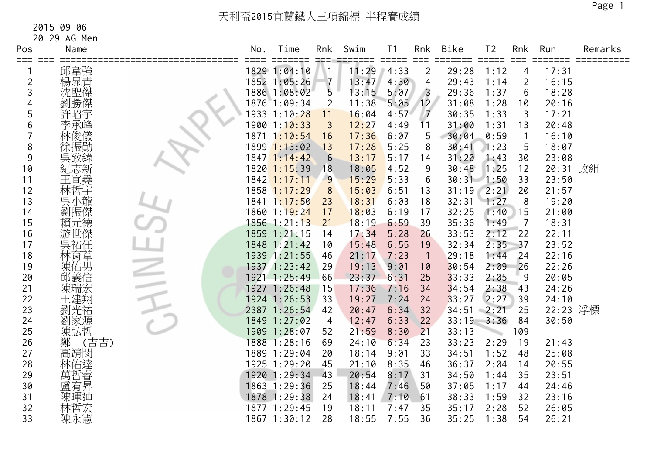| Pos            | Name       | No.  | Time                                | Rnk             | Swim         | T <sub>1</sub>              | Rnk            | Bike           | T <sub>2</sub>              | Rnk            | Run            | Remarks    |
|----------------|------------|------|-------------------------------------|-----------------|--------------|-----------------------------|----------------|----------------|-----------------------------|----------------|----------------|------------|
| === ===        |            |      | $=$ $=$ $=$ $=$ $=$<br>1829 1:04:10 |                 | ===<br>11:29 | $=$ $=$ $=$ $=$ $=$<br>4:33 | $==$           | =====<br>29:28 | $=$ $=$ $=$ $=$ $=$<br>1:12 | $=$ $=$ $=$    | =====<br>17:31 | ========== |
| $\overline{2}$ | 邱韋強<br>楊晁青 |      | 1852 1:05:26                        | $\overline{7}$  | 13:47        | 4:30                        | 2<br>4         | 29:43          | 1:14                        | 4<br>2         | 16:15          |            |
| 3              | 沈聖傑        |      | 1886 1:08:02                        | 5               | 13:15        | 5:07                        | $\overline{3}$ | 29:36          | 1:37                        | 6              | 18:28          |            |
|                | 劉勝傑        |      | 1876 1:09:34                        | $\overline{2}$  | 11:38        | 5:05                        | 12             | 31:08          | 1:28                        | 10             | 20:16          |            |
| 5              | 許昭宇        |      | 1933 1:10:28                        | 11              | 16:04        | 4:57                        | $\overline{7}$ | 30:35          | 1:33                        | $\mathfrak{Z}$ | 17:21          |            |
| 6              | 李承峰        |      | 1900 1:10:33                        | 3               | 12:27        | 4:49                        | 11             | 31:00          | 1:31                        | 13             | 20:48          |            |
|                | 林俊儀        | 1871 | 1:10:54                             | 16              | 17:36        | 6:07                        | 5              | 30:04          | 0:59                        |                | 16:10          |            |
| 8              |            |      | 1899 1:13:02                        | 13              | 17:28        | 5:25                        | 8              | 30:41          | 1:23                        | 5              | 18:07          |            |
| 9              |            |      | 1847 1:14:42                        | $6\phantom{1}6$ | 13:17        | 5:17                        | 14             | 31:20          | 1:43                        | 30             | 23:08          |            |
| 10             | 紀志新        |      | $1820$ $1:15:39$                    | 18              | 18:05        | 4:52                        | 9              | 30:48          | 1:25                        | 12             | 20:31 改組       |            |
| 11             | 王宣堯        |      | 1842 1:17:11                        | $\overline{9}$  | 15:29        | 5:33                        | 6              | 30:31          | 1:50                        | 33             | 23:50          |            |
| 12             | 林哲宇        |      | 1858 1:17:29                        | 8               | 15:03        | 6:51                        | 13             | 31:19          | 2:21                        | 20             | 21:57          |            |
| 13             | 吳小龍        |      | 1841 1:17:50                        | 23              | 18:31        | 6:03                        | 18             | 32:31          | 1:27                        | 8              | 19:20          |            |
| 14             | 劉振傑        |      | 1860 1:19:24                        | 17              | 18:03        | 6:19                        | 17             | 32:25          | 1:40                        | 15             | 21:00          |            |
| 15             | 賴元德        |      | 1856 1:21:13                        | 21              | 18:19        | 6:59                        | 39             | 35:36          | 1:49                        | $\overline{7}$ | 18:31          |            |
| 16             | 游世傑        |      | 1859 1:21:15                        | 14              | 17:34        | 5:28                        | 26             | 33:53          | 2:12                        | 22             | 22:11          |            |
| 17             | 吳祐任        |      | 1848 1:21:42                        | 10              | 15:48        | 6:55                        | 19             | 32:34          | 2:35                        | 37             | 23:52          |            |
| 18             | 林育葦        |      | 1939 1:21:55                        | 46              | 21:17        | 7:23                        | $\overline{1}$ | 29:18          | 1:44                        | 24             | 22:16          |            |
| 19             | 陳佑男        |      | 1937 1:23:42                        | 29              | 19:13        | 9:01                        | 10             | 30:54          | 2:09                        | 26             | 22:26          |            |
| 20             | 邱義信        |      | 1921 1:25:49                        | 66              | 23:37        | 6:31                        | 25             | 33:33          | 2:05                        | 9              | 20:05          |            |
| 21             | 陳瑞宏        |      | 1927 1:26:48                        | 15              | 17:36        | 7:16                        | 34             | 34:54          | 2:38                        | 43             | 24:26          |            |
| 22             | 王建翔        |      | 1924 1:26:53                        | 33              | 19:27        | 7:24                        | 24             | 33:27          | 2:27                        | 39             | 24:10          |            |
| 23             | 劉光祐        |      | 2387 1:26:54                        | 42              | 20:47        | 6:34                        | 32             | 34:51          | $-2:21$                     | 25             | 22:23 浮標       |            |
| 24             | 劉家源        |      | 1849 1:27:02                        | 4               | 12:47        | 6:33                        | 22             | 33:19          | 3:36                        | 84             | 30:50          |            |
| 25             | 陳弘哲        |      | 1909 1:28:07                        | 52              | 21:59        | 8:30                        | 21             | 33:13          |                             | 109            |                |            |
| 26             | (吉吉)<br>鄭  |      | 1888 1:28:16                        | 69              | 24:10        | 6:34                        | 23             | 33:23          | 2:29                        | 19             | 21:43          |            |
| 27             | 高靖閔        |      | 1889 1:29:04                        | 20              | 18:14        | 9:01                        | 33             | 34:51          | 1:52                        | 48             | 25:08          |            |
| 28             | 林佑達        |      | 1925 1:29:20                        | 45              | 21:10        | 8:35                        | 46             | 36:37          | 2:04                        | 14             | 20:55          |            |
| 29             | 萬哲睿        |      | 1920 1:29:34                        | 43              | 20:54        | 8:17                        | 31             | 34:50          | 1:44                        | 35             | 23:51          |            |
| 30             | 盧宥昇        |      | 1863 1:29:36                        | 25              | 18:44        | 7:46                        | 50             | 37:05          | 1:17                        | 44             | 24:46          |            |
| 31             | 陳暉迪        |      | 1878 1:29:38                        | 24              | 18:41        | 7:10                        | 61             | 38:33          | 1:59                        | 32             | 23:16          |            |
| 32             | 林哲宏        |      | 1877 1:29:45                        | 19              | 18:11        | 7:47                        | 35             | 35:17          | 2:28                        | 52             | 26:05          |            |
| 33             | 陳永憲        |      | 1867 1:30:12                        | 28              | 18:55        | 7:55                        | 36             | 35:25          | 1:38                        | 54             | 26:21          |            |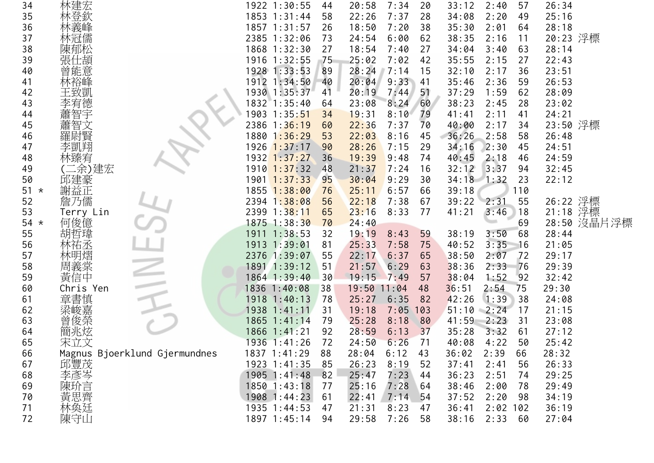| 34         | 林建宏                           | 1922 1:30:55<br>44     | 7:34<br>20:58<br>20  | 33:12<br>2:40<br>57    | 26:34       |
|------------|-------------------------------|------------------------|----------------------|------------------------|-------------|
| 35         | 林登欽                           | 1853 1:31:44<br>58     | 22:26<br>7:37<br>28  | 34:08<br>2:20<br>49    | 25:16       |
| 36         | 林義峰                           | 1857 1:31:57<br>26     | 18:50<br>7:20<br>38  | 35:30<br>2:01<br>64    | 28:18       |
| 37         | 林冠儒                           | 2385 1:32:06<br>73     | 24:54<br>6:00<br>62  | 38:35<br>2:16<br>11    | 20:23 浮標    |
| 38         | 陳郁松                           | 1868 1:32:30<br>27     | 18:54<br>7:40<br>27  | 63<br>34:04<br>3:40    | 28:14       |
| 39         | 張仕頡                           | 1916 1:32:55<br>75     | 25:02<br>7:02<br>42  | 35:55<br>2:15<br>27    | 22:43       |
| 40         | 曾能意                           | 1928 1:33:53<br>89     | 28:24<br>7:14<br>15  | 32:10<br>2:17<br>36    | 23:51       |
| 41         | 林裕峰                           | 1912 1:34:50<br>40     | 20:04<br>$9:33$ 41   | 35:46<br>2:36<br>59    | 26:53       |
| 42         | 王致凱                           | 1930 1:35:37<br>41     | 20:19<br>51<br>7:44  | 37:29<br>1:59<br>62    | 28:09       |
| 43         | 李宥德                           | 1832 1:35:40<br>64     | 8:24<br>23:08<br>60  | 38:23<br>2:45<br>28    | 23:02       |
| 44         | 蕭智宇                           | 1903 1:35:51<br>34     | 19:31<br>8:10<br>79  | 41<br>41:41<br>2:11    | 24:21       |
| 45         | 蕭智文                           | 2386 1:36:19<br>60     | 22:36<br>7:37<br>70  | 34<br>40:00<br>2:17    | 23:50 浮標    |
| 46         | 羅尉賢                           | 1880 1:36:29<br>53     | 22:03<br>8:16<br>45  | 36:26<br>2:58<br>58    | 26:48       |
| 47         | 李凱翔                           | 1926 1:37:17<br>90     | 28:26<br>7:15<br>29  | 45<br>34:16<br>2:30    | 24:51       |
| 48         | 林臻宥                           | $1932$ $1:37:27$<br>36 | 19:39<br>9:48<br>74  | 40:45<br>2:18<br>46    | 24:59       |
| 49         | 二余)建宏                         | 1910 1:37:32<br>48     | 21:37<br>7:24<br>16  | 3:37<br>32:12<br>94    | 32:45       |
| 50         | 邱建豪                           | 1901 1:37:33<br>95     | 30:04<br>9:29<br>30  | $34:18$ 1:32<br>23     | 22:12       |
| $51 *$     | 謝益正                           | 1855 1:38:00<br>76     | 25:11<br>6:57<br>66  | 110<br>39:18           |             |
| 52         | 詹乃儒                           | 2394 1:38:08<br>56     | 22:18<br>7:38<br>67  | 39:22 2:31<br>55       | 26:22 浮標    |
| 53         | Terry Lin                     | 2399 1:38:11<br>65     | 23:16<br>8:33<br>77  | 3:46<br>41:21<br>18    | 21:18 浮標    |
| 54 $\star$ | 何俊億                           | 1875 1:38:30<br>70     | 24:40                | 69                     | 28:50 沒晶片浮標 |
| 55         | 胡哲瑋                           | 1911 1:38:53<br>32     | 19:19<br>8:43<br>59  | 3:50<br>38:19<br>68    | 28:44       |
| 56         | 林祐丞                           | 1913 1:39:01<br>81     | 25:33<br>7:58<br>75  | 3:35<br>40:52<br>16    | 21:05       |
| 57         | 林明熠                           | 2376 1:39:07<br>55     | 22:17<br>6:37<br>65  | 38:50<br>2:07<br>72    | 29:17       |
| 58         | 周義棠                           | 1891 1:39:12<br>51     | 21:57<br>6:29<br>63  | 38:36<br>2:33<br>76    | 29:39       |
| 59         | 黃信中                           | 1864 1:39:40<br>30     | 19:15<br>7:49<br>57  | 1:52<br>38:04<br>92    | 32:42       |
| 60         | Chris Yen                     | 1836 1:40:08<br>38     | 19:50<br>11:04<br>48 | 36:51<br>2:54<br>75    | 29:30       |
| 61         | 章書慎                           | 1918 1:40:13<br>78     | 25:27<br>6:35<br>82  | 1:39<br>42:26<br>38    | 24:08       |
| 62         | 梁峻嘉                           | 1938 1:41:11<br>31     | 19:18<br>7:05<br>103 | 51:10<br>$-2:24$<br>17 | 21:15       |
| 63         | 曾俊榮                           | 1865 1:41:14<br>79     | 25:28<br>8:18<br>80  | 41:59<br>2:23<br>31    | 23:08       |
| 64         | 簡兆炫                           | 1866 1:41:21<br>92     | 28:59<br>6:13<br>37  | 35:28<br>3:32<br>61    | 27:12       |
| 65         | 宋立文                           | 1936 1:41:26<br>72     | 24:50<br>6:26<br>71  | 4:22<br>50<br>40:08    | 25:42       |
| 66         | Magnus Bjoerklund Gjermundnes | 1837 1:41:29<br>88     | 28:04<br>6:12<br>43  | 36:02<br>2:39<br>66    | 28:32       |
| 67         | 邱豐茂                           | 1923 1:41:35<br>85     | 26:23<br>8:19<br>52  | 37:41<br>2:41<br>56    | 26:33       |
| 68         | 李彥岑                           | 1905 1:41:48<br>82     | 25:47<br>7:23<br>44  | 2:51<br>36:23<br>74    | 29:25       |
| 69         | 陳玠言                           | $1850$ $1:43:18$<br>77 | 25:16<br>7:28<br>64  | 38:46<br>2:00<br>78    | 29:49       |
| 70         | 黃思齊<br>林奐廷                    | 1908 1:44:23<br>61     | 22:41<br>7:14<br>54  | 37:52<br>2:20<br>98    | 34:19       |
| 71         |                               | 1935 1:44:53<br>47     | 21:31<br>8:23<br>47  | 36:41<br>$2:02$ 102    | 36:19       |
| 72         | 陳守山                           | 1897 1:45:14<br>94     | 29:58<br>7:26<br>58  | 38:16<br>2:33<br>60    | 27:04       |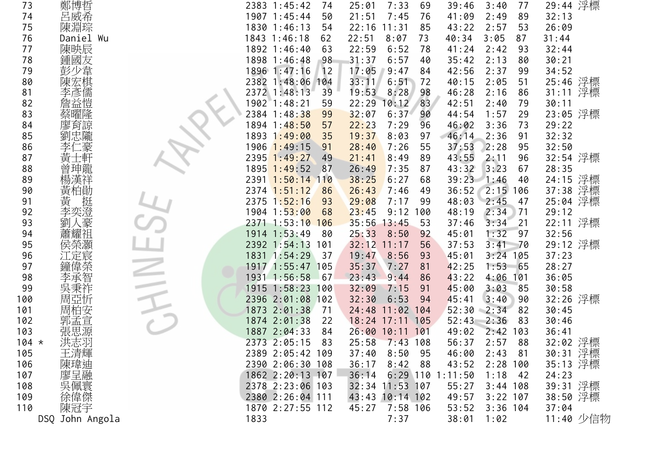|         |                         |                                                                                                                                                                                                                                                                 |  |      | 74                                                                                                                                                                                                                                                                                                                                                                                                                                                                                                                                   | 25:01                                                                                                                                                                                                                   | 7:33                                                                                                                                         | 69                                                                                                                                                                                | 39:46                                                                                                                                        | 3:40                                                                                                                                                               | 77                                                                                                                           | 29:44 浮標                                                                                                                                          |                                                                                                                                                                                                                                                 |
|---------|-------------------------|-----------------------------------------------------------------------------------------------------------------------------------------------------------------------------------------------------------------------------------------------------------------|--|------|--------------------------------------------------------------------------------------------------------------------------------------------------------------------------------------------------------------------------------------------------------------------------------------------------------------------------------------------------------------------------------------------------------------------------------------------------------------------------------------------------------------------------------------|-------------------------------------------------------------------------------------------------------------------------------------------------------------------------------------------------------------------------|----------------------------------------------------------------------------------------------------------------------------------------------|-----------------------------------------------------------------------------------------------------------------------------------------------------------------------------------|----------------------------------------------------------------------------------------------------------------------------------------------|--------------------------------------------------------------------------------------------------------------------------------------------------------------------|------------------------------------------------------------------------------------------------------------------------------|---------------------------------------------------------------------------------------------------------------------------------------------------|-------------------------------------------------------------------------------------------------------------------------------------------------------------------------------------------------------------------------------------------------|
|         |                         |                                                                                                                                                                                                                                                                 |  |      | 50                                                                                                                                                                                                                                                                                                                                                                                                                                                                                                                                   | 21:51                                                                                                                                                                                                                   | 7:45                                                                                                                                         | 76                                                                                                                                                                                | 41:09                                                                                                                                        | 2:49                                                                                                                                                               | 89                                                                                                                           | 32:13                                                                                                                                             |                                                                                                                                                                                                                                                 |
|         |                         |                                                                                                                                                                                                                                                                 |  |      | 54                                                                                                                                                                                                                                                                                                                                                                                                                                                                                                                                   | 22:16                                                                                                                                                                                                                   | 11:31                                                                                                                                        | 85                                                                                                                                                                                | 43:22                                                                                                                                        | 2:57                                                                                                                                                               | 53                                                                                                                           | 26:09                                                                                                                                             |                                                                                                                                                                                                                                                 |
|         |                         |                                                                                                                                                                                                                                                                 |  |      | 62                                                                                                                                                                                                                                                                                                                                                                                                                                                                                                                                   |                                                                                                                                                                                                                         |                                                                                                                                              | 73                                                                                                                                                                                |                                                                                                                                              |                                                                                                                                                                    | 87                                                                                                                           |                                                                                                                                                   |                                                                                                                                                                                                                                                 |
|         |                         |                                                                                                                                                                                                                                                                 |  |      |                                                                                                                                                                                                                                                                                                                                                                                                                                                                                                                                      |                                                                                                                                                                                                                         |                                                                                                                                              | 78                                                                                                                                                                                |                                                                                                                                              |                                                                                                                                                                    | 93                                                                                                                           |                                                                                                                                                   |                                                                                                                                                                                                                                                 |
|         |                         |                                                                                                                                                                                                                                                                 |  |      |                                                                                                                                                                                                                                                                                                                                                                                                                                                                                                                                      |                                                                                                                                                                                                                         |                                                                                                                                              |                                                                                                                                                                                   |                                                                                                                                              |                                                                                                                                                                    |                                                                                                                              |                                                                                                                                                   |                                                                                                                                                                                                                                                 |
|         |                         |                                                                                                                                                                                                                                                                 |  |      |                                                                                                                                                                                                                                                                                                                                                                                                                                                                                                                                      |                                                                                                                                                                                                                         |                                                                                                                                              |                                                                                                                                                                                   |                                                                                                                                              |                                                                                                                                                                    |                                                                                                                              |                                                                                                                                                   |                                                                                                                                                                                                                                                 |
|         |                         |                                                                                                                                                                                                                                                                 |  |      |                                                                                                                                                                                                                                                                                                                                                                                                                                                                                                                                      |                                                                                                                                                                                                                         |                                                                                                                                              |                                                                                                                                                                                   |                                                                                                                                              |                                                                                                                                                                    |                                                                                                                              |                                                                                                                                                   |                                                                                                                                                                                                                                                 |
|         |                         |                                                                                                                                                                                                                                                                 |  |      |                                                                                                                                                                                                                                                                                                                                                                                                                                                                                                                                      |                                                                                                                                                                                                                         |                                                                                                                                              |                                                                                                                                                                                   |                                                                                                                                              |                                                                                                                                                                    |                                                                                                                              |                                                                                                                                                   |                                                                                                                                                                                                                                                 |
|         |                         |                                                                                                                                                                                                                                                                 |  |      |                                                                                                                                                                                                                                                                                                                                                                                                                                                                                                                                      |                                                                                                                                                                                                                         |                                                                                                                                              |                                                                                                                                                                                   |                                                                                                                                              |                                                                                                                                                                    |                                                                                                                              |                                                                                                                                                   |                                                                                                                                                                                                                                                 |
|         |                         |                                                                                                                                                                                                                                                                 |  |      |                                                                                                                                                                                                                                                                                                                                                                                                                                                                                                                                      |                                                                                                                                                                                                                         |                                                                                                                                              |                                                                                                                                                                                   |                                                                                                                                              |                                                                                                                                                                    |                                                                                                                              |                                                                                                                                                   |                                                                                                                                                                                                                                                 |
|         |                         |                                                                                                                                                                                                                                                                 |  |      |                                                                                                                                                                                                                                                                                                                                                                                                                                                                                                                                      |                                                                                                                                                                                                                         |                                                                                                                                              |                                                                                                                                                                                   |                                                                                                                                              |                                                                                                                                                                    |                                                                                                                              |                                                                                                                                                   |                                                                                                                                                                                                                                                 |
|         |                         |                                                                                                                                                                                                                                                                 |  |      |                                                                                                                                                                                                                                                                                                                                                                                                                                                                                                                                      |                                                                                                                                                                                                                         |                                                                                                                                              |                                                                                                                                                                                   |                                                                                                                                              |                                                                                                                                                                    |                                                                                                                              |                                                                                                                                                   |                                                                                                                                                                                                                                                 |
|         |                         |                                                                                                                                                                                                                                                                 |  |      |                                                                                                                                                                                                                                                                                                                                                                                                                                                                                                                                      |                                                                                                                                                                                                                         |                                                                                                                                              |                                                                                                                                                                                   |                                                                                                                                              |                                                                                                                                                                    |                                                                                                                              |                                                                                                                                                   |                                                                                                                                                                                                                                                 |
|         |                         |                                                                                                                                                                                                                                                                 |  |      |                                                                                                                                                                                                                                                                                                                                                                                                                                                                                                                                      |                                                                                                                                                                                                                         |                                                                                                                                              |                                                                                                                                                                                   |                                                                                                                                              |                                                                                                                                                                    |                                                                                                                              |                                                                                                                                                   |                                                                                                                                                                                                                                                 |
|         |                         |                                                                                                                                                                                                                                                                 |  |      |                                                                                                                                                                                                                                                                                                                                                                                                                                                                                                                                      |                                                                                                                                                                                                                         |                                                                                                                                              |                                                                                                                                                                                   |                                                                                                                                              |                                                                                                                                                                    |                                                                                                                              |                                                                                                                                                   |                                                                                                                                                                                                                                                 |
|         |                         |                                                                                                                                                                                                                                                                 |  |      |                                                                                                                                                                                                                                                                                                                                                                                                                                                                                                                                      |                                                                                                                                                                                                                         |                                                                                                                                              |                                                                                                                                                                                   |                                                                                                                                              |                                                                                                                                                                    |                                                                                                                              |                                                                                                                                                   |                                                                                                                                                                                                                                                 |
|         |                         |                                                                                                                                                                                                                                                                 |  |      |                                                                                                                                                                                                                                                                                                                                                                                                                                                                                                                                      |                                                                                                                                                                                                                         |                                                                                                                                              |                                                                                                                                                                                   |                                                                                                                                              |                                                                                                                                                                    |                                                                                                                              |                                                                                                                                                   |                                                                                                                                                                                                                                                 |
|         |                         |                                                                                                                                                                                                                                                                 |  |      | 93                                                                                                                                                                                                                                                                                                                                                                                                                                                                                                                                   |                                                                                                                                                                                                                         |                                                                                                                                              | 99                                                                                                                                                                                |                                                                                                                                              |                                                                                                                                                                    |                                                                                                                              |                                                                                                                                                   |                                                                                                                                                                                                                                                 |
|         |                         |                                                                                                                                                                                                                                                                 |  |      | 68                                                                                                                                                                                                                                                                                                                                                                                                                                                                                                                                   | 23:45                                                                                                                                                                                                                   | 9:12                                                                                                                                         | 100                                                                                                                                                                               | 48:19                                                                                                                                        | 2:34                                                                                                                                                               | 71                                                                                                                           |                                                                                                                                                   |                                                                                                                                                                                                                                                 |
|         |                         |                                                                                                                                                                                                                                                                 |  |      | 106                                                                                                                                                                                                                                                                                                                                                                                                                                                                                                                                  |                                                                                                                                                                                                                         |                                                                                                                                              | 53                                                                                                                                                                                | 37:46                                                                                                                                        |                                                                                                                                                                    | 21                                                                                                                           |                                                                                                                                                   |                                                                                                                                                                                                                                                 |
|         |                         |                                                                                                                                                                                                                                                                 |  |      | 80                                                                                                                                                                                                                                                                                                                                                                                                                                                                                                                                   | 25:33                                                                                                                                                                                                                   | 8:50                                                                                                                                         | 92                                                                                                                                                                                | 45:01                                                                                                                                        | 1:32                                                                                                                                                               | 97                                                                                                                           |                                                                                                                                                   |                                                                                                                                                                                                                                                 |
|         |                         |                                                                                                                                                                                                                                                                 |  |      | 101                                                                                                                                                                                                                                                                                                                                                                                                                                                                                                                                  | 32:12                                                                                                                                                                                                                   | 11:17                                                                                                                                        | 56                                                                                                                                                                                | 37:53                                                                                                                                        | 3:41                                                                                                                                                               | -70                                                                                                                          |                                                                                                                                                   |                                                                                                                                                                                                                                                 |
|         |                         |                                                                                                                                                                                                                                                                 |  |      | 37                                                                                                                                                                                                                                                                                                                                                                                                                                                                                                                                   | 19:47                                                                                                                                                                                                                   | 8:56                                                                                                                                         | 93                                                                                                                                                                                | 45:01                                                                                                                                        | 3:24                                                                                                                                                               | 105                                                                                                                          | 37:23                                                                                                                                             |                                                                                                                                                                                                                                                 |
|         |                         |                                                                                                                                                                                                                                                                 |  |      | 105                                                                                                                                                                                                                                                                                                                                                                                                                                                                                                                                  | 35:37                                                                                                                                                                                                                   | 7:27                                                                                                                                         | 81                                                                                                                                                                                | 42:25                                                                                                                                        | 1:53                                                                                                                                                               | 65                                                                                                                           | 28:27                                                                                                                                             |                                                                                                                                                                                                                                                 |
|         |                         |                                                                                                                                                                                                                                                                 |  |      | 67                                                                                                                                                                                                                                                                                                                                                                                                                                                                                                                                   | 23:43                                                                                                                                                                                                                   | 9:44                                                                                                                                         | 86                                                                                                                                                                                | 43:22                                                                                                                                        | 4:06                                                                                                                                                               | 101                                                                                                                          | 36:05                                                                                                                                             |                                                                                                                                                                                                                                                 |
|         |                         |                                                                                                                                                                                                                                                                 |  |      | 100                                                                                                                                                                                                                                                                                                                                                                                                                                                                                                                                  | 32:09                                                                                                                                                                                                                   | 7:15                                                                                                                                         | 91                                                                                                                                                                                | 45:00                                                                                                                                        | 3:03                                                                                                                                                               | 85                                                                                                                           | 30:58                                                                                                                                             |                                                                                                                                                                                                                                                 |
|         |                         |                                                                                                                                                                                                                                                                 |  |      | 102                                                                                                                                                                                                                                                                                                                                                                                                                                                                                                                                  | 32:30                                                                                                                                                                                                                   | 6:53                                                                                                                                         | 94                                                                                                                                                                                | 45:41                                                                                                                                        | 3:40                                                                                                                                                               | 90                                                                                                                           |                                                                                                                                                   |                                                                                                                                                                                                                                                 |
|         |                         |                                                                                                                                                                                                                                                                 |  |      | 71                                                                                                                                                                                                                                                                                                                                                                                                                                                                                                                                   | 24:48                                                                                                                                                                                                                   | 11:02                                                                                                                                        | 104                                                                                                                                                                               | 52:30                                                                                                                                        | 2:34                                                                                                                                                               | 82                                                                                                                           | 30:45                                                                                                                                             |                                                                                                                                                                                                                                                 |
|         |                         |                                                                                                                                                                                                                                                                 |  |      | 22                                                                                                                                                                                                                                                                                                                                                                                                                                                                                                                                   |                                                                                                                                                                                                                         |                                                                                                                                              | 105                                                                                                                                                                               | 52:43                                                                                                                                        | 2:36                                                                                                                                                               | 83                                                                                                                           | 30:46                                                                                                                                             |                                                                                                                                                                                                                                                 |
|         |                         |                                                                                                                                                                                                                                                                 |  |      | 84                                                                                                                                                                                                                                                                                                                                                                                                                                                                                                                                   |                                                                                                                                                                                                                         |                                                                                                                                              | 101                                                                                                                                                                               | 49:02                                                                                                                                        | 2:42                                                                                                                                                               | 103                                                                                                                          | 36:41                                                                                                                                             |                                                                                                                                                                                                                                                 |
| $104 *$ |                         |                                                                                                                                                                                                                                                                 |  |      | 83                                                                                                                                                                                                                                                                                                                                                                                                                                                                                                                                   | 25:58                                                                                                                                                                                                                   |                                                                                                                                              |                                                                                                                                                                                   | 56:37                                                                                                                                        | 2:57                                                                                                                                                               | 88                                                                                                                           |                                                                                                                                                   |                                                                                                                                                                                                                                                 |
|         |                         |                                                                                                                                                                                                                                                                 |  |      |                                                                                                                                                                                                                                                                                                                                                                                                                                                                                                                                      | 37:40                                                                                                                                                                                                                   | 8:50                                                                                                                                         | 95                                                                                                                                                                                | 46:00                                                                                                                                        | 2:43                                                                                                                                                               | 81                                                                                                                           |                                                                                                                                                   |                                                                                                                                                                                                                                                 |
|         |                         |                                                                                                                                                                                                                                                                 |  |      |                                                                                                                                                                                                                                                                                                                                                                                                                                                                                                                                      | 36:17                                                                                                                                                                                                                   | 8:42                                                                                                                                         | 88                                                                                                                                                                                | 43:52                                                                                                                                        |                                                                                                                                                                    |                                                                                                                              | 35:13 浮標                                                                                                                                          |                                                                                                                                                                                                                                                 |
|         |                         |                                                                                                                                                                                                                                                                 |  |      |                                                                                                                                                                                                                                                                                                                                                                                                                                                                                                                                      | 36:14                                                                                                                                                                                                                   |                                                                                                                                              |                                                                                                                                                                                   |                                                                                                                                              | 1:18                                                                                                                                                               | 42                                                                                                                           | 24:23                                                                                                                                             |                                                                                                                                                                                                                                                 |
|         |                         |                                                                                                                                                                                                                                                                 |  |      |                                                                                                                                                                                                                                                                                                                                                                                                                                                                                                                                      |                                                                                                                                                                                                                         |                                                                                                                                              |                                                                                                                                                                                   | 55:27                                                                                                                                        |                                                                                                                                                                    |                                                                                                                              | 39:31 浮標                                                                                                                                          |                                                                                                                                                                                                                                                 |
|         |                         |                                                                                                                                                                                                                                                                 |  |      |                                                                                                                                                                                                                                                                                                                                                                                                                                                                                                                                      |                                                                                                                                                                                                                         |                                                                                                                                              |                                                                                                                                                                                   | 49:57                                                                                                                                        |                                                                                                                                                                    |                                                                                                                              | 38:50 浮標                                                                                                                                          |                                                                                                                                                                                                                                                 |
|         |                         |                                                                                                                                                                                                                                                                 |  |      |                                                                                                                                                                                                                                                                                                                                                                                                                                                                                                                                      | 45:27                                                                                                                                                                                                                   |                                                                                                                                              |                                                                                                                                                                                   | 53:52                                                                                                                                        |                                                                                                                                                                    |                                                                                                                              | 37:04                                                                                                                                             |                                                                                                                                                                                                                                                 |
|         |                         |                                                                                                                                                                                                                                                                 |  |      |                                                                                                                                                                                                                                                                                                                                                                                                                                                                                                                                      |                                                                                                                                                                                                                         | 7:37                                                                                                                                         |                                                                                                                                                                                   | 38:01                                                                                                                                        | 1:02                                                                                                                                                               |                                                                                                                              |                                                                                                                                                   | 11:40 少信物                                                                                                                                                                                                                                       |
|         | 李<br>黃<br>曾珅龍<br>黃<br>劉 | 鄭博哲<br>呂威希<br>陳淵琮<br>Daniel Wu<br>陳映辰<br>鍾國友<br>彭少韋<br>陳宏棋<br>李彥儒<br>詹益愷<br>蔡曜隆<br>廖育諒<br>劉忠隴<br>"豪<br>黃柏勛<br>挺<br>李奕澄<br>人豪<br>蕭耀祖<br>侯榮灝<br>江定宸<br>鐘偉榮<br>李承智<br>吳秉祚<br>周亞忻<br>周柏安<br>郭孟宣<br>張思源<br>洪志羽<br>王陳廖吳<br>清瑋呈佩<br>然<br>徐偉傑<br>陳冠宇<br>DSQ John Angola |  | 1833 | 2383 1:45:42<br>1907 1:45:44<br>1830 1:46:13<br>1843 1:46:18<br>1892 1:46:40<br>1898 1:46:48<br>1896 1:47:16<br>2372 1:48:13<br>1902 1:48:21<br>2384 1:48:38<br>1894 1: <mark>48:50</mark><br>1893 1:49:00<br>1906 1:49:15<br>2395 1:49:27<br>$1895$ $1:49:52$<br>$2391$ $1:50:14$<br>2374 1:51:12<br>2375 1:52:16<br>1904 1:53:00<br>$2371$ 1:53:10<br>1914 1:53:49<br>2392 1:54:13<br>1831 1:54:29<br>1917 1:55:47<br>1931 1:56:58<br>1915 1:58:23<br>2396 2:01:08<br>1873 2:01:38<br>1874 2:01:38<br>1887 2:04:33<br>2373 2:05:15 | 63<br>98<br>12<br>2382 1:48:06 104<br>39<br>59<br>99<br>57<br>35<br>91<br>49<br>87<br>110<br>86<br>2389 2:05:42 109<br>2390 2:06:30 108<br>1862 2:20:13 107<br>2378 2:23:06 103<br>2380 2:26:04 111<br>1870 2:27:55 112 | 22:51<br>22:59<br>31:37<br>17:05<br>33:11<br>19:53<br>22:29<br>32:07<br>22:23<br>19:37<br>28:40<br>21:41<br>26:49<br>38:25<br>26:43<br>29:08 | 8:07<br>6:52<br>6:57<br>9:47<br>6:51<br>8:28<br>10:12<br>6:37<br>7:29<br>8:03<br>7:26<br>8:49<br>7:35<br>6:27<br>7:46<br>7:17<br>35:56<br>13:45<br>$18:24$ 17:11<br>$26:00$ 10:11 | 40<br>84<br>72<br>98<br>83<br>90<br>96<br>97<br>55<br>89<br>87<br>68<br>49<br>$7:43$ 108<br>32:34 11:53 107<br>43:43 10:14 102<br>$7:58$ 106 | 40:34<br>41:24<br>35:42<br>42:56<br>40:15<br>46:28<br>42:51<br>44:54<br>46:02<br>46:14<br>37:53<br>43:55<br>43:32<br>39:23<br>36:52<br>48:03<br>$6:29$ 110 1:11:50 | 3:05<br>2:42<br>2:13<br>2:37<br>2:05<br>2:16<br>2:40<br>1:57<br>3:36<br>2:36<br>2:28<br>2:11<br>3:23<br>1:46<br>2:45<br>3:34 | 80<br>99<br>51<br>86<br>79<br>29<br>73<br>91<br>95<br>96<br>67<br>40<br>2:15<br>106<br>47<br>$2:28$ 100<br>$3:44$ 108<br>$3:22$ 107<br>$3:36$ 104 | 31:44<br>32:44<br>30:21<br>34:52<br>25:46 浮標<br>31:11 浮標<br>30:11<br>23:05 浮標<br>29:22<br>32:32<br>32:50<br>32:54 浮標<br>28:35<br>24:15 浮標<br>37:38 浮標<br>25:04 浮標<br>29:12<br>22:11 浮標<br>32:56<br>29:12 浮標<br>32:26 浮標<br>32:02 浮標<br>30:31 浮標 |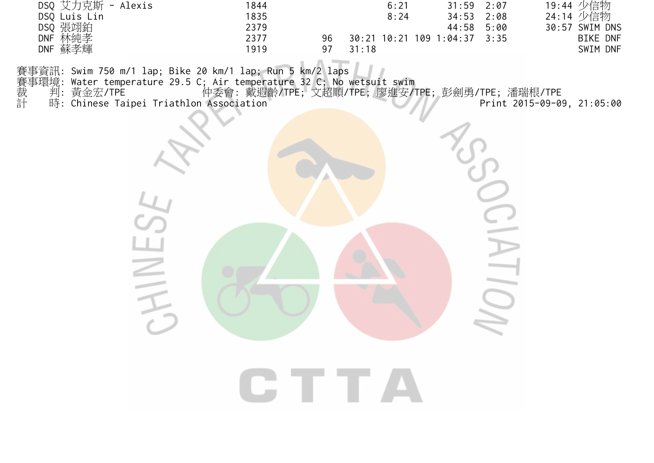| DSQ 艾力克斯 - Alexis | 1844 | 6:21                               | $31:59$ $2:07$ |      | 19:44 少信物       |
|-------------------|------|------------------------------------|----------------|------|-----------------|
| DSQ Luis Lin      | 1835 | 8:24                               | 34:53          | 2:08 | 24:14 少信物       |
| DSQ 張翊鉑           | 2379 |                                    | 44:58          | 5:00 | 30:57 SWIM DNS  |
| DNF 林純孝           | 2377 | 30:21 10:21 109 1:04:37 3:35<br>96 |                |      | <b>BIKE DNF</b> |
| DNF 蘇孝輝           | 1919 | 31:18                              |                |      | SWIM DNF        |

賽事資訊: Swim 750 m/1 lap; Bike 20 km/1 lap; Run 5 km/2 laps

HIVE

賽事環境: Water temperature 29.5 C; Air temperature 32 C; No wetsuit swim

裁 判: 黃金宏/TPE 仲委會: 戴遐齡/TPE; 文超順/TPE; 廖進安/TPE; 彭劍勇/TPE; 潘瑞根/TPE 計 時: Chinese Taipei Triathlon Association Print 2015-09-09, 21:05:00

GTTA

 $\overline{\bigcirc}$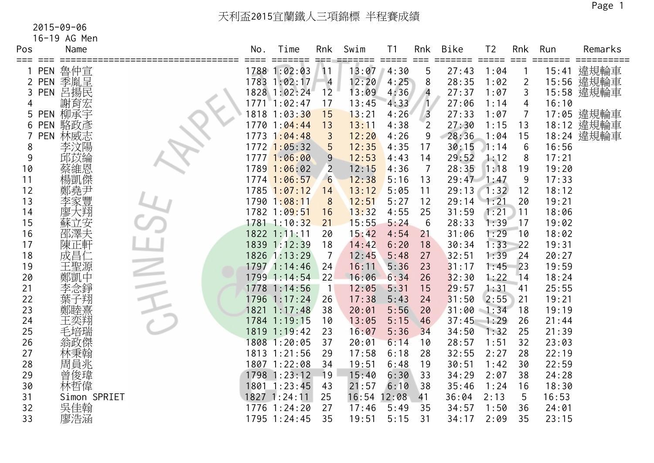16-19 AG Men

| Pos | Name              | No. | Time             | Rnk            | Swim<br>======= | T <sub>1</sub><br>$=$ $=$ $=$ $=$ $=$ | Rnk<br>$=$ $=$ $=$ | Bike<br>===== | T <sub>2</sub> | Rnk<br>$=$ $=$ $=$ | Run<br>===== | Remarks<br>$=$ ========== |
|-----|-------------------|-----|------------------|----------------|-----------------|---------------------------------------|--------------------|---------------|----------------|--------------------|--------------|---------------------------|
|     | 魯仲宣<br><b>PEN</b> |     | 1788 1:02:03     | 11             | 13:07           | 4:30                                  | 5                  | 27:43         | 1:04           |                    | 15:41        | 違規輪車                      |
| 2   | 季胤呈<br>PEN        |     | 1783 1:02:17     | $\overline{4}$ | 12:20           | 4:25                                  | 8                  | 28:35         | 1:02           | $\overline{2}$     |              | 15:56 違規輪車                |
| 3   | 呂揚民<br><b>PEN</b> |     | 1828 1:02:24     | 1 <sup>2</sup> | 13:09           | 4:36                                  | $\overline{4}$     | 27:37         | 1:07           | 3                  |              | 15:58 違規輪車                |
| 4   | 謝育宏               |     | $1771$ $1:02:47$ | 17             | 13:45           | 4:33                                  | $\overline{1}$     | 27:06         | 1:14           | 4                  | 16:10        |                           |
| 5   | 柳承宇<br><b>PEN</b> |     | 1818 1:03:30     | 15             | 13:21           | 4:26                                  | $\overline{3}$     | 27:33         | 1:07           | $\overline{7}$     |              | 17:05 違規輪車                |
| 6   | 駱政彥<br><b>PEN</b> |     | 1770 1:04:44     | 13             | 13:11           | 4:38                                  | $\overline{2}$     | 27:30         | 1:15           | 13                 |              | 18:12 違規輪車                |
|     | 林威志<br><b>PEN</b> |     | 1773 1:04:48     | $\mathfrak{Z}$ | 12:20           | 4:26                                  | 9                  | 28:36         | 1:04           | 15                 |              | 18:24 違規輪車                |
| 8   | 李汶陽               |     | $1772$ 1:05:32   | 5              | 12:35           | 4:35                                  | 17                 | 30:15         | 1:14           | 6                  | 16:56        |                           |
| 9   | 邱苡綸               |     | 1777 1:06:00     | 9              | 12:53           | 4:43                                  | 14                 | 29:52         | 1:12           | 8                  | 17:21        |                           |
| 10  | 蔡維恩               |     | $1789$ $1:06:02$ | 2              | 12:15           | 4:36                                  | $\overline{7}$     | 28:35         | 1:18           | 19                 | 19:20        |                           |
| 11  | 楊凱傑               |     | 1774 1:06:57     | 6              | 12:38           | 5:16                                  | 13                 | $29:47$ 1:47  |                | 9                  | 17:33        |                           |
| 12  | 鄭堯尹               |     | $1785$ $1:07:12$ | 14             | 13:12           | 5:05                                  | 11                 | 29:13         | 1:32           | 12                 | 18:12        |                           |
| 13  | 李家豐               |     | 1790 1:08:11     | 8              | 12:51           | 5:27                                  | 12                 | 29:14         | 1:21           | 20                 | 19:21        |                           |
| 14  | 廖大翔               |     | 1782 1:09:51     | 16             | 13:32           | 4:55                                  | 25                 | 31:59         | 1:21           | 11                 | 18:06        |                           |
| 15  | 蘇立安               |     | 1781 1:10:32     | 21             | 15:55           | 5:24                                  | 6                  | 28:33         | 1:39           | 17                 | 19:02        |                           |
| 16  | 邵澤夫               |     | 1822 1:11:11     | 20             | 15:42           | 4:54                                  | 21                 | 31:06         | 1:29           | 10                 | 18:02        |                           |
| 17  | 陳正軒               |     | 1839 1:12:39     | 18             | 14:42           | 6:20                                  | 18                 | 30:34         | 1:33           | 22                 | 19:31        |                           |
| 18  | 成昌仁               |     | 1826 1:13:29     | -7             | 12:45           | 5:48                                  | 27                 | 32:51         | 1:39           | 24                 | 20:27        |                           |
| 19  | 王聖源               |     | 1797 1:14:46     | 24             | 16:11           | 5:36                                  | 23                 | 31:17         | 1:45           | 23                 | 19:59        |                           |
| 20  | 鄭凱中               |     | 1799 1:14:54     | 22             | 16:06           | 6:34                                  | 26                 | 32:30         | 1:22           | 14                 | 18:24        |                           |
| 21  | 李念錚               |     | 1778 1:14:56     | $\overline{1}$ | 12:05           | 5:31                                  | 15                 | 29:57         | 1:31           | 41                 | 25:55        |                           |
| 22  | 葉子翔               |     | 1796 1:17:24     | 26             | 17:38           | 5:43                                  | 24                 | 31:50         | 2:55           | 21                 | 19:21        |                           |
| 23  | 鄭睦熹               |     | 1821 1:17:48     | 38             | 20:01           | 5:56                                  | 20                 | 31:00         | 1:34           | 18                 | 19:19        |                           |
| 24  | 王奕翔               |     | 1784 1:19:15     | 10             | 13:05           | 5:15                                  | 46                 | 37:45         | 1:29           | 26                 | 21:44        |                           |
| 25  | 毛培瑞               |     | 1819 1:19:42     | 23             | 16:07           | 5:36                                  | 34                 | 34:50         | 1:32           | 25                 | 21:39        |                           |
| 26  | 翁政傑               |     | 1808 1:20:05     | 37             | 20:01           | 6:14                                  | 10                 | 28:57         | 1:51           | 32                 | 23:03        |                           |
| 27  | 林秉翰               |     | 1813 1:21:56     | 29             | 17:58           | 6:18                                  | 28                 | 32:55         | 2:27           | 28                 | 22:19        |                           |
| 28  | 周員兆               |     | 1807 1:22:08     | 34             | 19:51           | 6:48                                  | 19                 | 30:51         | 1:42           | 30                 | 22:59        |                           |
| 29  | 曾俊瑋               |     | 1798 1:23:12     | 19             | 15:40           | 6:30                                  | 33                 | 34:29         | 2:07           | 38                 | 24:28        |                           |
| 30  | 林哲偉               |     | 1801 1:23:45     | 43             | 21:57           | 6:10                                  | 38                 | 35:46         | 1:24           | 16                 | 18:30        |                           |
| 31  | Simon SPRIET      |     | 1827 1:24:11     | 25             | 16:54           | 12:08                                 | 41                 | 36:04         | 2:13           | 5                  | 16:53        |                           |
| 32  | 吳佳翰               |     | 1776 1:24:20     | 27             | 17:46           | 5:49                                  | 35                 | 34:57         | 1:50           | 36                 | 24:01        |                           |
| 33  | 廖浩涵               |     | 1795 1:24:45     | 35             | 19:51           | 5:15                                  | 31                 | 34:17         | 2:09           | 35                 | 23:15        |                           |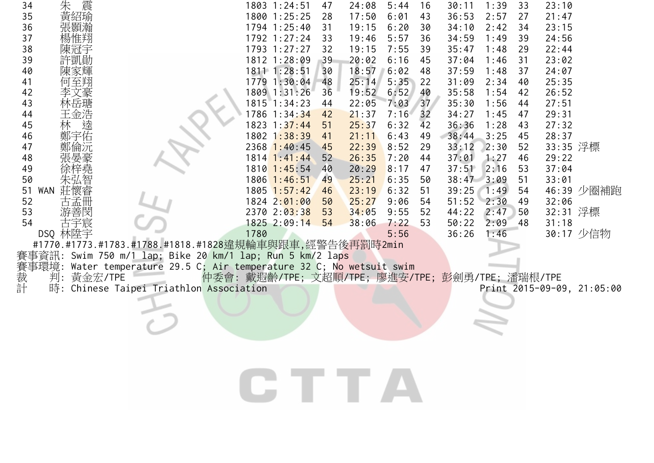| 34                                                        |                                                                 | 1803 1:24:51                                     | 47 | 24:08 | 5:44 | 16              | 30:11          | 1:39 | 33 | 23:10    |                            |
|-----------------------------------------------------------|-----------------------------------------------------------------|--------------------------------------------------|----|-------|------|-----------------|----------------|------|----|----------|----------------------------|
| 朱 震<br>35                                                 |                                                                 | 1800 1:25:25                                     | 28 | 17:50 | 6:01 | 43              | 36:53          | 2:57 | 27 | 21:47    |                            |
| 36<br>張顥瀚                                                 |                                                                 | 1794 1:25:40                                     | 31 | 19:15 | 6:20 | 30              | 34:10          | 2:42 | 34 | 23:15    |                            |
| 37                                                        |                                                                 | 1792 1:27:24                                     | 33 | 19:46 | 5:57 | 36              | 34:59          | 1:49 | 39 | 24:56    |                            |
| 38<br>陳冠子                                                 |                                                                 | 1793 1:27:27                                     | 32 | 19:15 | 7:55 | 39              | 35:47          | 1:48 | 29 | 22:44    |                            |
| 許凱勛<br>39                                                 |                                                                 | 1812 1:28:09                                     | 39 | 20:02 | 6:16 | 45              | 37:04          | 1:46 | 31 | 23:02    |                            |
| 陳家輝<br>40                                                 |                                                                 | 1811 1:28:51                                     | 30 | 18:57 | 6:02 | 48              | 37:59          | 1:48 | 37 | 24:07    |                            |
| 41<br>何至翔                                                 |                                                                 | 1779 1:30:04                                     | 48 | 25:14 | 5:35 | 22              | 31:09          | 2:34 | 40 | 25:35    |                            |
| 42                                                        |                                                                 | 1809 1:31:26                                     | 36 | 19:52 | 6:52 | 40              | 35:58          | 1:54 | 42 | 26:52    |                            |
| 43                                                        |                                                                 | 1815 1:34:23                                     | 44 | 22:05 | 7:03 | 37 <sup>7</sup> | 35:30          | 1:56 | 44 | 27:51    |                            |
| 44                                                        |                                                                 | 1786 1:34:34                                     | 42 | 21:37 | 7:16 | 32              | 34:27          | 1:45 | 47 | 29:31    |                            |
| 王金浩<br>林<br>熙<br>45                                       |                                                                 | 1823 1:37:44                                     | 51 | 25:37 | 6:32 | 42              | 36:36          | 1:28 | 43 | 27:32    |                            |
| 鄭宇佑<br>46                                                 |                                                                 | 1802 1:38:39                                     | 41 | 21:11 | 6:43 | 49              | 38:44          | 3:25 | 45 | 28:37    |                            |
| 鄭倫沅<br>47                                                 |                                                                 | $2368$ 1:40:45                                   | 45 | 22:39 | 8:52 | 29              | 33:12          | 2:30 | 52 | 33:35 浮標 |                            |
| 48                                                        |                                                                 | 1814 1:41:44                                     | 52 | 26:35 | 7:20 | 44              | 37:01          | 1:27 | 46 | 29:22    |                            |
| 49                                                        |                                                                 | $1810$ $1:45:54$                                 | 40 | 20:29 | 8:17 | 47              | 37:51          | 2:16 | 53 | 37:04    |                            |
| 50                                                        |                                                                 | 1806 1:46:51                                     | 49 | 25:21 | 6:35 | 50              | $38:47$ $3:09$ |      | 51 | 33:01    |                            |
| WAN<br>莊懷睿<br>51                                          |                                                                 | $1805$ $1:57:42$                                 | 46 | 23:19 | 6:32 | 51              | 39:25          | 1:49 | 54 |          | 46:39 少圈補跑                 |
| 52<br>古孟卌                                                 |                                                                 | 1824 2:01:00                                     | 50 | 25:27 | 9:06 | 54              | $51:52$ $2:30$ |      | 49 | 32:06    |                            |
| 53<br>游善閔                                                 |                                                                 | 2370 2:03:38                                     | 53 | 34:05 | 9:55 | 52              | 44:22          | 2:47 | 50 | 32:31 浮標 |                            |
| 54<br>古宇宸                                                 |                                                                 | 1825 2:09:14                                     | 54 | 38:06 | 7:22 | 53              | 50:22          | 2:09 | 48 | 31:18    |                            |
| DSQ 林陞宇                                                   |                                                                 | 1780                                             |    |       | 5:56 |                 | 36:26          | 1:46 |    |          | 30:17 少信物                  |
|                                                           | #1770.#1773.#1783.#1788.#1818.#1828違規輪車與跟車,經警告後再罰時2min          |                                                  |    |       |      |                 |                |      |    |          |                            |
| 賽事資訊: Swim 750 m/1 lap; Bike 20 km/1 lap; Run 5 km/2 laps |                                                                 |                                                  |    |       |      |                 |                |      |    |          |                            |
| 事環境:                                                      | Water temperature 29.5 C; Air temperature 32 C; No wetsuit swim |                                                  |    |       |      |                 |                |      |    |          |                            |
| 裁計<br>判: 黃金宏/TPE                                          |                                                                 | 仲委會: 戴遐齡/TPE; 文超順/TPE; 廖進安/TPE; 彭劍勇/TPE; 潘瑞根/TPE |    |       |      |                 |                |      |    |          |                            |
| 時:                                                        | Chinese Taipei Triathlon Association                            |                                                  |    |       |      |                 |                |      |    |          | Print 2015-09-09, 21:05:00 |
|                                                           |                                                                 |                                                  |    |       |      |                 |                |      |    |          |                            |
|                                                           |                                                                 |                                                  |    |       |      |                 |                |      |    |          |                            |
|                                                           |                                                                 |                                                  |    |       |      |                 |                |      |    |          |                            |
|                                                           |                                                                 |                                                  |    |       |      |                 |                |      |    |          |                            |
|                                                           |                                                                 |                                                  |    |       |      |                 |                |      |    |          |                            |
|                                                           |                                                                 |                                                  |    |       |      |                 |                |      |    |          |                            |
|                                                           |                                                                 |                                                  |    |       |      |                 |                |      |    |          |                            |
|                                                           |                                                                 |                                                  |    |       |      |                 |                |      |    |          |                            |
|                                                           |                                                                 | CTTA                                             |    |       |      |                 |                |      |    |          |                            |
|                                                           |                                                                 |                                                  |    |       |      |                 |                |      |    |          |                            |
|                                                           |                                                                 |                                                  |    |       |      |                 |                |      |    |          |                            |
|                                                           |                                                                 |                                                  |    |       |      |                 |                |      |    |          |                            |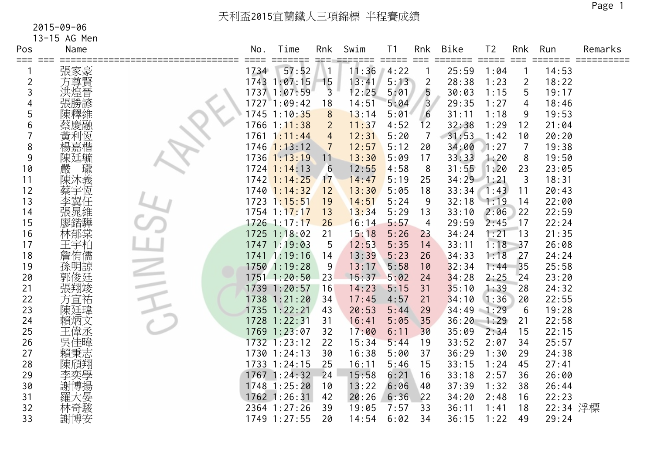13-15 AG Men

| Pos            | Name   | No.  | Time             | Rnk            | Swim  | T <sub>1</sub><br>$=$ $=$ $=$ $=$ $=$ | Rnk<br>$=$ $=$ $=$ | <b>Bike</b>  | T <sub>2</sub><br>$=$ $=$ $=$ $=$ $=$ | Rnk             | Run      | Remarks |
|----------------|--------|------|------------------|----------------|-------|---------------------------------------|--------------------|--------------|---------------------------------------|-----------------|----------|---------|
|                | 張家豪    | 1734 | 57:52            |                | 11:36 | 4:22                                  |                    | 25:59        | 1:04                                  |                 | 14:53    |         |
| $\overline{2}$ | 方尊賢    |      | 1743 1:07:15     | 15             | 13:41 | 5:13                                  | $\overline{2}$     | 28:38        | 1:23                                  | $\overline{2}$  | 18:22    |         |
| 3              | 洪煌晉    |      | 1737 1:07:59     | $\overline{3}$ | 12:25 | 5:01                                  | 5                  | 30:03        | 1:15                                  | 5               | 19:17    |         |
|                | 張勝諺    |      | 1727 1:09:42     | 18             | 14:51 | 5:04                                  | $\overline{3}$     | 29:35        | 1:27                                  | 4               | 18:46    |         |
| 5              | 陳釋維    |      | 1745 1:10:35     | 8              | 13:14 | 5:01                                  | 6                  | 31:11        | 1:18                                  | 9               | 19:53    |         |
| 6              | 蔡慶融    |      | $1766$ $1:11:38$ | $\overline{2}$ | 11:37 | 4:52                                  | 12                 | 32:38        | 1:29                                  | 12              | 21:04    |         |
|                | 黃利恆    | 1761 | 1:11:44          | $\overline{4}$ | 12:31 | 5:20                                  | 7                  | 31:53        | 1:42                                  | 10              | 20:20    |         |
| 8              | 楊嘉楷    |      | $1746$ 1:13:12   | 7              | 12:57 | 5:12                                  | 20                 | 34:00        | 1:27                                  | $\overline{7}$  | 19:38    |         |
| 9              | 陳廷毓    |      | $1736$ $1:13:19$ | 11             | 13:30 | 5:09                                  | 17                 | 33:33        | 1:20                                  | 8               | 19:50    |         |
| 10             | 嚴<br>瓏 |      | $1724$ 1:14:13   | 6              | 12:55 | 4:58                                  | 8                  | 31:55        | 1:20                                  | 23              | 23:05    |         |
| 11             | 陳沐義    |      | $1742$ 1:14:25   | 17             | 14:47 | 5:19                                  | 25                 | $34:29$ 1:21 |                                       | 3               | 18:31    |         |
| 12             | 蔡宇恆    |      | $1740$ $1:14:32$ | 12             | 13:30 | 5:05                                  | 18                 | 33:34        | 1:43                                  | 11              | 20:43    |         |
| 13             | 李翼任    |      | 1723 1:15:51     | 19             | 14:51 | 5:24                                  | 9                  | 32:18        | 1:19                                  | 14              | 22:00    |         |
| 14             | 張晁維    |      | $1754$ $1:17:17$ | 13             | 13:34 | 5:29                                  | 13                 | 33:10        | 2:06                                  | 22              | 22:59    |         |
| 15             | 寥鍇驊    |      | 1726 1:17:17     | 26             | 16:14 | 5:57                                  | 4                  | 29:59        | 2:45                                  | 17              | 22:24    |         |
| 16             | 林郁棠    |      | 1725 1:18:02     | 21             | 15:18 | 5:26                                  | 23                 | 34:24        | 1:21                                  | $\overline{13}$ | 21:35    |         |
| 17             | 王宇柏    |      | 1747 1:19:03     | 5              | 12:53 | 5:35                                  | 14                 | 33:11        | 1:18                                  | 37              | 26:08    |         |
| 18             | 詹侑儒    |      | 1741 1:19:16     | 14             | 13:39 | 5:23                                  | 26                 | 34:33        | 1:18                                  | 27              | 24:24    |         |
| 19             | 孫明諒    |      | 1750 1:19:28     | 9              | 13:17 | 5:58                                  | 10                 | 32:34        | 1:44                                  | 35              | 25:58    |         |
| 20             | 郭俊廷    |      | 1751 1:20:50     | 23             | 15:37 | 5:02                                  | 24                 | 34:28        | 2:25                                  | 24              | 23:20    |         |
| 21             | 張翔竣    |      | 1739 1:20:57     | 16             | 14:23 | 5:15                                  | 31                 | 35:10        | 1:39                                  | 28              | 24:32    |         |
| 22             | 方宣祐    |      | 1738 1:21:20     | 34             | 17:45 | 4:57                                  | 21                 | 34:10        | 1:36                                  | 20              | 22:55    |         |
| 23             | 陳廷瑋    |      | 1735 1:22:21     | 43             | 20:53 | 5:44                                  | 29                 | 34:49        | 1:29                                  | 6               | 19:28    |         |
| 24             | 賴炳文    |      | 1728 1:22:31     | 31             | 16:41 | 5:05                                  | 35                 | 36:20        | 1:29                                  | 21              | 22:58    |         |
| 25             | 王偉丞    |      | 1769 1:23:07     | 32             | 17:00 | 6:11                                  | 30                 | 35:09        | 2:34                                  | 15              | 22:15    |         |
| 26             | 吳佳暐    |      | 1732 1:23:12     | 22             | 15:34 | 5:44                                  | 19                 | 33:52        | 2:07                                  | 34              | 25:57    |         |
| 27             | 賴秉志    |      | 1730 1:24:13     | 30             | 16:38 | 5:00                                  | 37                 | 36:29        | 1:30                                  | 29              | 24:38    |         |
| 28             | 陳頎翔    |      | 1733 1:24:15     | 25             | 16:11 | 5:46                                  | 15                 | 33:15        | 1:24                                  | 45              | 27:41    |         |
| 29             | 李奕學    |      | 1767 1:24:32     | 24             | 15:58 | 6:21                                  | 16                 | 33:18        | 2:57                                  | 36              | 26:00    |         |
| 30             | 謝博揚    |      | 1748 1:25:20     | 10             | 13:22 | 6:06                                  | 40                 | 37:39        | 1:32                                  | 38              | 26:44    |         |
| 31             | 羅大晏    |      | $1762$ 1:26:31   | 42             | 20:26 | 6:36                                  | 22                 | 34:20        | 2:48                                  | 16              | 22:23    |         |
| 32             | 林奇駿    |      | 2364 1:27:26     | 39             | 19:05 | 7:57                                  | 33                 | 36:11        | 1:41                                  | 18              | 22:34 浮標 |         |
| 33             | 謝博安    |      | 1749 1:27:55     | 20             | 14:54 | 6:02                                  | 34                 | 36:15        | 1:22                                  | 49              | 29:24    |         |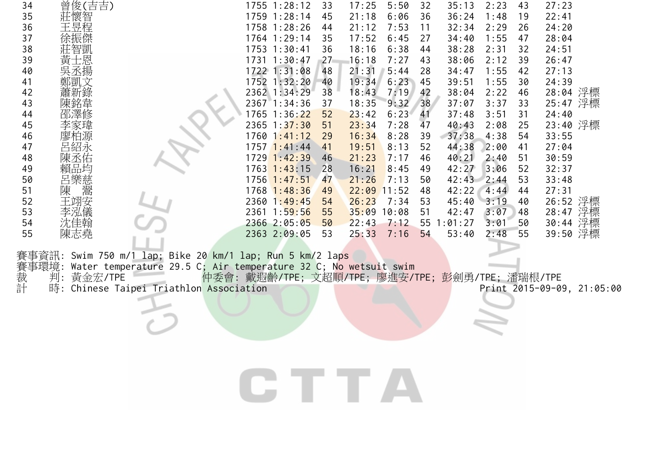| 34                      | 曾俊(吉吉)            |                                                                 |                                                  | $1755$ $1:28:12$ | 33 | 17:25 | 5:50  | 32 | 35:13  | 2:23 | 43 | 27:23    |                            |
|-------------------------|-------------------|-----------------------------------------------------------------|--------------------------------------------------|------------------|----|-------|-------|----|--------|------|----|----------|----------------------------|
| 35                      | 莊懷智               |                                                                 |                                                  | 1759 1:28:14     | 45 | 21:18 | 6:06  | 36 | 36:24  | 1:48 | 19 | 22:41    |                            |
| 36                      | 王昱程               |                                                                 |                                                  | 1758 1:28:26     | 44 | 21:12 | 7:53  | 11 | 32:34  | 2:29 | 26 | 24:20    |                            |
| 37                      |                   |                                                                 |                                                  | 1764 1:29:14     | 35 | 17:52 | 6:45  | 27 | 34:40  | 1:55 | 47 | 28:04    |                            |
| 38                      | 莊智凱               |                                                                 |                                                  | 1753 1:30:41     | 36 | 18:16 | 6:38  | 44 | 38:28  | 2:31 | 32 | 24:51    |                            |
| 39                      | 普士恩<br>黃士恩<br>吳丞揚 |                                                                 |                                                  | 1731 1:30:47     | 27 | 16:18 | 7:27  | 43 | 38:06  | 2:12 | 39 | 26:47    |                            |
| 40                      |                   |                                                                 |                                                  | 1722 1:31:08     | 48 | 21:31 | 5:44  | 28 | 34:47  | 1:55 | 42 | 27:13    |                            |
| 41                      | 鄭凱文               |                                                                 |                                                  | 1752 1:32:20     | 40 | 19:34 | 6:23  | 45 | 39:51  | 1:55 | 30 | 24:39    |                            |
| 42                      |                   |                                                                 |                                                  | 2362 1:34:29     | 38 | 18:43 | 7:19  | 42 | 38:04  | 2:22 | 46 | 28:04 浮標 |                            |
| 43                      | 陳銘韋               |                                                                 |                                                  | 2367 1:34:36     | 37 | 18:35 | 9:32  | 38 | 37:07  | 3:37 | 33 | 25:47 浮標 |                            |
| 44                      | 邵澤修               |                                                                 |                                                  | 1765 1:36:22     | 52 | 23:42 | 6:23  | 41 | 37:48  | 3:51 | 31 | 24:40    |                            |
| 45                      |                   |                                                                 |                                                  | $2365$ 1:37:30   | 51 | 23:34 | 7:28  | 47 | 40:43  | 2:08 | 25 | 23:40 浮標 |                            |
| 46                      |                   |                                                                 |                                                  | $1760$ $1:41:12$ | 29 | 16:34 | 8:28  | 39 | 37:38  | 4:38 | 54 | 33:55    |                            |
| 47                      |                   |                                                                 |                                                  | $1757$ $1:41:44$ | 41 | 19:51 | 8:13  | 52 | 44:38  | 2:00 | 41 | 27:04    |                            |
| 48                      |                   |                                                                 |                                                  | 1729 1:42:39     | 46 | 21:23 | 7:17  | 46 | 40:21  | 2:40 | 51 | 30:59    |                            |
| 49                      | 賴品均               |                                                                 |                                                  | $1763$ $1:43:15$ | 28 | 16:21 | 8:45  | 49 | 42:27  | 3:06 | 52 | 32:37    |                            |
| 50                      | [呂樂慈]<br>陳<br>陳   |                                                                 |                                                  | $1756$ $1:47:51$ | 47 | 21:26 | 7:13  | 50 | 42:43  | 2:44 | 53 | 33:48    |                            |
| 51                      |                   |                                                                 |                                                  | $1768$ 1:48:36   | 49 | 22:09 | 11:52 | 48 | 42:22  | 4:44 | 44 | 27:31    |                            |
| 52                      | 王翊安               |                                                                 |                                                  | $2360$ 1:49:45   | 54 | 26:23 | 7:34  | 53 | 45:40  | 3:19 | 40 | 26:52 浮標 |                            |
| 53                      | 李泓儀               |                                                                 |                                                  | 2361 1:59:56     | 55 | 35:09 | 10:08 | 51 | 42:47  | 3:07 | 48 | 28:47 浮標 |                            |
| 54                      | 沈佳翰               |                                                                 |                                                  | 2366 2:05:05     | 50 | 22:43 | 7:12  | 55 | :01:27 | 3:01 | 50 | 30:44    | 浮標                         |
| 55                      | 陳志堯               |                                                                 |                                                  | 2363 2:09:05     | 53 | 25:33 | 7:16  | 54 | 53:40  | 2:48 | 55 | 39:50 浮標 |                            |
|                         |                   |                                                                 |                                                  |                  |    |       |       |    |        |      |    |          |                            |
|                         |                   | 賽事資訊: Swim 750 m/1 lap, Bike 20 km/1 lap; Run 5 km/2 laps       |                                                  |                  |    |       |       |    |        |      |    |          |                            |
| 《賽載<br>新聞<br>計<br>計<br> |                   | Water temperature 29.5 C; Air temperature 32 C; No wetsuit swim |                                                  |                  |    |       |       |    |        |      |    |          |                            |
|                         | 黃金宏/TPE           |                                                                 | 仲委會: 戴遐齡/TPE; 文超順/TPE; 廖進安/TPE; 彭劍勇/TPE; 潘瑞根/TPE |                  |    |       |       |    |        |      |    |          |                            |
|                         |                   | Chinese Taipei Triathlon Association                            |                                                  |                  |    |       |       |    |        |      |    |          | Print 2015-09-09, 21:05:00 |
|                         |                   |                                                                 |                                                  |                  |    |       |       |    |        |      |    |          |                            |
|                         |                   |                                                                 |                                                  |                  |    |       |       |    |        |      |    |          |                            |
|                         |                   |                                                                 |                                                  |                  |    |       |       |    |        |      |    |          |                            |
|                         |                   |                                                                 |                                                  |                  |    |       |       |    |        |      |    |          |                            |
|                         |                   |                                                                 |                                                  |                  |    |       |       |    |        |      |    |          |                            |
|                         |                   |                                                                 |                                                  |                  |    |       |       |    |        |      |    |          |                            |
|                         |                   |                                                                 |                                                  |                  |    |       |       |    |        |      |    |          |                            |
|                         |                   |                                                                 |                                                  |                  |    |       |       |    |        |      |    |          |                            |
|                         |                   |                                                                 |                                                  | CTTA             |    |       |       |    |        |      |    |          |                            |
|                         |                   |                                                                 |                                                  |                  |    |       |       |    |        |      |    |          |                            |
|                         |                   |                                                                 |                                                  |                  |    |       |       |    |        |      |    |          |                            |
|                         |                   |                                                                 |                                                  |                  |    |       |       |    |        |      |    |          |                            |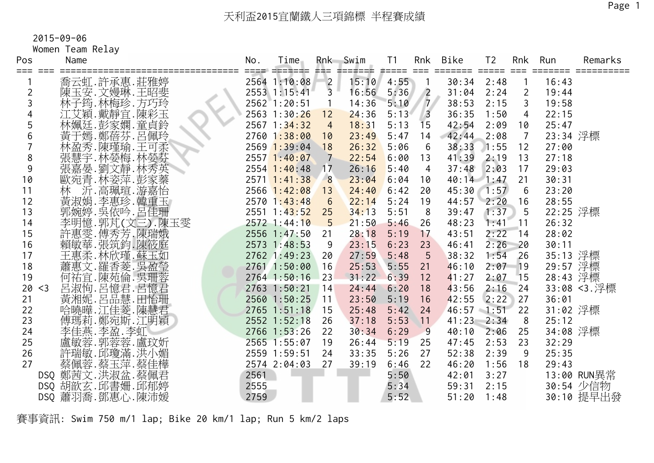Women Team Relay

| Pos            | Name                              | No.  | Time             | Rnk<br>真黒三      | Swim<br>ココニゴニニニ  | T <sub>1</sub><br>#==== | Rnk<br>$==$    | Bike         | T <sub>2</sub> | Rnk             | Run      | Remarks      |
|----------------|-----------------------------------|------|------------------|-----------------|------------------|-------------------------|----------------|--------------|----------------|-----------------|----------|--------------|
|                | 喬云虹.許承惠.莊雅婷                       |      | 2564 1:10:08     |                 | $15:10$ $4:55$ 1 |                         |                | 30:34        | 2:48           |                 | 16:43    |              |
| $\overline{2}$ | 陳玉安.文嫚琳.王昭斐                       |      | 2553 1:15:41     | $\frac{2}{3}$   | 16:56            | 5:36                    | $\sqrt{2}$     | 31:04        | 2:24           | $\overline{2}$  | 19:44    |              |
| 3              | 林子筠.林梅珍.方巧玲                       |      | 2562 1:20:51     | $\overline{1}$  | 14:36            | 5:10                    | $\mathbf{Z}$   | 38:53        | 2:15           | 3               | 19:58    |              |
|                | 江艾穎.戴靜宜.陳彩玉                       |      | 2563 1:30:26     | 12              | 24:36            | 5:13                    | $\sqrt{3}$     | 36:35        | 1:50           | $\overline{4}$  | 22:15    |              |
| 5              | 林姵廷.彭家嫻.童貞鈴                       |      | $2567$ 1:34:32   | $\overline{4}$  | 18:31            | 5:13                    | 15             | 42:54        | 2:09           | 10              | 25:47    |              |
| 6              | 黃于嫣.鄭蓓芬.呂佩玲                       |      | 27601:38:00      | 10              | 23:49            | 5:47                    | 14             | 42:44        | 2:08           | $\overline{7}$  | 23:34 浮標 |              |
|                | 林盈秀.陳瑾瑜.王可柔                       |      | $2569$ 1:39:04   | 18              | 26:32            | 5:06                    | 6              | 38:33        | 1:55           | 12              | 27:00    |              |
| 8              | 張慧宇.林嫈梅.林嫈芬                       |      | $2557$ 1:40:07   | $7\overline{ }$ | 22:54            | 6:00                    | 13             | 41:39        | 2:19           | 13              | 27:18    |              |
| 9              | 張嘉晏.劉文靜.林秀英                       |      | $2554$ 1:40:48   | 17              | 26:16            | 5:40                    | $\overline{4}$ | 37:48        | 2:03           | 17              | 29:03    |              |
| 10             | 歐宛青.林姿萍.彭家蓁                       |      | $2571$ 1:41:38   | 8               | 23:04            | 6:04                    | 10             | $40:14$ 1:47 |                | 21              | 30:31    |              |
| 11             | 沂.高珮瑄.游嘉怡<br>林                    |      | $2566$ $1:42:08$ | 13              | 24:40            | 6:42                    | 20             | $45:30$ 1:57 |                | 6               | 23:20    |              |
| 12             | 黃淑娟.李惠珍.韓重玉                       |      | 25701:43:48      | $6\overline{6}$ | 22:14            | 5:24                    | 19             | 44:57        | 2:20           | 16              | 28:55    |              |
| 13             | 郭婉婷. 吳依吟. 呂佳珊                     |      | 2551 1:43:52     | 25              | 34:13            | 5:51                    | 8              | 39:47        | 1:37           | $5\phantom{.0}$ | 22:25 浮標 |              |
| 14             | 李明憶. 郭芃(文三). 陳玉雯                  |      | $2572$ 1:44:10   | $-5$            | 21:50            | 5:46                    | 26             | 48:23        | 1:41           | 11              | 26:32    |              |
| 15             | 許惠雯.傅秀芳.陳瑞娥                       |      | 2556 1:47:50     | 21              | 28:18            | 5:19                    | 17             | 43:51        | 2:22           | 14              | 28:02    |              |
| 16             | 賴敏華.張筑鈞.陳筱庭                       |      | 2573 1:48:53     | 9               | 23:15            | 6:23                    | 23             | 46:41        | 2:26           | 20              | 30:11    |              |
| 17             | 王惠柔.林欣瑾.蘇玉如                       |      | 2762 1:49:23     | 20              | 27:59            | 5:48                    | $5\phantom{.}$ | 38:32        | 1:54           | 26              | 35:13 浮標 |              |
| 18             | <b>蕭惠文·羅香菱·吳盈登</b><br>何祐宜·陳苑倫·吳珊蓉 |      | 2761 1:50:00     | 16              | 25:53            | 5:55                    | 21             | 46:10        | 2:07           | $-19$           | 29:57 浮標 |              |
| 19             |                                   |      | 2764 1:50:16     | 23              | 31:22            | 6:39                    | 12             | 41:27        | 2:07           | 15              | 28:43 浮標 |              |
| 20 < 3         | 呂淑恂.呂憶君.呂憶君<br>黃湘妮.呂品慧.田怡珊        |      | 2763 1:50:21     | 14              | 24:44            | 6:20                    | 18             | 43:56        | 2:16           | 24              |          | 33:08 <3. 浮標 |
| 21             |                                   |      | 2560 1:50:25     | 11              | 23:50            | 5:19                    | 16             | 42:55        | 2:22           | 27              | 36:01    |              |
| 22             | 哈曉曄.江佳菱.陳慧君                       |      | $2765$ 1:51:18   | 15              | 25:48            | 5:42                    | 24             | $46:57$ 1:51 |                | 22              | 31:02 浮標 |              |
| 23             | 傅瑪莉.鄭宛斯.江明穎                       |      | 2552 1:52:18     | 26              | 37:18            | 5:53                    | $\sqrt{11}$    | 41:23        | 2:34           | 8               | 25:12    |              |
| 24             | 李佳燕.李盈.李虹                         |      | 2766 1:53:26     | 22              | 30:34            | 6:29                    | $-9$           | 40:10        | 2:06           | 25              | 34:08 浮標 |              |
| 25             | 盧敏蓉.郭蓉蓉.盧玟妡                       |      | 2565 1:55:07     | 19              | 26:44            | 5:19                    | 25             | 47:45        | 2:53           | 23              | 32:29    |              |
| 26             | 許瑞敏. 邱瓊滿. 洪小媚                     |      | 2559 1:59:51     | 24              | 33:35            | 5:26                    | 27             | 52:38        | 2:39           | 9               | 25:35    |              |
| 27             | 蔡佩蓉.蔡玉萍.蔡佳樺                       |      | 2574 2:04:03     | 27              | 39:19            | 6:46                    | 22             | 46:20        | 1:56           | 18              | 29:43    |              |
|                | DSQ 鄭茜文.洪淑盆.蔡佩君                   | 2561 |                  |                 |                  | 5:50                    |                | 42:01        | 3:27           |                 |          | 13:00 RUN異常  |
|                | DSQ 胡歆玄. 邱書姍. 邱郁婷                 | 2555 |                  |                 |                  | 5:34                    |                | 59:31        | 2:15           |                 |          | 30:54 少信物    |
|                | DSQ 蕭羽喬.鄧惠心.陳沛媛                   | 2759 |                  |                 |                  | 5:52                    |                | 51:20        | 1:48           |                 |          | 30:10 提早出發   |

賽事資訊: Swim 750 m/1 lap; Bike 20 km/1 lap; Run 5 km/2 laps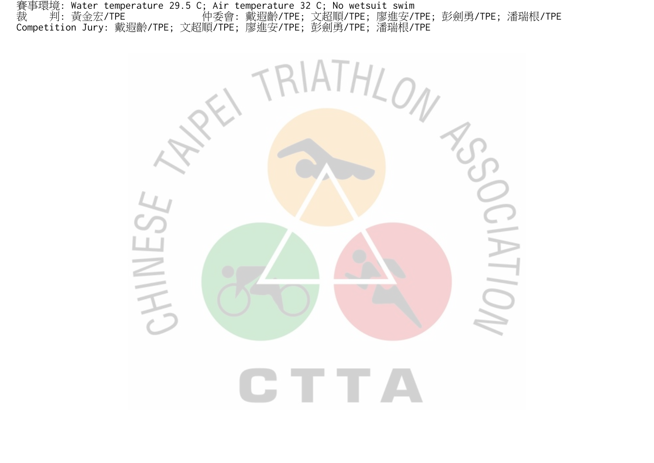賽事環境: Water temperature 29.5 C; Air temperature 32 C; No wetsuit swim 裁 判: 黃金宏/TPE 仲委會: 戴遐齡/TPE; 文超順/TPE; 廖進安/TPE; 彭劍勇/TPE; 潘瑞根/TPE Competition Jury: 戴遐齡/TPE; 文超順/TPE; 廖進安/TPE; 彭劍勇/TPE; 潘瑞根/TPE

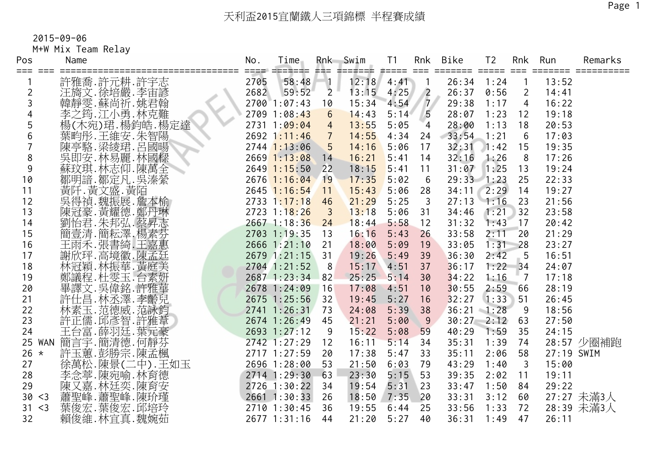M+W Mix Team Relay

| Pos<br>=== === | Name                                         | No.  | Time<br>============         | ##=             | Rnk Swim<br>電話工事工工事 | T <sub>1</sub><br>#==== === | Rnk            | Bike               | T <sub>2</sub> | Rnk                | Run<br>=====   | Remarks                  |
|----------------|----------------------------------------------|------|------------------------------|-----------------|---------------------|-----------------------------|----------------|--------------------|----------------|--------------------|----------------|--------------------------|
|                | 許雅喬 許元耕 許宇志                                  | 2705 | 58:48                        | $\vert$ 1       | 12:18               | 4:41                        | $\sqrt{1}$     | 26:34              | 1:24           |                    | 13:52          |                          |
| 2              | 汪旖文.徐培嚴.李宙諺                                  | 2682 | 59:52                        | $\overline{2}$  | 13:15               | 4:25                        | $\sqrt{2}$     | 26:37              | 0:56           | 2                  | 14:41          |                          |
| 3              | 韓靜雯.蘇尚祈.姚君翰                                  |      | $2700$ $1:07:43$             | 10              | 15:34               | 4:54                        | 7/             | 29:38              | 1:17           | $\overline{4}$     | 16:22          |                          |
|                | 李之筠.江小勇.林克難                                  |      | 2709 1:08:43                 | $6\overline{6}$ | 14:43               | 5:14                        | 5              | 28:07              | 1:23           | 12                 | 19:18          |                          |
| 5              | 楊(木宛)珺.楊鈞皓.楊定達                               |      | 2731 1:09:04                 | $\overline{4}$  | 13:55               | 5:05                        | $\overline{4}$ | 28:00              | 1:13           | 18                 | 20:53          |                          |
| 6              | 葉畇彤.王維安.朱智陽                                  |      | 2692 1:11:46                 | $\sqrt{7}$      | 14:55               | 4:34                        | 24             | 33:54              | 1:21           | 6                  | 17:03          |                          |
|                | 陳亭駱.梁綾珺.呂國暘                                  |      | $2744$ 1:13:06               | $5\phantom{.0}$ | 14:16               | 5:06                        | 17             | 32:31              | 1:42           | 15                 | 19:35          |                          |
| 8              | 吳即安.林易麗.林國樑                                  |      | $2669$ 1:13:08               | 14              | 16:21               | 5:41                        | 14             | 32:16              | 1:26           | 8                  | 17:26          |                          |
| 9              | 蘇玟琪.林志仰.陳萬全<br>鄒明諳.鄒定凡.吳溱<br>黃阡.黃文盛.黃陌       |      | $2649$ 1:15:50               | 22              | 18:15               | 5:41                        | 11             | 31:07              | 1:25           | 13                 | 19:24          |                          |
| 10             |                                              |      | $2676$ 1:16:04               | 19              | 17:35               | 5:02                        | 6              | $29:33$ 1:23       |                | 25                 | 22:33          |                          |
| 11             |                                              |      | $2645$ 1:16:54               | 11              | 15:43               | 5:06                        | 28             | 34:11              | 2:29           | 14                 | 19:27          |                          |
| 12             | 吳得禎.魏振展.詹本榆                                  |      | $2733$ $1:17:18$             | 46              | 21:29               | 5:25                        | $\overline{3}$ | $27:13$ 1:16       |                | 23                 | 21:56          |                          |
| 13             | 陳冠豪. 黃耀德. 鄭丹琳                                |      | $2723$ 1:18:26               | $\overline{3}$  | 13:18               | 5:06                        | 31             | 34:46              | 1:21           | 32                 | 23:58          |                          |
| 14             | 劉怡君.朱邦弘.蔡昇志芬.<br>簡壹清.簡耘澤.楊素芬.                |      | $2667$ 1:18:36               | 24              | 18:44               | 5:58                        | 12             | 31:32              | 1:43           | 17                 | 20:42          |                          |
| 15             |                                              |      | 2703 1:19:35                 | 13              | 16:16               | 5:43                        | 26             | 33:58              | 2:11           | 20                 | 21:29          |                          |
| 16             | 王雨禾.張書綺.王嘉惠                                  |      | 2666 1:21:10                 | 21              | 18:00               | 5:09                        | 19             | 33:05              | 1:31           | 28                 | 23:27          |                          |
| 17             | 謝欣玶.高境徽.陳孟廷                                  |      | 2679 1:21:15                 | 31              | 19:26               | 5:49                        | 39             | 36:30              | 2:42           | 5                  | 16:51          |                          |
| 18             | 林冠穎.林振華.黃庭美                                  |      | 2704 1:21:52                 | 8               | 15:17               | 4:51                        | 37             | 36:17              | 1:22           | 34                 | 24:07          |                          |
| 19             |                                              |      | 2687 1:23:34 82              |                 | 25:25               | 5:14                        | 30             | 34:22              | 1:16           | $\overline{7}$     | 17:18          |                          |
| 20             | ——郭議程.杜雯玉.台素妍<br>畢譯文.吳偉銘.許雅華<br>許仕昌·林丞澤.李齡兒. |      | 2678 1:24:09                 | 16              | 17:08               | 4:51                        | 10             | 30:55              | 2:59           | 66                 | 28:19          |                          |
| 21             |                                              |      | 2675 1:25:56                 | 32              | 19:45               | 5:27                        | 16             | 32:27              | 1:33           | 51                 | 26:45          |                          |
| 22             | 林素玉.范德威.范詠鈞                                  |      | 2741 1:26:31                 | 73              | 24:08               | 5:39                        | 38             | $36:21 \quad 1:28$ |                | 9                  | 18:56          |                          |
| 23             | 許正儒.邱彥智.許雅葦                                  |      | 2674 1:26:49                 | 45              | 21:21               | 5:00                        | 9              | $30:27$ 2:12       |                | 63                 | 27:50          |                          |
| 24             | 王台富.薛羽廷.葉元豪                                  |      | 2693 1:27:12                 | 9               | 15:22               | 5:08                        | 59             | 40:29              | 1:59           | 35                 | 24:15          |                          |
| 25 WAN         | 簡言字.簡清德.何靜芬                                  |      | 2742 1:27:29                 | 12              | 16:11               | 5:14                        | 34             | 35:31              | 1:39           | 74                 |                | 28:57 少圈補跑               |
| $26 *$         | 許玉蕙.彭勝宗.陳孟楓                                  |      | 2717 1:27:59                 | 20              | 17:38               | 5:47                        | 33             | 35:11              | 2:06           | 58                 | 27:19 SWIM     |                          |
| 27<br>28       | 徐萬松.陳景(二中).王如玉                               |      | 2696 1:28:00<br>2714 1:29:30 | 53<br>63        | 21:50<br>23:30      | 6:03<br>5:15                | 79<br>53       | 43:29<br>39:35     | 1:40           | $\mathbf{3}$<br>11 | 15:00<br>19:11 |                          |
| 29             | 李念葶.陳宛喻.林育德                                  |      | 2726 1:30:22                 | 34              | 19:54               | 5:31                        | 23             | 33:47              | 2:02<br>1:50   | 84                 | 29:22          |                          |
| 30 < 3         | ·陳又嘉.林廷奕.陳分<br>蕭聖峰.蕭聖峰.陳玠瑾<br>葉俊宏.葉俊宏.邱培     |      | 2661 1:30:33                 | 26              | 18:50               | $7:35$ 20                   |                | 33:31              | 3:12           | 60                 |                |                          |
| 31 < 3         |                                              |      | 2710 1:30:45                 | 36              | 19:55               | 6:44                        | 25             | 33:56              | 1:33           | 72                 |                | 27:27 未滿3人<br>28:39 未滿3人 |
| 32             |                                              |      | 2677 1:31:16                 | 44              | 21:20               | 5:27                        | 40             | 36:31              | 1:49           | 47                 | 26:11          |                          |
|                | 賴俊維.林宜真.魏婉茹                                  |      |                              |                 |                     |                             |                |                    |                |                    |                |                          |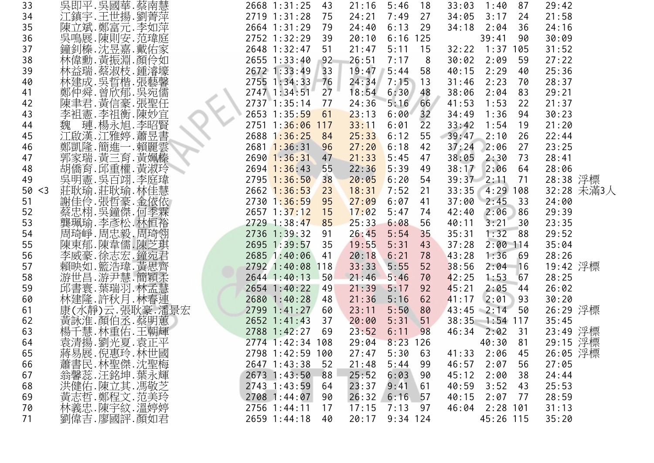| 33        | 吳即平.吳國華.蔡南慧                    | 2668 1:31:25<br>43     | 21:16<br>5:46<br>18 | 33:03<br>1:40<br>87  | 29:42      |
|-----------|--------------------------------|------------------------|---------------------|----------------------|------------|
| 34        | 江鎮宇.王世揚.劉菁萍                    | 2719 1:31:28<br>75     | 7:49<br>24:21<br>27 | 34:05<br>3:17<br>24  | 21:58      |
| 35        | 陳立斌.鄭富元.李如萍                    | 2664 1:31:29<br>79     | 24:40<br>6:13<br>29 | 34:18<br>2:04<br>36  | 24:16      |
| 36        | 吳鳴展.陳則安.范瑋庭                    | 2752 1:32:29<br>39     | 20:10<br>$6:16$ 125 | 39:41<br>90          | 30:09      |
| 37        | 鐘釗榛.沈昱嘉.戴佑家                    | 2648 1:32:47<br>51     | 21:47<br>5:11<br>15 | 32:22<br>1:37<br>105 | 31:52      |
| 38        |                                | $2655$ $1:33:40$<br>92 | 26:51<br>7:17<br>8  | 30:02<br>2:09<br>59  | 27:22      |
| 39        | 林偉勳. 黃振淵. 顏伶如<br>林益瑞. 蔡淑枝. 鍾濬壕 | 2672 1:33:49<br>33     | 19:47<br>5:44<br>58 | 2:29<br>40:15<br>40  | 25:36      |
| 40        | 林建成. 吳晢楷. 張藝馨                  | 2755 1:34:33<br>76     | 24:34<br>7:15<br>13 | 31:46<br>2:23<br>70  | 28:37      |
| 41        | 鄭仲舜.曾欣郁.吳宛儒                    | 2747 1:34:51<br>27     | 18:54<br>6:30<br>48 | 38:06<br>2:04<br>83  | 29:21      |
| 42        | 陳聿君. 黃信豪. 張聖任                  | 2737 1:35:14<br>77     | 66<br>24:36<br>5:16 | 1:53<br>41:53<br>22  | 21:37      |
| 43        | 李祖憲.李祖衡.陳妙宜                    | 2653 1:35:59<br>61     | 32<br>6:00<br>23:13 | 34:49<br>1:36<br>94  | 30:23      |
| 44        | 璉.楊永旭.李昭賢<br>魏                 | 2751 1:36:06<br>117    | 33:11<br>22<br>6:01 | 33:42<br>1:54<br>19  | 21:20      |
| 45        | 江啟漢.江雅婷.蕭昱書                    | 2688 1:36:25<br>84     | 25:33<br>6:12<br>55 | 2:10<br>39:47<br>26  | 22:44      |
| 46        | 鄭凱隆.簡進一.賴麗雲                    | $2681$ 1:36:31<br>96   | 27:20<br>6:18<br>42 | 37:24<br>2:06<br>27  | 23:25      |
| 47        | 郭家瑞. 黃三育. 黃姵榛                  | $2690$ 1:36:31<br>47   | 21:33<br>5:45<br>47 | 38:05<br>2:30<br>73  | 28:41      |
| 48        | 胡僑育.邱重權.黃淑玲                    | 55<br>$2694$ 1:36:43   | 5:39<br>22:36<br>49 | 38:17<br>2:06<br>64  | 28:06      |
| 49        | 吳明憲.吳百翊.李庭瑋                    | $2795$ 1:36:50<br>38   | 20:05<br>6:20<br>54 | 39:37<br>2:11<br>71  | 28:38 浮標   |
| 50<br>$3$ | 莊耿瑜.莊耿瑜.林佳慧                    | $2662$ 1:36:53<br>23   | 18:31<br>7:52<br>21 | 33:35<br>$4:29$ 108  | 32:28 未滿3人 |
| 51        | 謝佳伶.張哲豪.金依依                    | 2730 1:36:59<br>95     | 6:07<br>27:09<br>41 | 2:45<br>37:00<br>33  | 24:00      |
| 52        | 蔡忠栩. 吳鐘傑. 何季霖                  | $2657$ 1:37:12<br>15   | 17:02<br>5:47<br>74 | 2:06<br>42:40<br>86  | 29:39      |
| 53        | 龔珮瑜.李彥松.林恒裕                    | $2729$ 1:38:47<br>85   | 25:33<br>6:08<br>56 | 40:11<br>3:21<br>30  | 23:35      |
| 54        | 周琦峥.周忠毅.周琦翎                    | 2736 1:39:32<br>91     | 26:45<br>5:54<br>35 | 1:32<br>35:31<br>88  | 29:52      |
| 55        | 陳東郁.陳韋儒.陳芝琪                    | 2695 1:39:57<br>35     | 19:55<br>5:31<br>43 | 37:28<br>$2:00$ 114  | 35:04      |
| 56        |                                | 2685 1:40:06<br>41     | 20:18<br>6:21<br>78 | 43:28<br>1:36<br>-69 | 28:26      |
| 57        | 李威豪.徐志宏.鐘宛君<br>賴映如.籃浩瑋.黃思齊     | 2792 1:40:08<br>118    | 33:33<br>5:55<br>52 | 38:56<br>2:04<br>16  | 19:42 浮標   |
| 58        | 游世昌.游尹慧.簡穎柔                    | 2644 1:40:13<br>50     | 21:46<br>5:46<br>70 | 1:53<br>42:25<br>67  | 28:25      |
| 59        | 邱書寰.葉瑞羽.林孟慧                    | 2654 1:40:22<br>49     | 21:39<br>5:17<br>92 | 45:21<br>2:05<br>-44 | 26:02      |
| 60        | 林建隆.許秋月.林春連                    | 2680 1:40:28<br>48     | 21:36<br>5:16<br>62 | 2:01<br>41:17<br>93  | 30:20      |
| 61        | 康(水靜)云.張耿豪.潘景宏                 | 2799 1:41:27<br>60     | 23:11<br>5:50<br>80 | 50<br>$43:45$ 2:14   | 26:29 浮標   |
| 62        | 黃詠淮.顏伯丞.蔡明蕙                    | 2652 1:41:43<br>37     | 20:00<br>5:31<br>51 | 38:35<br>$1:54$ 117  | 35:45      |
| 63        | ,楊千慧.林重佑.王朝輝<br>袁清揚.劉光夏.袁正平    | 2788 1:42:27<br>69     | 23:52<br>6:11<br>98 | 46:34<br>2:02<br>31  | 23:49 浮標   |
| 64        |                                | 2774 1:42:34 108       | $8:23$ 126<br>29:04 | 40:30<br>81          | 29:15 浮標   |
| 65        |                                | 2798 1:42:59 100       | 27:47<br>5:30<br>63 | 41:33<br>2:06<br>45  | 26:05 浮標   |
| 66        | 蔣易展.倪惠玲.林世國<br>蕭書民.林聖傑.沈聖梅     | 2647 1:43:38<br>52     | 21:48<br>5:44<br>99 | 46:57<br>2:07<br>56  | 27:05      |
| 67        |                                | 2673 1:43:50<br>88     | 25:52<br>6:03<br>90 | 45:12<br>2:00<br>38  | 24:44      |
| 68        | 翁馨蕊. 汪銘坤. 葉永輝<br>洪健佑.陳立其. 馮敬芝  | 2743 1:43:59<br>64     | 23:37<br>9:41<br>61 | 40:59<br>3:52<br>43  | 25:53      |
| 69        | 黃志哲.鄭程文.范美玲<br>林義忠.陳宇紋.溫婷婷     | 2708 1:44:07<br>90     | 26:32<br>6:16<br>57 | 40:15<br>2:07<br>77  | 28:59      |
| 70        |                                | 2756 1:44:11<br>17     | 17:15<br>7:13<br>97 | $2:28$ 101<br>46:04  | 31:13      |
| 71        | 劉偉吉.廖國評.顏如君                    | 2659 1:44:18<br>40     | 20:17<br>$9:34$ 124 | 45:26 115            | 35:20      |
|           |                                |                        |                     |                      |            |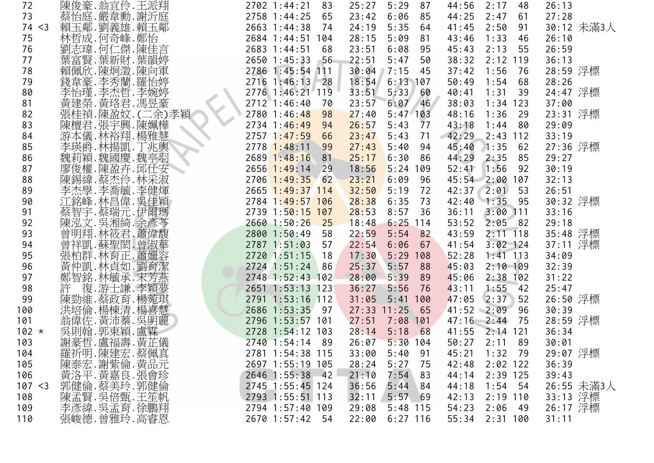| 72      | 陳俊豪.翁宜伶.王派翔                    | 2702 1:44:21<br>83   | 87<br>25:27<br>5:29   | 44:56<br>2:17<br>48    | 26:13      |
|---------|--------------------------------|----------------------|-----------------------|------------------------|------------|
| 73      | 蔡怡庭.嚴韋勳.謝沂庭                    | 2758 1:44:25<br>65   | 23:42<br>6:06<br>85   | 44:25<br>2:47<br>61    | 27:28      |
| 74 < 3  | 賴玉鄰.劉義雄.賴玉鄰                    | 2663 1:44:38<br>74   | 24:19<br>5:35<br>64   | 2:50<br>41:45<br>91    | 30:12 未滿3人 |
| 75      | 林哲成.何奇峰.鄭怡                     | 2684 1:44:51 104     | 5:09<br>28:15<br>81   | 1:33<br>43:46<br>46    | 26:10      |
| 76      | 劉志瑋.何仁傑.陳佳言                    | 2683 1:44:51<br>68   | 23:51<br>6:08<br>95   | 2:13<br>55<br>45:43    | 26:59      |
| 77      |                                | 2650 1:45:33<br>56   | 5:47<br>22:51<br>50   | $2:12$ 119<br>38:32    | 36:13      |
| 78      | 葉富賢.葉新財.葉韻婷<br>賴佩欣.陳炯澂.陳向軍     | 2786 1:45:54 111     | 30:04<br>7:15<br>- 45 | 37:42<br>1:56<br>76    | 28:59 浮標   |
| 79      | 錢韋豪.李秀蘭.羅怡婷                    | 2716 1:46:13 28      | 18:54<br>$6:13$ 107   | 50:49<br>1:54<br>68    | 28:26      |
| 80      |                                | 2776 1:46:21 119     | 33:51<br>5:33 60      | 1:31<br>40:41<br>39    | 24:47 浮標   |
| 81      | 李怡瑾.李杰哲.李婉婷<br>黃建榮.黃珞君.馮昱豪     | $2712$ 1:46:40<br>70 | 23:57<br>$6:07$ 46    | 38:03<br>$1:34$ 123    | 37:00      |
| 82      |                                | 2780 1:46:48<br>98   | 27:40<br>$5:47$ 103   | 48:16<br>1:36<br>29    | 23:31 浮標   |
| 83      | 張桂禎.陳盈妏. (二余)孝穎<br>陳檀君.張宇興.陳姵樺 | 2734 1:46:49<br>94   | 26:57<br>5:43<br>77   | 43:18<br>1:44<br>80    | 29:09      |
| 84      | 游本儀.林裕翔.楊雅慧                    | $2757$ 1:47:59<br>66 | 23:47<br>5:43<br>71   | 42:29<br>$2:43$ 112    | 33:19      |
| 85      | 李瑛爵.林揚凱.丁兆輿                    | $2778$ 1:48:11<br>99 | 27:43<br>$5:40$ 94    | 45:40<br>1:35<br>62    | 27:36 浮標   |
| 86      | 魏莉穎.魏國慶.魏亭羽                    | $2689$ 1:48:16<br>81 | 25:17<br>6:30 86      | 44:29<br>2:35<br>85    | 29:27      |
| 87      | 廖俊權.陳盈卉.邱仕安                    | $2656$ 1:49:14<br>29 | $5:24$ 109<br>18:56   | 1:56<br>52:41<br>92    | 30:19      |
| 88      | 陳錫緯.蔡杰伶.林采淑                    | $2706$ 1:49:35<br>62 | 23:21<br>6:09<br>-96  | 45:54 2:00 107         | 32:13      |
| 89      | 李杰學,李喬毓,李健煇<br>江銘峰,林昌偉,吳佳穎     | 2665 1:49:37 114     | 32:50<br>5:19<br>72   | $42:37$ $2:01$<br>53   | 26:51      |
| 90      |                                | 2784 1:49:57 106     | 28:38<br>6:35<br>73   | 42:40 1:35 95          | 30:32 浮標   |
| 91      | 蔡智宇.蔡瑞元.伊爾瑪                    | 2739 1:50:15 107     | 28:53<br>8:57<br>36   | 36:11<br>$3:00$ 111    | 33:16      |
| 92      | 陳泓文.吳湘綺.余彥苓                    | $2660$ 1:50:26<br>25 | 18:48<br>$6:25$ 114   | 2:05<br>82<br>53:52    | 29:18      |
| 93      | 曾明翔. 林筱君. 蕭偉馥                  | 2800 1:50:49<br>58   | 22:59<br>$5:54$ 82    | 43:59<br>$2:11$ 118    | 35:48 浮標   |
| 94      | 曾祥凱.蘇聖閎.曾淑華                    | 2787 1:51:03<br>57   | 22:54<br>6:06<br>67   | $3:02$ 124<br>41:54    | 37:11 浮標   |
| 95      | 張柏群.林育正.蕭姍容                    | 2720 1:51:15<br>18   | 17:30<br>5:29<br>108  | 52:28<br>$1:41$ 113    | 34:09      |
| 96      | 黃仲凱.林貞如.劉育潔                    | 2724 1:51:24<br>86   | 25:37<br>5:57<br>88   | 45:03<br>$2:10$ 109    | 32:39      |
| 97      | 鄭智銘.林毓承.宋芳燕                    | 2748 1:52:43 102     | 5:39<br>28:00<br>- 89 | $2:38$ 102<br>45:06    | 31:22      |
| 98      | 復.游士謙.李穎夢<br>許                 | 2651 1:53:13 123     | 36:27<br>5:56<br>76   | 1:55<br>43:11<br>$-42$ | 25:47      |
| 99      | 陳勁維.蔡政育.楊菀琪                    | 2791 1:53:16 112     | 31:05<br>5:41<br>100  | 2:37<br>47:05<br>52    | 26:50 浮標   |
| 100     | 洪培倫.楊棟清.楊喜慧                    | 2686 1:53:35<br>97   | $27:33$ 11:25<br>65   | $41:52$ 2:09<br>96     | 30:39      |
| 101     | 翁偉佐.黃沛蓁.吳明麗<br>吳則翰.郭東穎.盧霖      | 2796 1:53:57 101     | 27:51<br>$7:08$ 101   | 47:16 2:44 75          | 28:59 浮標   |
| $102 *$ |                                | 2728 1:54:12 103     | 5:18<br>28:14<br>68   | $2:14$ 121<br>41:55    | 36:34      |
| 103     | 謝豪哲.盧福壽.黃芷儀                    | 2740 1:54:14 89      | $5:30$ 104<br>26:07   | 50:27<br>2:11<br>89    | 30:01      |
| 104     |                                | 2781 1:54:38 115     | 33:00<br>5:40<br>91   | 45:21<br>1:32<br>79    | 29:07 浮標   |
| 105     |                                | 2697 1:55:19 105     | 28:24<br>5:27<br>- 75 | 42:48<br>$2:02$ 122    | 36:39      |
| 106     |                                | 2646 1:55:38 42      | 21:10<br>7:54<br>83   | $2:39$ 125<br>44:14    | 39:43      |
| 107 < 3 |                                | 2745 1:55:45 124     | 5:44<br>36:56<br>84   | 44:18<br>$1:54$ 54     | 26:55 未滿3人 |
| 108     |                                | 2793 1:55:51 113     | 32:11<br>5:5769       | $2:19$ 110<br>42:13    | 33:13 浮標   |
| 109     | 李彦緯 吴孟育 徐鵬翔                    | 2794 1:57:40 109     | $5:48$ 115<br>29:08   | 54:23<br>2:06<br>49    | 26:17 浮標   |
| 110     | 張峻德.曾雅玲.高睿恩                    | 2670 1:57:42 54      | 22:00<br>$6:27$ 116   | 55:34 2:31 100         | 31:11      |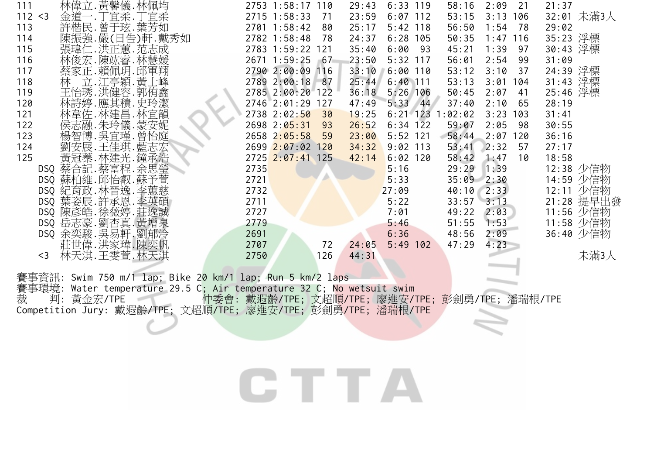| 林偉立. 黃馨儀. 林佩均<br>111    | 2753 1:58:17 110       | $6:33$ 119<br>29:43<br>58:16<br>2:09<br>21    | 21:37      |
|-------------------------|------------------------|-----------------------------------------------|------------|
| 金道一.丁宜柔.丁宜柔<br>112 < 3  | 2715 1:58:33<br>71     | $6:07$ 112<br>23:59<br>53:15<br>3:13<br>106   | 32:01 未滿3人 |
| 許楷民.曾于玹.葉芳如<br>113      | 2701 1:58:42<br>80     | 1:54<br>25:17<br>$5:42$ 118<br>56:50<br>78    | 29:02      |
| 陳振強. 嚴(日告)軒. 戴秀如<br>114 | 2782 1:58:48<br>78     | $6:28$ 105<br>24:37<br>50:35<br>1:47<br>116   | 35:23 浮標   |
| 張瑋仁.洪正蕙.范志成<br>115      | 2783 1:59:22 121       | 35:40<br>93<br>1:39<br>6:00<br>45:21<br>97    | 30:43 浮標   |
| 林俊宏.陳竑睿.林慧媛<br>116      | 2671 1:59:25<br>67     | 23:50<br>$5:32$ 117<br>2:54<br>56:01<br>-99   | 31:09      |
| 蔡家正.賴佩玥.邱軍翔<br>117      | 2790 2:00:09 116       | 33:10<br>$6:00$ 110<br>53:12<br>3:10<br>37    | 24:39 浮標   |
| 立.江亭穎.黃士峰<br>118<br>林   | 2789 2:00:18 87        | 25:44<br>$6:40$ 111<br>53:13<br>3:01<br>104   | 31:43 浮標   |
| 王怡琇.洪健容.郭侑鑫<br>119      | 2785 2:00:20 122       | 50:45<br>$5:26$ 106<br>2:07<br>41<br>36:18    | 25:46 浮標   |
| 林詩婷.應其積.史玲潔<br>120      | 2746 2:01:29 127       | 47:49<br>$5:33$ 44<br>37:40<br>2:10<br>65     | 28:19      |
| 林韋佐.林建昌.林宜韻<br>121      | 2738 2:02:50<br>30     | 19:25<br>$6:21$ 123<br>1:02:02<br>3:23<br>103 | 31:41      |
| 侯志融.朱玲儀.蒙安妮<br>122      | $2698$ $2:05:31$<br>93 | 26:52<br>$6:34$ 122<br>2:05<br>59:07<br>-98   | 30:55      |
| 楊智博.吳宜瑾.曾怡庭<br>123      | 2658 2:05:58<br>59     | 23:00<br>$5:52$ 121<br>58:44<br>2:07<br>120   | 36:16      |
| 劉安展.王佳琪.藍志宏<br>124      | 2699 2:07:02 120       | 34:32<br>$9:02$ 113<br>2:32<br>53:41<br>57    | 27:17      |
| 黃冠蓁.林建光.鐘承浩<br>125      | 2725 2:07:41 125       | $6:02$ 120<br>1:47<br>42:14<br>58:42<br>10    | 18:58      |
| DSQ 蔡合記. 蔡富程. 余思瑩       | 2735                   | 5:16<br>29:29<br>1:39                         | 12:38 少信物  |
| DSQ 蘇柏維. 邱怡叡. 蘇予萱       | 2721                   | 5:33<br>$35:09$ $2:30$                        | 14:59 少信物  |
| DSQ 紀育政. 林晉逸. 李蕙慈       | 2732                   | 40:10<br>2:33<br>27:09                        | 12:11 少信物  |
| DSQ 葉姿辰. 許承恩. 李英碩       | 2711                   | $33:57$ $3:13$<br>5:22                        | 21:28 提早出發 |
| DSQ 陳彥皓.徐薇婷.莊逸誠         | 2727                   | 49:22<br>2:03<br>7:01                         | 11:56 少信物  |
| DSQ 岳志豪. 劉杏真. 黃增泉       | 2779                   | 1:53<br>5:46<br>51:55                         | 11:58 少信物  |
| DSQ 余奕駿. 吳易軒. 劉郁泠       | 2691                   | 6:36<br>2:09<br>48:56                         | 36:40 少信物  |
| 莊世偉.洪家瑋.陳奕帆             | 2707<br>72             | 4:23<br>$5:49$ 102<br>47:29<br>24:05          |            |
| 林天淇.王雯萱.林天淇<br>$<$ 3    | 2750<br>l 26           | 44:31                                         |            |

賽事資訊: Swim 750 m/1 lap; Bike 2<mark>0 km/1 lap; Run 5 km/</mark>2 laps 賽事環境: Water temperature 29.5 C; Air temperature 32 C; No wetsuit swim 裁 判: 黃金宏/TPE 仲委會: 戴遐齡/TPE; 文超順/TPE; 廖進安/TPE; 彭劍勇/TPE; 潘瑞根/TPE Competition Jury: 戴遐齡/TPE; 文超順/TPE; 廖進安/TPE; 彭劍勇/TPE; 潘瑞根/TPE

CTTA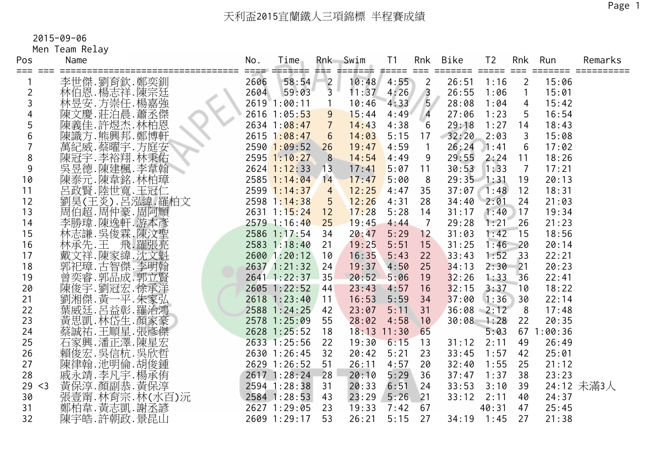Men Team Relay

| Pos<br>=== === | Name                                           | No.  | Time<br>---- ------- --- |                | Rnk Swim<br>1001000 | T1        | Rnk             | Bike  | T <sub>2</sub> |                 | Rnk Run<br>$=$ $=$ $=$ $=$ $=$ $=$ $=$ | Remarks    |
|----------------|------------------------------------------------|------|--------------------------|----------------|---------------------|-----------|-----------------|-------|----------------|-----------------|----------------------------------------|------------|
|                | 李世傑.劉育欽.鄭奕釧                                    | 2606 | 58:54                    |                | 10:48               | 4:55      | $\overline{2}$  | 26:51 | 1:16           | $\overline{2}$  | 15:06                                  |            |
| 2              | 林伯恩. 楊志祥. 陳宗廷                                  | 2604 | 59:03                    | $\frac{2}{3}$  | 11:37               | 4:26      | $\sqrt{3}$      | 26:55 | 1:06           | $\mathbf{1}$    | 15:01                                  |            |
| 3              | 林昱安.方崇任.楊嘉強                                    |      | 2619 1:00:11             | $\overline{1}$ | 10:46               | 4:33      | 5 <sup>7</sup>  | 28:08 | 1:04           | $\overline{4}$  | 15:42                                  |            |
|                | 陳文慶.莊泊晨.蕭丞傑                                    |      | 2616 1:05:53             | 9              | 15:44               | 4:49      | $\overline{4}$  | 27:06 | 1:23           | 5               | 16:54                                  |            |
| 5              | 陳義佳.許煜杰.林柏恩                                    |      | 2634 1:08:47             | $\overline{7}$ | 14:43               | 4:38      | $6 \frac{1}{2}$ | 29:18 | 1:27           | 14              | 18:43                                  |            |
| 6              | 陳識方.熊興邦.鄭博軒                                    |      | $2615$ 1:08:47           | 6              | 14:03               | 5:15      | 17              | 32:20 | 2:03           | 3               | 15:08                                  |            |
|                | 萬紀威.蔡曜宇.方庭安                                    |      | $2590$ 1:09:52           | 26             | 19:47               | 4:59      | $\overline{1}$  | 26:24 | 1:41           | 6               | 17:02                                  |            |
| 8              | 陳冠宇.李裕翔.林秉佑                                    |      | $2595$ 1:10:27           | 8              | 14:54               | 4:49      | 9               | 29:55 | 2:24           | 11              | 18:26                                  |            |
| 9              | 吳昱德.陳建楓.李韋翰<br>陳泰元.陳韋銘.林柏璋                     |      | $2624$ 1:12:33           | 13             | 17:41               | 5:07      | 11              | 30:53 | 1:33           | $\overline{7}$  | 17:21                                  |            |
| 10             |                                                |      | $2585$ 1:14:04           | 14             | 17:47               | 5:00      | 8               |       | $29:35$ 1:31   | 19              | 20:13                                  |            |
| 11             | 呂政賢.陸世寬.王冠仁                                    |      | $2599$ 1:14:37           | $\overline{4}$ | 12:25               | 4:47      | 35              |       | $37:07$ 1:48   | 12              | 18:31                                  |            |
| 12             | 劉昊(王炎).呂泓緯.羅柏文                                 |      | $2598$ 1:14:38           | 5 <sup>5</sup> | 12:26               | 4:31      | 28              | 34:40 | 2:01           | 24              | 21:03                                  |            |
| 13             | 周伯超.周仲豪.周阿順                                    |      | 2631 1:15:24             | 12             | 17:28               | 5:28      | 14              | 31:17 | 1:40           | 17              | 19:34                                  |            |
| 14             | 李勝瑋.陳逸軒.游本彥                                    |      | 2579 1:16:40             | 25             | 19:45               | 4:44      | $\overline{7}$  | 29:28 | 1:21           | 26              | 21:23                                  |            |
| 15             | 林志謙. 吳俊霖. 陳汶聖                                  |      | 2586 1:17:54             | 34             | 20:47               | 5:29      | 12              | 31:03 | 1:42           | $\overline{15}$ | 18:56                                  |            |
| 16             | 林承先.王<br>飛.羅張亮                                 |      | 2583 1:18:40             | 21             | 19:25               | 5:51      | 15              | 31:25 | 1:46           | 20              | 20:14                                  |            |
| 17             | 戴文祥.陳家緯.沈文魁                                    |      | 2600 1:20:12             | 10             | 16:35               | 5:43      | 22              | 33:43 | 1:52           | 33              | 22:21                                  |            |
| 18             | 郭祀璋.古智傑.李明翰                                    |      | 2637 1:21:32             | 24             | 19:37               | 4:50      | 25              | 34:13 | 2:30           | 21              | 20:23                                  |            |
| 19             | 曾奕睿.郭品成.郭立賢                                    |      | 2641 1:22:37 35          |                | 20:52               | 5:06      | 19              | 32:26 | 1:33           | 36              | 22:41                                  |            |
| 20             | 陳俊宇 ·劉冠宏 ·徐承<br>劉湘傑 ·黃一平 ·朱家弘<br>葉威廷 ·呂益彰 ·羅治鴻 |      | 2605 1:22:52 44          |                | 23:43               | 4:57      | 16              | 32:15 | 3:37           | 10              | 18:22                                  |            |
| 21             |                                                |      | 2618 1:23:40             | 11             | 16:53               | 5:59      | 34              | 37:00 | 1:36           | 30              | 22:14                                  |            |
| 22             |                                                |      | 2588 1:24:25             | 42             | 23:07               | 5:11      | 31              |       | $36:08$ 2:12   | 8               | 17:48                                  |            |
| 23             | 黃思凱.林岱生.顏家豪                                    |      | 2578 1:25:09             | 55             | 28:02               | 4:58      | 10              |       | $30:08$ 1:28   | 22              | 20:35                                  |            |
| 24             | 蔡誠祐.王順星.張彥傑                                    |      | 2628 1:25:52             | 18             | $18:13$ $11:30$     |           | 65              |       | 5:03           |                 | 67 1:00:36                             |            |
| 25             | 石家興.潘正澤.陳星宏                                    |      | 2633 1:25:56             | 22             | 19:30               | 6:15      | 13              | 31:12 | 2:11           | 49              | 26:49                                  |            |
| 26             | 賴俊宏. 吳信杭. 吳欣哲                                  |      | 2630 1:26:45             | 32             | 20:42               | 5:21      | 23              | 33:45 | 1:57           | 42              | 25:01                                  |            |
| 27             | 陳律翰.池明倫.胡俊鍾                                    |      | 2629 1:26:52             | 51             | 26:11               | 4:57      | 20              | 32:40 | 1:55           | 25              | 21:12                                  |            |
| 28             | 戚永靖.李凡宇.楊承侑                                    |      | 2617 1:28:24             | 28             | 20:10               | 5:29      | 36              | 37:47 | 1:37           | 38              | 23:23                                  |            |
| 29 < 3         |                                                |      | 2594 1:28:38             | 31             | 20:33               | 6:51      | 24              | 33:53 | 3:10           | 39              |                                        | 24:12 未滿3人 |
| 30             | 黃保淳.顏副恭.黃保淳<br>張壹甯.林育宗.林(水百)沅<br>鄭柏韋.黃志凱.謝丞諺   |      | 2584 1:28:53             | 43             | 23:29               | $5:26$ 21 |                 | 33:12 | 2:11           | 40              | 24:37                                  |            |
| 31             |                                                |      | 2627 1:29:05             | 23             | 19:33               | 7:42      | 67              |       | 40:31          | 47              | 25:45                                  |            |
| 32             | 陳宇皓.許朝政.景昆山                                    |      | 2609 1:29:17             | 53             | 26:21               | $5:15$ 27 |                 |       | $34:19$ 1:45   | 27              | 21:38                                  |            |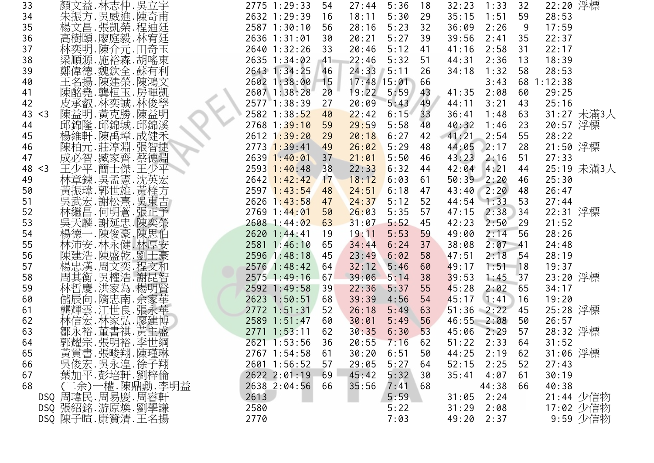| 33          | 顏文益.林志仲.吳立宇                | 2775 1:29:33    | 54 | 27:44          | 5:36  | 18 | 32:23     | 1:33           | 32 | 22:20 浮標   |            |
|-------------|----------------------------|-----------------|----|----------------|-------|----|-----------|----------------|----|------------|------------|
| 34          | 朱振方.吳威進.陳奇甫                | 2632 1:29:39    | 16 | 18:11          | 5:30  | 29 | 35:15     | 1:51           | 59 | 28:53      |            |
| 35          | 楊文昌.張凱榮.程迪廷                | 2587 1:30:10    | 56 | 28:16          | 5:23  | 32 | 36:09     | 2:26           | 9  | 17:59      |            |
| 36          | 高樹頤.廖庭毅.林宥廷                | 2636 1:31:01    | 30 | 20:21          | 5:27  | 39 | 39:56     | 2:41           | 35 | 22:37      |            |
| 37          | 林奕明.陳介元.田奇玉                | 2640 1:32:26    | 33 | 20:46          | 5:12  | 41 | 41:16     | 2:58           | 31 | 22:17      |            |
| 38          | 梁順源.施裕森.胡嗂東                | 2635 1:34:02    | 41 | 22:46          | 5:32  | 51 | 44:31     | 2:36           | 13 | 18:39      |            |
| 39          | 鄭偉德.魏欽全.蘇有利                | 2643 1:34:25    | 46 | 24:33          | 15:11 | 26 | 34:18     | 1:32           | 58 | 28:53      |            |
| 40          | 王名揚.陳建榮.陳鴻文                | 2602 1:38:00 15 |    | 17:48 15:01 66 |       |    |           | 3:43           |    | 68 1:12:38 |            |
| 41          | 陳酩堯.龔桓玉.房暉凱                | 2607 1:38:28    | 20 | 19:22          | 5:59  | 43 | 41:35     | 2:08           | 60 | 29:25      |            |
| 42          | 皮承叡.林奕誠.林俊學                | 2577 1:38:39    | 27 | 20:09          | 5:43  | 49 | 44:11     | 3:21           | 43 | 25:16      |            |
| 43<br>$<$ 3 | 陳益明.黃克勝.陳益明                | 2582 1:38:52    | 40 | 22:42          | 6:15  | 33 | 36:41     | 1:48           | 63 |            | 31:27 未滿3人 |
| 44          | 邱錦隆.邱錦城.邱錦溪                | $2768$ 1:39:10  | 59 | 29:59          | 5:58  | 40 | 40:32     | 1:46           | 23 | 20:57 浮標   |            |
| 45          | 楊維軒.陳禹璋.成健禾                | 2612 1:39:20    | 29 | 20:18          | 6:27  | 42 | 41:21     | 2:54           | 55 | 28:22      |            |
| 46          | 陳柏元.莊淳淵.張智捷                | $2773$ 1:39:41  | 49 | 26:02          | 5:29  | 48 | 44:05     | 2:17           | 28 | 21:50 浮標   |            |
| 47          | 成必智.臧家齊.蔡德淵                | $2639$ 1:40:01  | 37 | 21:01          | 5:50  | 46 | 43:23     | 2:16           | 51 | 27:33      |            |
| 48 < 3      | 王少平.簡士傑.王少平                | $2593$ 1:40:48  | 38 | 22:33          | 6:32  | 44 | 42:04     | 4:21           | 44 |            | 25:19 未滿3人 |
| 49          | 林章鍊. 吳孟憲. 沈英宏              | $2642$ 1:42:42  | 17 | 18:12          | 6:03  | 61 | 50:39     | 2:20           | 46 | 25:30      |            |
| 50          | 黃振瑋.郭世雄.黃楏方                | $2597$ 1:43:54  | 48 | 24:51          | 6:18  | 47 |           | $43:40$ $2:20$ | 48 | 26:47      |            |
| 51          | 吳武宏.謝松熹.吳東吉                | $2626$ 1:43:58  | 47 | 24:37          | 5:12  | 52 |           | $44:54$ 1:33   | 53 | 27:44      |            |
| 52          | 林繼昌.何明蒼.張正予                | $2769$ 1:44:01  | 50 | 26:03          | 5:35  | 57 | 47:15     | 2:38           | 34 | 22:31 浮標   |            |
| 53          | 吳天麟.謝延忠.陳奕榮                | 2608 1:44:02    | 63 | 31:07          | 5:52  | 45 | 42:23     | 2:50           | 29 | 21:52      |            |
| 54          | 楊德一.陳俊豪.陳思伯                | 2620 1:44:41    | 19 | 19:11          | 5:53  | 59 | 49:00     | 2:14           | 56 | 28:26      |            |
| 55          | 林沛安.林永健.林厚安                | 2581 1:46:10    | 65 | 34:44          | 6:24  | 37 | 38:08     | 2:07           | 41 | 24:48      |            |
| 56          |                            | 2596 1:48:18    | 45 | 23:49          | 6:02  | 58 | 47:51     | 2:18           | 54 | 28:19      |            |
| 57          | 陳建浩.陳盛乾.劉士豪<br>楊忠漢.周文奕.程文和 | 2576 1:48:42    | 64 | 32:12          | 5:46  | 60 | 49:17     | $1:51$ 18      |    | 19:37      |            |
| 58          | 周其衡. 吳權浩. 謝昆智              | 2575 1:49:16    | 67 | 39:06          | 5:14  | 38 | 39:53     | 1:45           | 37 | 23:20 浮標   |            |
| 59          | 林哲慶 洪家為 楊明賢                | 2592 1:49:58    | 39 | 22:36          | 5:37  | 55 | 45:28     | 2:02           | 65 | 34:17      |            |
| 60          | 儲辰向. 隋忠南. 余家華              | 2623 1:50:51    | 68 | 39:39          | 4:56  | 54 | 45:17     | 1:41           | 16 | 19:20      |            |
| 61          | 龔輝雲.江世良.張永華                | 2772 1:51:31    | 52 | 26:18          | 5:49  | 63 | 51:36     | 2:22           | 45 | 25:28 浮標   |            |
| 62          | 林信宏.林家弘.廖建博                | 2589 1:51:47    | 60 | 30:01          | 5:49  | 56 |           | $46:55$ $2:08$ | 50 | 26:57      |            |
| 63          | 鄒永裕.董書祺.黃主盛                | 2771 1:53:11    | 62 | 30:35          | 6:30  | 53 | 45:06     | 2:29           | 57 | 28:32 浮標   |            |
| 64          | 郭耀宗.張明裕.李世綱                | 2621 1:53:56    | 36 | 20:55          | 7:16  | 62 | 51:22     | 2:33           | 64 | 31:52      |            |
| 65          | 黃貫書.張畯翔.陳瑾琳<br>吳俊宏.吳永遑.徐子翔 | 2767 1:54:58    | 61 | 30:20          | 6:51  | 50 | 44:25     | 2:19           | 62 | 31:06 浮標   |            |
| 66          |                            | 2601 1:56:52    | 57 | 29:05          | 5:27  | 64 | 52:15     | 2:25           | 52 | 27:43      |            |
| 67          | 葉加平.彭培軒.劉梓倫                | 2622 2:01:19    | 69 | 45:42          | 5:32  | 30 | 35:41     | 4:07           | 61 | 30:19      |            |
| 68          | (二余)一權.陳鼎勳.李明益             | 2638 2:04:56    | 66 | 35:56          | 7:41  | 68 |           | 44:38          | 66 | 40:38      |            |
|             | DSQ 周瑋民. 周易慶. 周睿軒          | 2613            |    |                | 5:59  |    | 31:05     | 2:24           |    |            | 21:44 少信物  |
|             | DSQ 張紹銘.游原煥.劉學謙            | 2580            |    |                | 5:22  |    | 31:29     | 2:08           |    |            | 17:02 少信物  |
|             | DSQ 陳子暄.康贊清.王名揚            | 2770            |    |                | 7:03  |    | 49:202:37 |                |    |            | 9:59 少信物   |
|             |                            |                 |    |                |       |    |           |                |    |            |            |